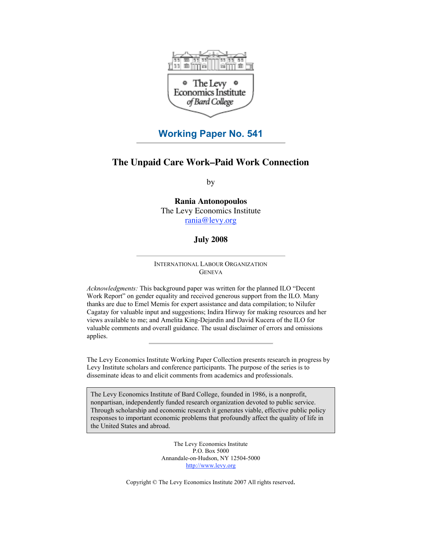

# **Working Paper No. 541**

## **The Unpaid Care Work–Paid Work Connection**

by

**Rania Antonopoulos** The Levy Economics Institute [rania@levy.org](mailto:rania@levy.org)

**July 2008**

#### INTERNATIONAL LABOUR ORGANIZATION **GENEVA**

*Acknowledgments:* This background paper was written for the planned ILO "Decent Work Report" on gender equality and received generous support from the ILO. Many thanks are due to Emel Memis for expert assistance and data compilation; to Nilufer Cagatay for valuable input and suggestions; Indira Hirway for making resources and her views available to me; and Amelita King-Dejardin and David Kucera of the ILO for valuable comments and overall guidance. The usual disclaimer of errors and omissions applies.

The Levy Economics Institute Working Paper Collection presents research in progress by Levy Institute scholars and conference participants. The purpose of the series is to disseminate ideas to and elicit comments from academics and professionals.

The Levy Economics Institute of Bard College, founded in 1986, is a nonprofit, nonpartisan, independently funded research organization devoted to public service. Through scholarship and economic research it generates viable, effective public policy responses to important economic problems that profoundly affect the quality of life in the United States and abroad.

> The Levy Economics Institute P.O. Box 5000 Annandale-on-Hudson, NY 12504-5000 <http://www.levy.org>

Copyright © The Levy Economics Institute 2007 All rights reserved.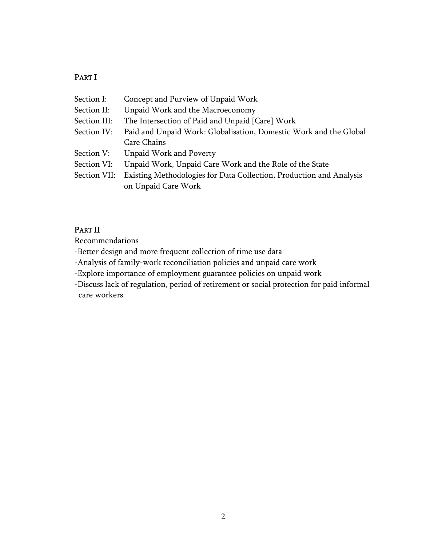# PART I

| Section I:   | Concept and Purview of Unpaid Work                                  |
|--------------|---------------------------------------------------------------------|
| Section II:  | Unpaid Work and the Macroeconomy                                    |
| Section III: | The Intersection of Paid and Unpaid [Care] Work                     |
| Section IV:  | Paid and Unpaid Work: Globalisation, Domestic Work and the Global   |
|              | <b>Care Chains</b>                                                  |
| Section V:   | Unpaid Work and Poverty                                             |
| Section VI:  | Unpaid Work, Unpaid Care Work and the Role of the State             |
| Section VII: | Existing Methodologies for Data Collection, Production and Analysis |
|              | on Unpaid Care Work                                                 |

# PART II

Recommendations

- -Better design and more frequent collection of time use data
- -Analysis of family-work reconciliation policies and unpaid care work
- -Explore importance of employment guarantee policies on unpaid work
- -Discuss lack of regulation, period of retirement or social protection for paid informal care workers.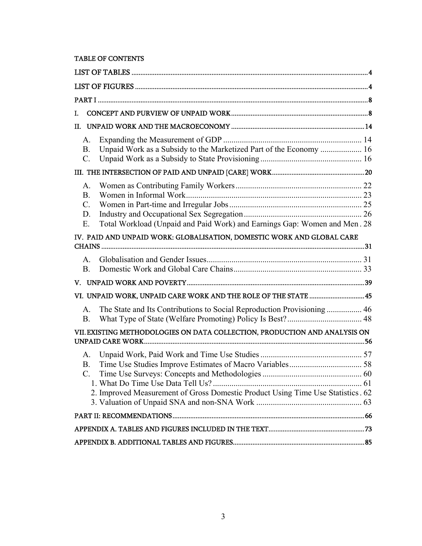TABLE OF CONTENTS

| I.                                             |                                                                                 |  |
|------------------------------------------------|---------------------------------------------------------------------------------|--|
| П.                                             |                                                                                 |  |
| A.<br>B.<br>$\mathcal{C}$ .                    |                                                                                 |  |
|                                                |                                                                                 |  |
| A.<br><b>B.</b><br>$\mathcal{C}$ .<br>D.<br>Ε. | Total Workload (Unpaid and Paid Work) and Earnings Gap: Women and Men. 28       |  |
|                                                | IV. PAID AND UNPAID WORK: GLOBALISATION, DOMESTIC WORK AND GLOBAL CARE          |  |
| $A_{-}$<br><b>B.</b>                           |                                                                                 |  |
|                                                |                                                                                 |  |
|                                                | VI. UNPAID WORK, UNPAID CARE WORK AND THE ROLE OF THE STATE  45                 |  |
| A.<br><b>B.</b>                                | The State and Its Contributions to Social Reproduction Provisioning 46          |  |
|                                                | VII. EXISTING METHODOLOGIES ON DATA COLLECTION, PRODUCTION AND ANALYSIS ON      |  |
| A.<br><b>B.</b><br>$\mathbf{C}$ .              | 2. Improved Measurement of Gross Domestic Product Using Time Use Statistics. 62 |  |
|                                                |                                                                                 |  |
|                                                |                                                                                 |  |
|                                                |                                                                                 |  |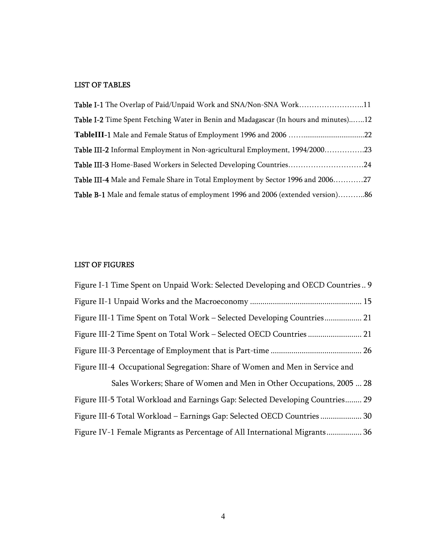## LIST OF TABLES

| Table I-1 The Overlap of Paid/Unpaid Work and SNA/Non-SNA Work11                            |  |
|---------------------------------------------------------------------------------------------|--|
| <b>Table I-2</b> Time Spent Fetching Water in Benin and Madagascar (In hours and minutes)12 |  |
|                                                                                             |  |
| Table III-2 Informal Employment in Non-agricultural Employment, 1994/200023                 |  |
| Table III-3 Home-Based Workers in Selected Developing Countries24                           |  |
| Table III-4 Male and Female Share in Total Employment by Sector 1996 and 200627             |  |
| Table B-1 Male and female status of employment 1996 and 2006 (extended version)86           |  |

## LIST OF FIGURES

| Figure I-1 Time Spent on Unpaid Work: Selected Developing and OECD Countries 9 |
|--------------------------------------------------------------------------------|
|                                                                                |
| Figure III-1 Time Spent on Total Work – Selected Developing Countries 21       |
|                                                                                |
|                                                                                |
| Figure III-4 Occupational Segregation: Share of Women and Men in Service and   |
| Sales Workers; Share of Women and Men in Other Occupations, 2005  28           |
| Figure III-5 Total Workload and Earnings Gap: Selected Developing Countries 29 |
| Figure III-6 Total Workload - Earnings Gap: Selected OECD Countries 30         |
| Figure IV-1 Female Migrants as Percentage of All International Migrants 36     |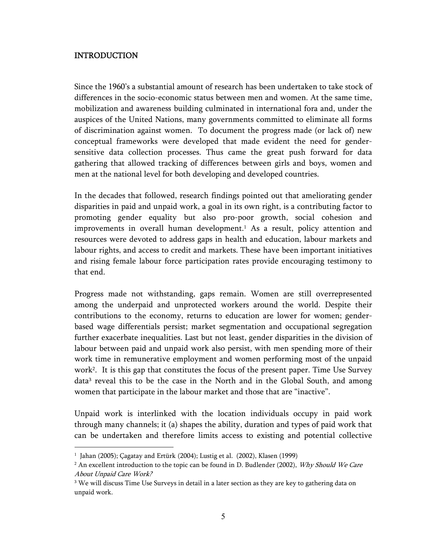## INTRODUCTION

1

Since the 1960's a substantial amount of research has been undertaken to take stock of differences in the socio-economic status between men and women. At the same time, mobilization and awareness building culminated in international fora and, under the auspices of the United Nations, many governments committed to eliminate all forms of discrimination against women. To document the progress made (or lack of) new conceptual frameworks were developed that made evident the need for gendersensitive data collection processes. Thus came the great push forward for data gathering that allowed tracking of differences between girls and boys, women and men at the national level for both developing and developed countries.

In the decades that followed, research findings pointed out that ameliorating gender disparities in paid and unpaid work, a goal in its own right, is a contributing factor to promoting gender equality but also pro-poor growth, social cohesion and improvements in overall human development.<sup>1</sup> As a result, policy attention and resources were devoted to address gaps in health and education, labour markets and labour rights, and access to credit and markets. These have been important initiatives and rising female labour force participation rates provide encouraging testimony to that end.

Progress made not withstanding, gaps remain. Women are still overrepresented among the underpaid and unprotected workers around the world. Despite their contributions to the economy, returns to education are lower for women; genderbased wage differentials persist; market segmentation and occupational segregation further exacerbate inequalities. Last but not least, gender disparities in the division of labour between paid and unpaid work also persist, with men spending more of their work time in remunerative employment and women performing most of the unpaid work<sup>2</sup>. It is this gap that constitutes the focus of the present paper. Time Use Survey  $data<sup>3</sup>$  reveal this to be the case in the North and in the Global South, and among women that participate in the labour market and those that are "inactive".

Unpaid work is interlinked with the location individuals occupy in paid work through many channels; it (a) shapes the ability, duration and types of paid work that can be undertaken and therefore limits access to existing and potential collective

<sup>1</sup> Jahan (2005); Çagatay and Ertürk (2004); Lustig et al. (2002), Klasen (1999)

 $2$  An excellent introduction to the topic can be found in D. Budlender (2002), Why Should We Care About Unpaid Care Work?

<sup>&</sup>lt;sup>3</sup> We will discuss Time Use Surveys in detail in a later section as they are key to gathering data on unpaid work.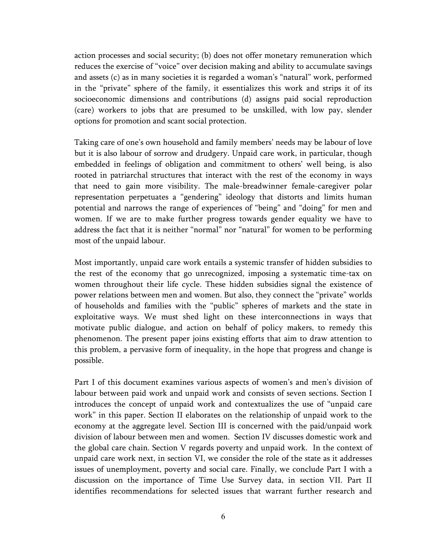action processes and social security; (b) does not offer monetary remuneration which reduces the exercise of "voice" over decision making and ability to accumulate savings and assets (c) as in many societies it is regarded a woman's "natural" work, performed in the "private" sphere of the family, it essentializes this work and strips it of its socioeconomic dimensions and contributions (d) assigns paid social reproduction (care) workers to jobs that are presumed to be unskilled, with low pay, slender options for promotion and scant social protection.

Taking care of one's own household and family members' needs may be labour of love but it is also labour of sorrow and drudgery. Unpaid care work, in particular, though embedded in feelings of obligation and commitment to others' well being, is also rooted in patriarchal structures that interact with the rest of the economy in ways that need to gain more visibility. The male-breadwinner female-caregiver polar representation perpetuates a "gendering" ideology that distorts and limits human potential and narrows the range of experiences of "being" and "doing" for men and women. If we are to make further progress towards gender equality we have to address the fact that it is neither "normal" nor "natural" for women to be performing most of the unpaid labour.

Most importantly, unpaid care work entails a systemic transfer of hidden subsidies to the rest of the economy that go unrecognized, imposing a systematic time-tax on women throughout their life cycle. These hidden subsidies signal the existence of power relations between men and women. But also, they connect the "private" worlds of households and families with the "public" spheres of markets and the state in exploitative ways. We must shed light on these interconnections in ways that motivate public dialogue, and action on behalf of policy makers, to remedy this phenomenon. The present paper joins existing efforts that aim to draw attention to this problem, a pervasive form of inequality, in the hope that progress and change is possible.

Part I of this document examines various aspects of women's and men's division of labour between paid work and unpaid work and consists of seven sections. Section I introduces the concept of unpaid work and contextualizes the use of "unpaid care work" in this paper. Section II elaborates on the relationship of unpaid work to the economy at the aggregate level. Section III is concerned with the paid/unpaid work division of labour between men and women. Section IV discusses domestic work and the global care chain. Section V regards poverty and unpaid work. In the context of unpaid care work next, in section VI, we consider the role of the state as it addresses issues of unemployment, poverty and social care. Finally, we conclude Part I with a discussion on the importance of Time Use Survey data, in section VII. Part II identifies recommendations for selected issues that warrant further research and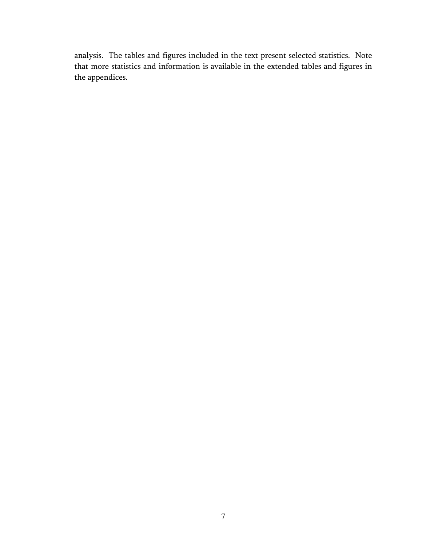analysis. The tables and figures included in the text present selected statistics. Note that more statistics and information is available in the extended tables and figures in the appendices.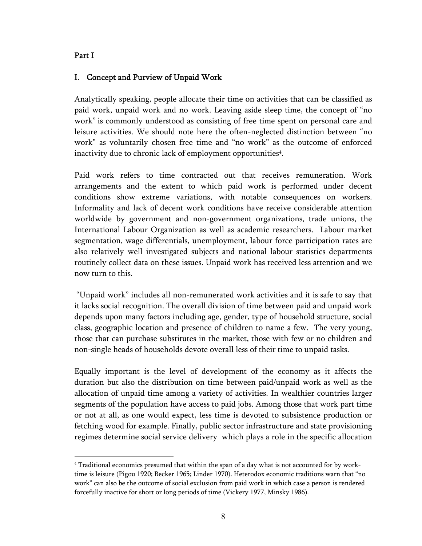# Part I

1

# I. Concept and Purview of Unpaid Work

Analytically speaking, people allocate their time on activities that can be classified as paid work, unpaid work and no work. Leaving aside sleep time, the concept of "no work" is commonly understood as consisting of free time spent on personal care and leisure activities. We should note here the often-neglected distinction between "no work" as voluntarily chosen free time and "no work" as the outcome of enforced inactivity due to chronic lack of employment opportunities<sup>4</sup>.

Paid work refers to time contracted out that receives remuneration. Work arrangements and the extent to which paid work is performed under decent conditions show extreme variations, with notable consequences on workers. Informality and lack of decent work conditions have receive considerable attention worldwide by government and non-government organizations, trade unions, the International Labour Organization as well as academic researchers. Labour market segmentation, wage differentials, unemployment, labour force participation rates are also relatively well investigated subjects and national labour statistics departments routinely collect data on these issues. Unpaid work has received less attention and we now turn to this.

 "Unpaid work" includes all non-remunerated work activities and it is safe to say that it lacks social recognition. The overall division of time between paid and unpaid work depends upon many factors including age, gender, type of household structure, social class, geographic location and presence of children to name a few. The very young, those that can purchase substitutes in the market, those with few or no children and non-single heads of households devote overall less of their time to unpaid tasks.

Equally important is the level of development of the economy as it affects the duration but also the distribution on time between paid/unpaid work as well as the allocation of unpaid time among a variety of activities. In wealthier countries larger segments of the population have access to paid jobs. Among those that work part time or not at all, as one would expect, less time is devoted to subsistence production or fetching wood for example. Finally, public sector infrastructure and state provisioning regimes determine social service delivery which plays a role in the specific allocation

<sup>4</sup> Traditional economics presumed that within the span of a day what is not accounted for by worktime is leisure (Pigou 1920; Becker 1965; Linder 1970). Heterodox economic traditions warn that "no work" can also be the outcome of social exclusion from paid work in which case a person is rendered forcefully inactive for short or long periods of time (Vickery 1977, Minsky 1986).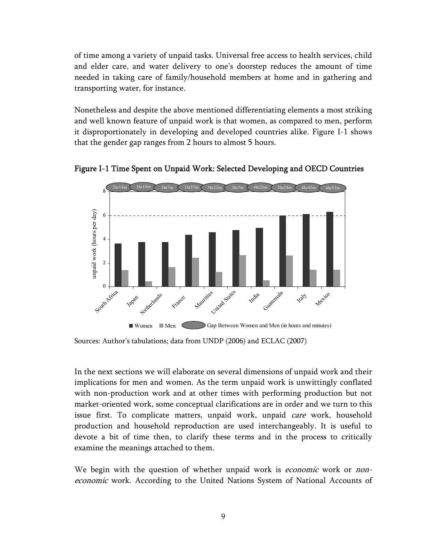of time among a variety of unpaid tasks. Universal free access to health services, child and elder care, and water delivery to one's doorstep reduces the amount of time needed in taking care of family/household members at home and in gathering and transporting water, for instance.

Nonetheless and despite the above mentioned differentiating elements a most striking and well known feature of unpaid work is that women, as compared to men, perform it disproportionately in developing and developed countries alike. Figure I-1 shows that the gender gap ranges from 2 hours to almost 5 hours.



Figure I-1 Time Spent on Unpaid Work: Selected Developing and OECD Countries

Sources: Author's tabulations; data from UNDP (2006) and ECLAC (2007)

In the next sections we will elaborate on several dimensions of unpaid work and their implications for men and women. As the term unpaid work is unwittingly conflated with non-production work and at other times with performing production but not market-oriented work, some conceptual clarifications are in order and we turn to this issue first. To complicate matters, unpaid work, unpaid *care* work, household production and household reproduction are used interchangeably. It is useful to devote a bit of time then, to clarify these terms and in the process to critically examine the meanings attached to them.

We begin with the question of whether unpaid work is *economic* work or *non*economic work. According to the United Nations System of National Accounts of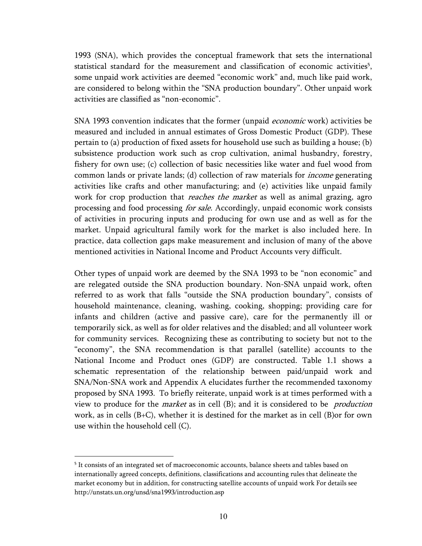1993 (SNA), which provides the conceptual framework that sets the international statistical standard for the measurement and classification of economic activities<sup>5</sup>, some unpaid work activities are deemed "economic work" and, much like paid work, are considered to belong within the "SNA production boundary". Other unpaid work activities are classified as "non-economic".

SNA 1993 convention indicates that the former (unpaid *economic* work) activities be measured and included in annual estimates of Gross Domestic Product (GDP). These pertain to (a) production of fixed assets for household use such as building a house; (b) subsistence production work such as crop cultivation, animal husbandry, forestry, fishery for own use; (c) collection of basic necessities like water and fuel wood from common lands or private lands; (d) collection of raw materials for income generating activities like crafts and other manufacturing; and (e) activities like unpaid family work for crop production that *reaches the market* as well as animal grazing, agro processing and food processing for sale. Accordingly, unpaid economic work consists of activities in procuring inputs and producing for own use and as well as for the market. Unpaid agricultural family work for the market is also included here. In practice, data collection gaps make measurement and inclusion of many of the above mentioned activities in National Income and Product Accounts very difficult.

Other types of unpaid work are deemed by the SNA 1993 to be "non economic" and are relegated outside the SNA production boundary. Non-SNA unpaid work, often referred to as work that falls "outside the SNA production boundary", consists of household maintenance, cleaning, washing, cooking, shopping; providing care for infants and children (active and passive care), care for the permanently ill or temporarily sick, as well as for older relatives and the disabled; and all volunteer work for community services. Recognizing these as contributing to society but not to the "economy", the SNA recommendation is that parallel (satellite) accounts to the National Income and Product ones (GDP) are constructed. Table 1.1 shows a schematic representation of the relationship between paid/unpaid work and SNA/Non-SNA work and Appendix A elucidates further the recommended taxonomy proposed by SNA 1993. To briefly reiterate, unpaid work is at times performed with a view to produce for the *market* as in cell  $(B)$ ; and it is considered to be *production* work, as in cells (B+C), whether it is destined for the market as in cell (B)or for own use within the household cell (C).

 $\overline{a}$ 

<sup>5</sup> It consists of an integrated set of macroeconomic accounts, balance sheets and tables based on internationally agreed concepts, definitions, classifications and accounting rules that delineate the market economy but in addition, for constructing satellite accounts of unpaid work For details see http://unstats.un.org/unsd/sna1993/introduction.asp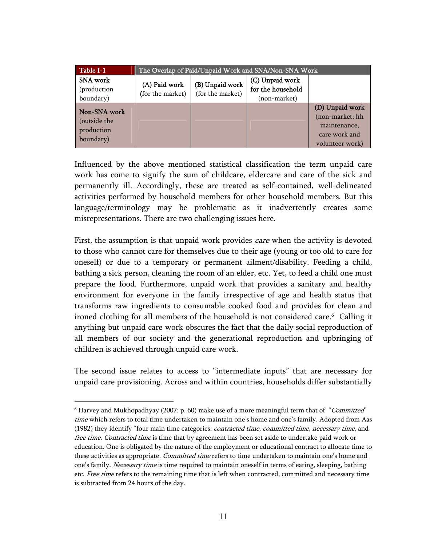| Table I-1                                               | The Overlap of Paid/Unpaid Work and SNA/Non-SNA Work |                                     |  |                                                                                        |  |  |  |  |  |
|---------------------------------------------------------|------------------------------------------------------|-------------------------------------|--|----------------------------------------------------------------------------------------|--|--|--|--|--|
| SNA work<br>(production<br>boundary)                    | (A) Paid work<br>(for the market)                    | (B) Unpaid work<br>(for the market) |  |                                                                                        |  |  |  |  |  |
| Non-SNA work<br>(outside the<br>production<br>boundary) |                                                      |                                     |  | (D) Unpaid work<br>(non-market; hh<br>maintenance,<br>care work and<br>volunteer work) |  |  |  |  |  |

Influenced by the above mentioned statistical classification the term unpaid care work has come to signify the sum of childcare, eldercare and care of the sick and permanently ill. Accordingly, these are treated as self-contained, well-delineated activities performed by household members for other household members. But this language/terminology may be problematic as it inadvertently creates some misrepresentations. There are two challenging issues here.

First, the assumption is that unpaid work provides *care* when the activity is devoted to those who cannot care for themselves due to their age (young or too old to care for oneself) or due to a temporary or permanent ailment/disability. Feeding a child, bathing a sick person, cleaning the room of an elder, etc. Yet, to feed a child one must prepare the food. Furthermore, unpaid work that provides a sanitary and healthy environment for everyone in the family irrespective of age and health status that transforms raw ingredients to consumable cooked food and provides for clean and ironed clothing for all members of the household is not considered care.<sup>6</sup> Calling it anything but unpaid care work obscures the fact that the daily social reproduction of all members of our society and the generational reproduction and upbringing of children is achieved through unpaid care work.

The second issue relates to access to "intermediate inputs" that are necessary for unpaid care provisioning. Across and within countries, households differ substantially

 $\overline{a}$ 

 $6$  Harvey and Mukhopadhyay (2007: p. 60) make use of a more meaningful term that of "Committed" time which refers to total time undertaken to maintain one's home and one's family. Adopted from Aas (1982) they identify "four main time categories: contracted time, committed time, necessary time, and free time. Contracted time is time that by agreement has been set aside to undertake paid work or education. One is obligated by the nature of the employment or educational contract to allocate time to these activities as appropriate. Committed time refers to time undertaken to maintain one's home and one's family. Necessary time is time required to maintain oneself in terms of eating, sleeping, bathing etc. Free time refers to the remaining time that is left when contracted, committed and necessary time is subtracted from 24 hours of the day.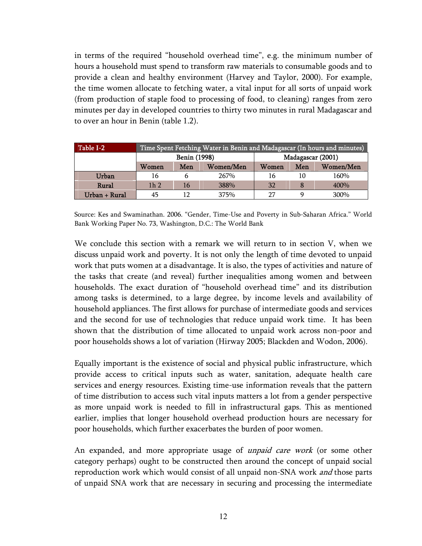in terms of the required "household overhead time", e.g. the minimum number of hours a household must spend to transform raw materials to consumable goods and to provide a clean and healthy environment (Harvey and Taylor, 2000). For example, the time women allocate to fetching water, a vital input for all sorts of unpaid work (from production of staple food to processing of food, to cleaning) ranges from zero minutes per day in developed countries to thirty two minutes in rural Madagascar and to over an hour in Benin (table 1.2).

| Table I-2     | Time Spent Fetching Water in Benin and Madagascar (In hours and minutes) |              |           |                   |     |           |  |  |  |
|---------------|--------------------------------------------------------------------------|--------------|-----------|-------------------|-----|-----------|--|--|--|
|               |                                                                          | Benin (1998) |           | Madagascar (2001) |     |           |  |  |  |
|               | Women                                                                    | Men          | Women/Men | Women             | Men | Women/Men |  |  |  |
| Urban         | 16                                                                       | b            | 267%      | 16                | 10  | 160%      |  |  |  |
| Rural         | 1h 2                                                                     | 16           | 388%      | 32                | 8   | 400%      |  |  |  |
| Urban + Rural | 45                                                                       |              | 375%      | 27                |     | 300%      |  |  |  |

Source: Kes and Swaminathan. 2006. "Gender, Time-Use and Poverty in Sub-Saharan Africa." World Bank Working Paper No. 73, Washington, D.C.: The World Bank

We conclude this section with a remark we will return to in section V, when we discuss unpaid work and poverty. It is not only the length of time devoted to unpaid work that puts women at a disadvantage. It is also, the types of activities and nature of the tasks that create (and reveal) further inequalities among women and between households. The exact duration of "household overhead time" and its distribution among tasks is determined, to a large degree, by income levels and availability of household appliances. The first allows for purchase of intermediate goods and services and the second for use of technologies that reduce unpaid work time. It has been shown that the distribution of time allocated to unpaid work across non-poor and poor households shows a lot of variation (Hirway 2005; Blackden and Wodon, 2006).

Equally important is the existence of social and physical public infrastructure, which provide access to critical inputs such as water, sanitation, adequate health care services and energy resources. Existing time-use information reveals that the pattern of time distribution to access such vital inputs matters a lot from a gender perspective as more unpaid work is needed to fill in infrastructural gaps. This as mentioned earlier, implies that longer household overhead production hours are necessary for poor households, which further exacerbates the burden of poor women.

An expanded, and more appropriate usage of *unpaid care work* (or some other category perhaps) ought to be constructed then around the concept of unpaid social reproduction work which would consist of all unpaid non-SNA work *and* those parts of unpaid SNA work that are necessary in securing and processing the intermediate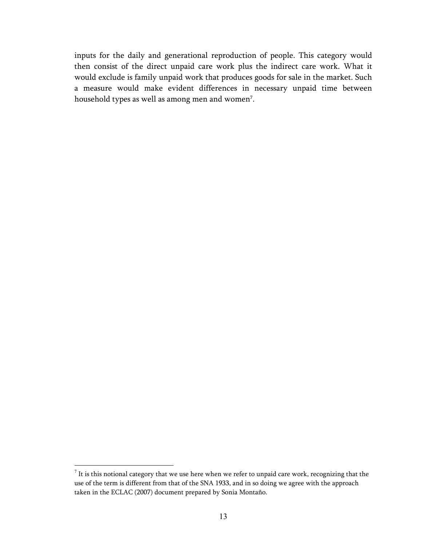inputs for the daily and generational reproduction of people. This category would then consist of the direct unpaid care work plus the indirect care work. What it would exclude is family unpaid work that produces goods for sale in the market. Such a measure would make evident differences in necessary unpaid time between household types as well as among men and women<sup>7</sup>.

 $\overline{a}$ 

 $7$  It is this notional category that we use here when we refer to unpaid care work, recognizing that the use of the term is different from that of the SNA 1933, and in so doing we agree with the approach taken in the ECLAC (2007) document prepared by Sonia Montaño.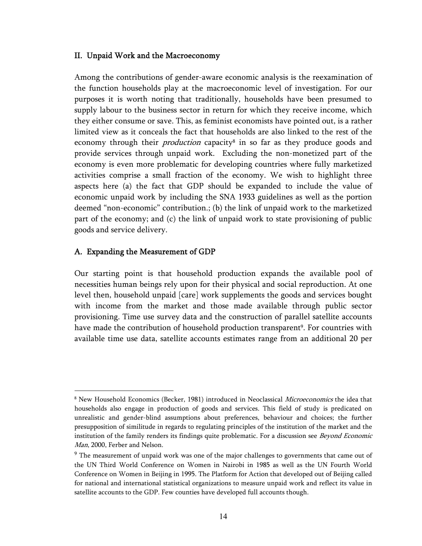#### II. Unpaid Work and the Macroeconomy

Among the contributions of gender-aware economic analysis is the reexamination of the function households play at the macroeconomic level of investigation. For our purposes it is worth noting that traditionally, households have been presumed to supply labour to the business sector in return for which they receive income, which they either consume or save. This, as feminist economists have pointed out, is a rather limited view as it conceals the fact that households are also linked to the rest of the economy through their *production* capacity<sup>8</sup> in so far as they produce goods and provide services through unpaid work. Excluding the non-monetized part of the economy is even more problematic for developing countries where fully marketized activities comprise a small fraction of the economy. We wish to highlight three aspects here (a) the fact that GDP should be expanded to include the value of economic unpaid work by including the SNA 1933 guidelines as well as the portion deemed "non-economic" contribution.; (b) the link of unpaid work to the marketized part of the economy; and (c) the link of unpaid work to state provisioning of public goods and service delivery.

## A. Expanding the Measurement of GDP

 $\overline{a}$ 

Our starting point is that household production expands the available pool of necessities human beings rely upon for their physical and social reproduction. At one level then, household unpaid [care] work supplements the goods and services bought with income from the market and those made available through public sector provisioning. Time use survey data and the construction of parallel satellite accounts have made the contribution of household production transparent<sup>9</sup>. For countries with available time use data, satellite accounts estimates range from an additional 20 per

<sup>&</sup>lt;sup>8</sup> New Household Economics (Becker, 1981) introduced in Neoclassical *Microeconomics* the idea that households also engage in production of goods and services. This field of study is predicated on unrealistic and gender-blind assumptions about preferences, behaviour and choices; the further presupposition of similitude in regards to regulating principles of the institution of the market and the institution of the family renders its findings quite problematic. For a discussion see Beyond Economic Man, 2000, Ferber and Nelson.

<sup>&</sup>lt;sup>9</sup> The measurement of unpaid work was one of the major challenges to governments that came out of the UN Third World Conference on Women in Nairobi in 1985 as well as the UN Fourth World Conference on Women in Beijing in 1995. The Platform for Action that developed out of Beijing called for national and international statistical organizations to measure unpaid work and reflect its value in satellite accounts to the GDP. Few counties have developed full accounts though.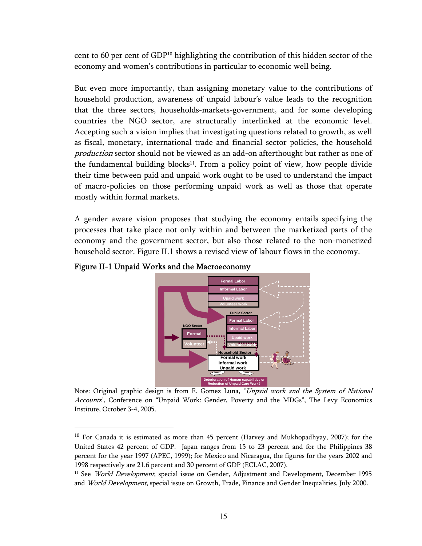cent to 60 per cent of GDP<sup>10</sup> highlighting the contribution of this hidden sector of the economy and women's contributions in particular to economic well being.

But even more importantly, than assigning monetary value to the contributions of household production, awareness of unpaid labour's value leads to the recognition that the three sectors, households-markets-government, and for some developing countries the NGO sector, are structurally interlinked at the economic level. Accepting such a vision implies that investigating questions related to growth, as well as fiscal, monetary, international trade and financial sector policies, the household production sector should not be viewed as an add-on afterthought but rather as one of the fundamental building blocks<sup>11</sup>. From a policy point of view, how people divide their time between paid and unpaid work ought to be used to understand the impact of macro-policies on those performing unpaid work as well as those that operate mostly within formal markets.

A gender aware vision proposes that studying the economy entails specifying the processes that take place not only within and between the marketized parts of the economy and the government sector, but also those related to the non-monetized household sector. Figure II.1 shows a revised view of labour flows in the economy.

#### **Formal Labor Informal Labor Formal Volunteer Household Sector NGO Sector Deterioration of Human capabilities or Reduction of Unpaid Care Work? Formal work Informal work Unpaid work Upaid work Volunteer work Formal Labor Informal Labor Upaid work Volunteer work Public Sector**

#### Figure II-1 Unpaid Works and the Macroeconomy

 $\overline{a}$ 

Note: Original graphic design is from E. Gomez Luna, "*Unpaid work and the System of National* Accounts", Conference on "Unpaid Work: Gender, Poverty and the MDGs", The Levy Economics Institute, October 3-4, 2005.

<sup>&</sup>lt;sup>10</sup> For Canada it is estimated as more than 45 percent (Harvey and Mukhopadhyay, 2007); for the United States 42 percent of GDP. Japan ranges from 15 to 23 percent and for the Philippines 38 percent for the year 1997 (APEC, 1999); for Mexico and Nicaragua, the figures for the years 2002 and 1998 respectively are 21.6 percent and 30 percent of GDP (ECLAC, 2007).

<sup>&</sup>lt;sup>11</sup> See World Development, special issue on Gender, Adjustment and Development, December 1995 and World Development, special issue on Growth, Trade, Finance and Gender Inequalities, July 2000.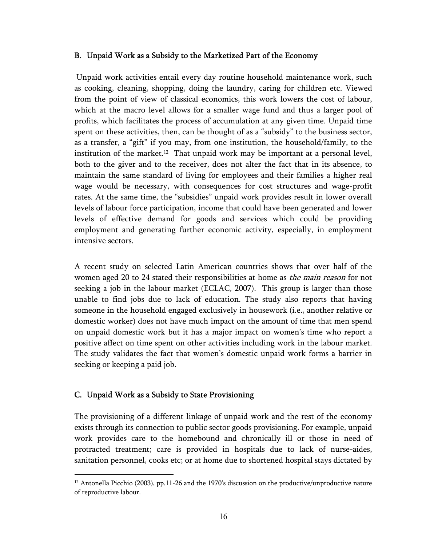## B. Unpaid Work as a Subsidy to the Marketized Part of the Economy

 Unpaid work activities entail every day routine household maintenance work, such as cooking, cleaning, shopping, doing the laundry, caring for children etc. Viewed from the point of view of classical economics, this work lowers the cost of labour, which at the macro level allows for a smaller wage fund and thus a larger pool of profits, which facilitates the process of accumulation at any given time. Unpaid time spent on these activities, then, can be thought of as a "subsidy" to the business sector, as a transfer, a "gift" if you may, from one institution, the household/family, to the institution of the market.<sup>12</sup> That unpaid work may be important at a personal level, both to the giver and to the receiver, does not alter the fact that in its absence, to maintain the same standard of living for employees and their families a higher real wage would be necessary, with consequences for cost structures and wage-profit rates. At the same time, the "subsidies" unpaid work provides result in lower overall levels of labour force participation, income that could have been generated and lower levels of effective demand for goods and services which could be providing employment and generating further economic activity, especially, in employment intensive sectors.

A recent study on selected Latin American countries shows that over half of the women aged 20 to 24 stated their responsibilities at home as *the main reason* for not seeking a job in the labour market (ECLAC, 2007). This group is larger than those unable to find jobs due to lack of education. The study also reports that having someone in the household engaged exclusively in housework (i.e., another relative or domestic worker) does not have much impact on the amount of time that men spend on unpaid domestic work but it has a major impact on women's time who report a positive affect on time spent on other activities including work in the labour market. The study validates the fact that women's domestic unpaid work forms a barrier in seeking or keeping a paid job.

## C. Unpaid Work as a Subsidy to State Provisioning

1

The provisioning of a different linkage of unpaid work and the rest of the economy exists through its connection to public sector goods provisioning. For example, unpaid work provides care to the homebound and chronically ill or those in need of protracted treatment; care is provided in hospitals due to lack of nurse-aides, sanitation personnel, cooks etc; or at home due to shortened hospital stays dictated by

 $12$  Antonella Picchio (2003), pp.11-26 and the 1970's discussion on the productive/unproductive nature of reproductive labour.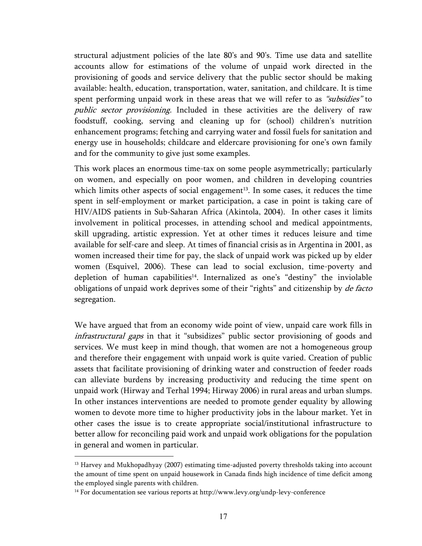structural adjustment policies of the late 80's and 90's. Time use data and satellite accounts allow for estimations of the volume of unpaid work directed in the provisioning of goods and service delivery that the public sector should be making available: health, education, transportation, water, sanitation, and childcare. It is time spent performing unpaid work in these areas that we will refer to as "subsidies" to public sector provisioning. Included in these activities are the delivery of raw foodstuff, cooking, serving and cleaning up for (school) children's nutrition enhancement programs; fetching and carrying water and fossil fuels for sanitation and energy use in households; childcare and eldercare provisioning for one's own family and for the community to give just some examples.

This work places an enormous time-tax on some people asymmetrically; particularly on women, and especially on poor women, and children in developing countries which limits other aspects of social engagement<sup>13</sup>. In some cases, it reduces the time spent in self-employment or market participation, a case in point is taking care of HIV/AIDS patients in Sub-Saharan Africa (Akintola, 2004). In other cases it limits involvement in political processes, in attending school and medical appointments, skill upgrading, artistic expression. Yet at other times it reduces leisure and time available for self-care and sleep. At times of financial crisis as in Argentina in 2001, as women increased their time for pay, the slack of unpaid work was picked up by elder women (Esquivel, 2006). These can lead to social exclusion, time-poverty and depletion of human capabilities<sup>14</sup>. Internalized as one's "destiny" the inviolable obligations of unpaid work deprives some of their "rights" and citizenship by *de facto* segregation.

We have argued that from an economy wide point of view, unpaid care work fills in infrastructural gaps in that it "subsidizes" public sector provisioning of goods and services. We must keep in mind though, that women are not a homogeneous group and therefore their engagement with unpaid work is quite varied. Creation of public assets that facilitate provisioning of drinking water and construction of feeder roads can alleviate burdens by increasing productivity and reducing the time spent on unpaid work (Hirway and Terhal 1994; Hirway 2006) in rural areas and urban slumps. In other instances interventions are needed to promote gender equality by allowing women to devote more time to higher productivity jobs in the labour market. Yet in other cases the issue is to create appropriate social/institutional infrastructure to better allow for reconciling paid work and unpaid work obligations for the population in general and women in particular.

1

<sup>&</sup>lt;sup>13</sup> Harvey and Mukhopadhyay (2007) estimating time-adjusted poverty thresholds taking into account the amount of time spent on unpaid housework in Canada finds high incidence of time deficit among the employed single parents with children.

<sup>14</sup> For documentation see various reports at http://www.levy.org/undp-levy-conference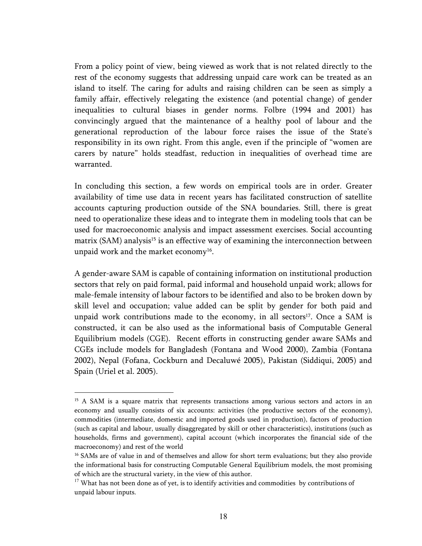From a policy point of view, being viewed as work that is not related directly to the rest of the economy suggests that addressing unpaid care work can be treated as an island to itself. The caring for adults and raising children can be seen as simply a family affair, effectively relegating the existence (and potential change) of gender inequalities to cultural biases in gender norms. Folbre (1994 and 2001) has convincingly argued that the maintenance of a healthy pool of labour and the generational reproduction of the labour force raises the issue of the State's responsibility in its own right. From this angle, even if the principle of "women are carers by nature" holds steadfast, reduction in inequalities of overhead time are warranted.

In concluding this section, a few words on empirical tools are in order. Greater availability of time use data in recent years has facilitated construction of satellite accounts capturing production outside of the SNA boundaries. Still, there is great need to operationalize these ideas and to integrate them in modeling tools that can be used for macroeconomic analysis and impact assessment exercises. Social accounting matrix (SAM) analysis<sup>15</sup> is an effective way of examining the interconnection between unpaid work and the market economy<sup>16</sup>.

A gender-aware SAM is capable of containing information on institutional production sectors that rely on paid formal, paid informal and household unpaid work; allows for male-female intensity of labour factors to be identified and also to be broken down by skill level and occupation; value added can be split by gender for both paid and unpaid work contributions made to the economy, in all sectors<sup>17</sup>. Once a SAM is constructed, it can be also used as the informational basis of Computable General Equilibrium models (CGE). Recent efforts in constructing gender aware SAMs and CGEs include models for Bangladesh (Fontana and Wood 2000), Zambia (Fontana 2002), Nepal (Fofana, Cockburn and Decaluwé 2005), Pakistan (Siddiqui, 2005) and Spain (Uriel et al. 2005).

 $\overline{a}$ 

<sup>&</sup>lt;sup>15</sup> A SAM is a square matrix that represents transactions among various sectors and actors in an economy and usually consists of six accounts: activities (the productive sectors of the economy), commodities (intermediate, domestic and imported goods used in production), factors of production (such as capital and labour, usually disaggregated by skill or other characteristics), institutions (such as households, firms and government), capital account (which incorporates the financial side of the macroeconomy) and rest of the world

<sup>&</sup>lt;sup>16</sup> SAMs are of value in and of themselves and allow for short term evaluations; but they also provide the informational basis for constructing Computable General Equilibrium models, the most promising of which are the structural variety, in the view of this author.

 $17$  What has not been done as of yet, is to identify activities and commodities by contributions of unpaid labour inputs.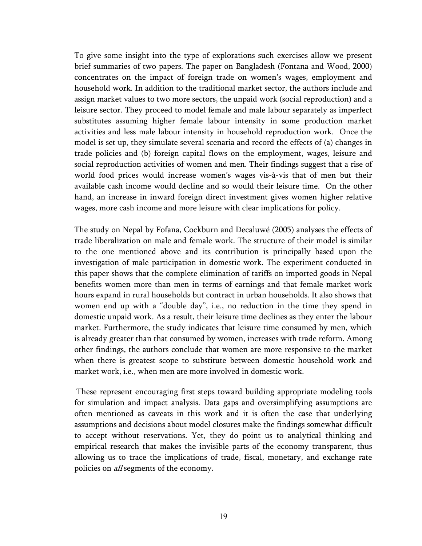To give some insight into the type of explorations such exercises allow we present brief summaries of two papers. The paper on Bangladesh (Fontana and Wood, 2000) concentrates on the impact of foreign trade on women's wages, employment and household work. In addition to the traditional market sector, the authors include and assign market values to two more sectors, the unpaid work (social reproduction) and a leisure sector. They proceed to model female and male labour separately as imperfect substitutes assuming higher female labour intensity in some production market activities and less male labour intensity in household reproduction work. Once the model is set up, they simulate several scenaria and record the effects of (a) changes in trade policies and (b) foreign capital flows on the employment, wages, leisure and social reproduction activities of women and men. Their findings suggest that a rise of world food prices would increase women's wages vis-à-vis that of men but their available cash income would decline and so would their leisure time. On the other hand, an increase in inward foreign direct investment gives women higher relative wages, more cash income and more leisure with clear implications for policy.

The study on Nepal by Fofana, Cockburn and Decaluwé (2005) analyses the effects of trade liberalization on male and female work. The structure of their model is similar to the one mentioned above and its contribution is principally based upon the investigation of male participation in domestic work. The experiment conducted in this paper shows that the complete elimination of tariffs on imported goods in Nepal benefits women more than men in terms of earnings and that female market work hours expand in rural households but contract in urban households. It also shows that women end up with a "double day", i.e., no reduction in the time they spend in domestic unpaid work. As a result, their leisure time declines as they enter the labour market. Furthermore, the study indicates that leisure time consumed by men, which is already greater than that consumed by women, increases with trade reform. Among other findings, the authors conclude that women are more responsive to the market when there is greatest scope to substitute between domestic household work and market work, i.e., when men are more involved in domestic work.

These represent encouraging first steps toward building appropriate modeling tools for simulation and impact analysis. Data gaps and oversimplifying assumptions are often mentioned as caveats in this work and it is often the case that underlying assumptions and decisions about model closures make the findings somewhat difficult to accept without reservations. Yet, they do point us to analytical thinking and empirical research that makes the invisible parts of the economy transparent, thus allowing us to trace the implications of trade, fiscal, monetary, and exchange rate policies on *all* segments of the economy.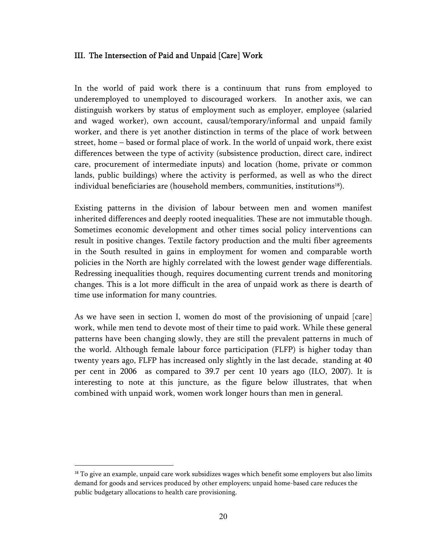# III. The Intersection of Paid and Unpaid [Care] Work

In the world of paid work there is a continuum that runs from employed to underemployed to unemployed to discouraged workers. In another axis, we can distinguish workers by status of employment such as employer, employee (salaried and waged worker), own account, causal/temporary/informal and unpaid family worker, and there is yet another distinction in terms of the place of work between street, home – based or formal place of work. In the world of unpaid work, there exist differences between the type of activity (subsistence production, direct care, indirect care, procurement of intermediate inputs) and location (home, private or common lands, public buildings) where the activity is performed, as well as who the direct individual beneficiaries are (household members, communities, institutions<sup>18</sup>).

Existing patterns in the division of labour between men and women manifest inherited differences and deeply rooted inequalities. These are not immutable though. Sometimes economic development and other times social policy interventions can result in positive changes. Textile factory production and the multi fiber agreements in the South resulted in gains in employment for women and comparable worth policies in the North are highly correlated with the lowest gender wage differentials. Redressing inequalities though, requires documenting current trends and monitoring changes. This is a lot more difficult in the area of unpaid work as there is dearth of time use information for many countries.

As we have seen in section I, women do most of the provisioning of unpaid [care] work, while men tend to devote most of their time to paid work. While these general patterns have been changing slowly, they are still the prevalent patterns in much of the world. Although female labour force participation (FLFP) is higher today than twenty years ago, FLFP has increased only slightly in the last decade, standing at 40 per cent in 2006 as compared to 39.7 per cent 10 years ago (ILO, 2007). It is interesting to note at this juncture, as the figure below illustrates, that when combined with unpaid work, women work longer hours than men in general.

1

<sup>&</sup>lt;sup>18</sup> To give an example, unpaid care work subsidizes wages which benefit some employers but also limits demand for goods and services produced by other employers; unpaid home-based care reduces the public budgetary allocations to health care provisioning.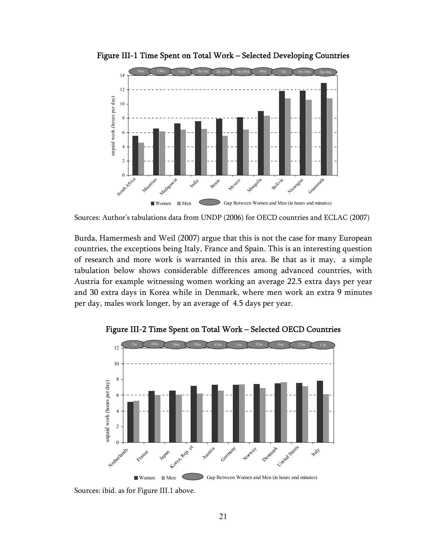

Figure III-1 Time Spent on Total Work – Selected Developing Countries

Sources: Author's tabulations data from UNDP (2006) for OECD countries and ECLAC (2007)

Burda, Hamermesh and Weil (2007) argue that this is not the case for many European countries, the exceptions being Italy, France and Spain. This is an interesting question of research and more work is warranted in this area. Be that as it may, a simple tabulation below shows considerable differences among advanced countries, with Austria for example witnessing women working an average 22.5 extra days per year and 30 extra days in Korea while in Denmark, where men work an extra 9 minutes per day, males work longer, by an average of 4.5 days per year.



Figure III-2 Time Spent on Total Work – Selected OECD Countries

Sources: ibid. as for Figure III.1 above.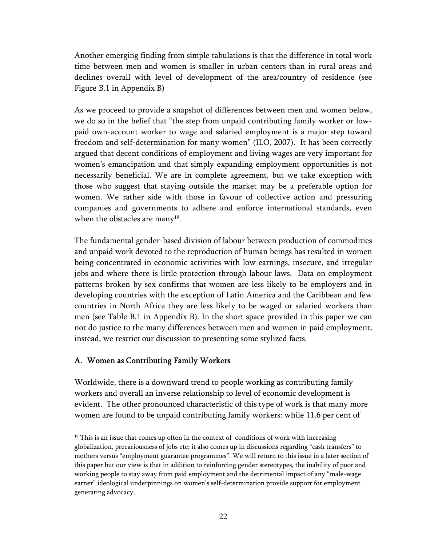Another emerging finding from simple tabulations is that the difference in total work time between men and women is smaller in urban centers than in rural areas and declines overall with level of development of the area/country of residence (see Figure B.1 in Appendix B)

As we proceed to provide a snapshot of differences between men and women below, we do so in the belief that "the step from unpaid contributing family worker or lowpaid own-account worker to wage and salaried employment is a major step toward freedom and self-determination for many women" (ILO, 2007). It has been correctly argued that decent conditions of employment and living wages are very important for women's emancipation and that simply expanding employment opportunities is not necessarily beneficial. We are in complete agreement, but we take exception with those who suggest that staying outside the market may be a preferable option for women. We rather side with those in favour of collective action and pressuring companies and governments to adhere and enforce international standards, even when the obstacles are many<sup>19</sup>.

The fundamental gender-based division of labour between production of commodities and unpaid work devoted to the reproduction of human beings has resulted in women being concentrated in economic activities with low earnings, insecure, and irregular jobs and where there is little protection through labour laws. Data on employment patterns broken by sex confirms that women are less likely to be employers and in developing countries with the exception of Latin America and the Caribbean and few countries in North Africa they are less likely to be waged or salaried workers than men (see Table B.1 in Appendix B). In the short space provided in this paper we can not do justice to the many differences between men and women in paid employment, instead, we restrict our discussion to presenting some stylized facts.

## A. Women as Contributing Family Workers

 $\overline{a}$ 

Worldwide, there is a downward trend to people working as contributing family workers and overall an inverse relationship to level of economic development is evident. The other pronounced characteristic of this type of work is that many more women are found to be unpaid contributing family workers: while 11.6 per cent of

<sup>&</sup>lt;sup>19</sup> This is an issue that comes up often in the context of conditions of work with increasing globalization, precariousness of jobs etc; it also comes up in discussions regarding "cash transfers" to mothers versus "employment guarantee programmes". We will return to this issue in a later section of this paper but our view is that in addition to reinforcing gender stereotypes, the inability of poor and working people to stay away from paid employment and the detrimental impact of any "male-wage earner" ideological underpinnings on women's self-determination provide support for employment generating advocacy.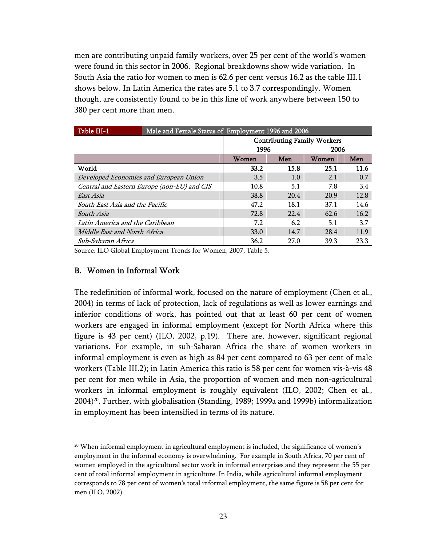men are contributing unpaid family workers, over 25 per cent of the world's women were found in this sector in 2006. Regional breakdowns show wide variation. In South Asia the ratio for women to men is 62.6 per cent versus 16.2 as the table III.1 shows below. In Latin America the rates are 5.1 to 3.7 correspondingly. Women though, are consistently found to be in this line of work anywhere between 150 to 380 per cent more than men.

| Table III-1                                 | Male and Female Status of Employment 1996 and 2006 |       |      |       |      |  |  |  |  |
|---------------------------------------------|----------------------------------------------------|-------|------|-------|------|--|--|--|--|
|                                             | <b>Contributing Family Workers</b>                 |       |      |       |      |  |  |  |  |
|                                             | 1996                                               |       | 2006 |       |      |  |  |  |  |
|                                             |                                                    | Women | Men  | Women | Men  |  |  |  |  |
| World                                       |                                                    | 33.2  | 15.8 | 25.1  | 11.6 |  |  |  |  |
| Developed Economies and European Union      |                                                    | 3.5   | 1.0  | 2.1   | 0.7  |  |  |  |  |
| Central and Eastern Europe (non-EU) and CIS |                                                    | 10.8  | 5.1  | 7.8   | 3.4  |  |  |  |  |
| East Asia                                   |                                                    | 38.8  | 20.4 | 20.9  | 12.8 |  |  |  |  |
| South East Asia and the Pacific             |                                                    | 47.2  | 18.1 | 37.1  | 14.6 |  |  |  |  |
| South Asia                                  |                                                    | 72.8  | 22.4 | 62.6  | 16.2 |  |  |  |  |
| Latin America and the Caribbean             |                                                    | 7.2   | 6.2  | 5.1   | 3.7  |  |  |  |  |
| Middle East and North Africa                |                                                    | 33.0  | 14.7 | 28.4  | 11.9 |  |  |  |  |
| Sub-Saharan Africa                          |                                                    | 36.2  | 27.0 | 39.3  | 23.3 |  |  |  |  |

Source: ILO Global Employment Trends for Women, 2007, Table 5.

#### B. Women in Informal Work

 $\overline{a}$ 

The redefinition of informal work, focused on the nature of employment (Chen et al., 2004) in terms of lack of protection, lack of regulations as well as lower earnings and inferior conditions of work, has pointed out that at least 60 per cent of women workers are engaged in informal employment (except for North Africa where this figure is 43 per cent) (ILO, 2002, p.19). There are, however, significant regional variations. For example, in sub-Saharan Africa the share of women workers in informal employment is even as high as 84 per cent compared to 63 per cent of male workers (Table III.2); in Latin America this ratio is 58 per cent for women vis-à-vis 48 per cent for men while in Asia, the proportion of women and men non-agricultural workers in informal employment is roughly equivalent (ILO, 2002; Chen et al., 2004)20. Further, with globalisation (Standing, 1989; 1999a and 1999b) informalization in employment has been intensified in terms of its nature.

<sup>&</sup>lt;sup>20</sup> When informal employment in agricultural employment is included, the significance of women's employment in the informal economy is overwhelming. For example in South Africa, 70 per cent of women employed in the agricultural sector work in informal enterprises and they represent the 55 per cent of total informal employment in agriculture. In India, while agricultural informal employment corresponds to 78 per cent of women's total informal employment, the same figure is 58 per cent for men (ILO, 2002).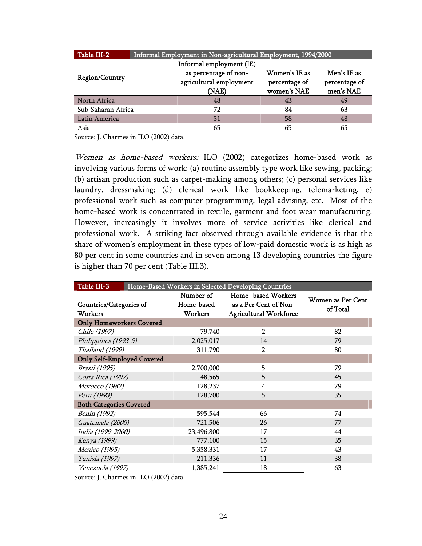| Table III-2           | Informal Employment in Non-agricultural Employment, 1994/2000                         |                                               |                                           |  |  |  |  |  |
|-----------------------|---------------------------------------------------------------------------------------|-----------------------------------------------|-------------------------------------------|--|--|--|--|--|
| <b>Region/Country</b> | Informal employment (IE)<br>as percentage of non-<br>agricultural employment<br>(NAE) | Women's IE as<br>percentage of<br>women's NAE | Men's IE as<br>percentage of<br>men's NAE |  |  |  |  |  |
| North Africa          | 48                                                                                    | 43                                            | 49                                        |  |  |  |  |  |
| Sub-Saharan Africa    | 72                                                                                    | 84                                            | 63                                        |  |  |  |  |  |
| Latin America         | 51                                                                                    | 58                                            | 48                                        |  |  |  |  |  |
| Asia                  | 65                                                                                    | 65                                            | 65                                        |  |  |  |  |  |

Source: J. Charmes in ILO (2002) data.

Women as home-based workers: ILO (2002) categorizes home-based work as involving various forms of work: (a) routine assembly type work like sewing, packing; (b) artisan production such as carpet-making among others; (c) personal services like laundry, dressmaking; (d) clerical work like bookkeeping, telemarketing, e) professional work such as computer programming, legal advising, etc. Most of the home-based work is concentrated in textile, garment and foot wear manufacturing. However, increasingly it involves more of service activities like clerical and professional work. A striking fact observed through available evidence is that the share of women's employment in these types of low-paid domestic work is as high as 80 per cent in some countries and in seven among 13 developing countries the figure is higher than 70 per cent (Table III.3).

| Table III-3<br>Home-Based Workers in Selected Developing Countries |                                           |                                                                              |                               |  |  |  |  |
|--------------------------------------------------------------------|-------------------------------------------|------------------------------------------------------------------------------|-------------------------------|--|--|--|--|
| Countries/Categories of<br>Workers                                 | Number of<br>Home-based<br><b>Workers</b> | Home-based Workers<br>as a Per Cent of Non-<br><b>Agricultural Workforce</b> | Women as Per Cent<br>of Total |  |  |  |  |
| <b>Only Homeworkers Covered</b>                                    |                                           |                                                                              |                               |  |  |  |  |
| Chile (1997)                                                       | 79,740                                    | $\overline{2}$                                                               | 82                            |  |  |  |  |
| Philippines (1993-5)                                               | 2,025,017                                 | 14                                                                           | 79                            |  |  |  |  |
| Thailand (1999)                                                    | 311,790                                   | $\mathfrak{p}$                                                               | 80                            |  |  |  |  |
| <b>Only Self-Employed Covered</b>                                  |                                           |                                                                              |                               |  |  |  |  |
| Brazil (1995)                                                      | 2,700,000                                 | 5                                                                            | 79                            |  |  |  |  |
| Costa Rica (1997)                                                  | 48,565                                    | 5                                                                            | 45                            |  |  |  |  |
| Morocco (1982)                                                     | 128,237                                   | 4                                                                            | 79                            |  |  |  |  |
| Peru (1993)                                                        | 128,700                                   | 5                                                                            | 35                            |  |  |  |  |
| <b>Both Categories Covered</b>                                     |                                           |                                                                              |                               |  |  |  |  |
| Benin (1992)                                                       | 595,544                                   | 66                                                                           | 74                            |  |  |  |  |
| Guatemala (2000)                                                   | 721,506                                   | 26                                                                           | 77                            |  |  |  |  |
| India (1999-2000)                                                  | 23,496,800                                | 17                                                                           | 44                            |  |  |  |  |
| Kenya (1999)                                                       | 777,100                                   | 15                                                                           | 35                            |  |  |  |  |
| Mexico (1995)                                                      | 5,358,331                                 | 17                                                                           | 43                            |  |  |  |  |
| Tunisia (1997)                                                     | 211,336                                   | 11                                                                           | 38                            |  |  |  |  |
| Venezuela (1997)                                                   | 1,385,241                                 | 18                                                                           | 63                            |  |  |  |  |

Source: J. Charmes in ILO (2002) data.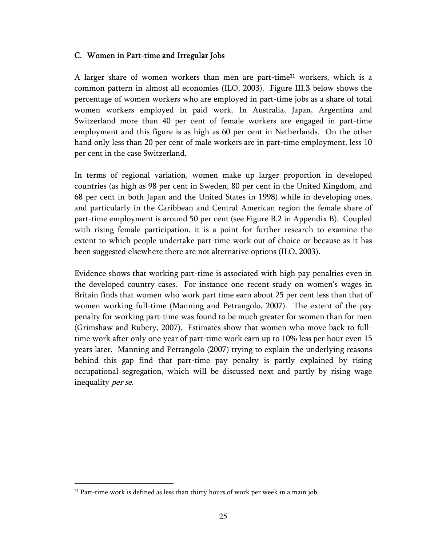## C. Women in Part-time and Irregular Jobs

A larger share of women workers than men are part-time<sup>21</sup> workers, which is a common pattern in almost all economies (ILO, 2003). Figure III.3 below shows the percentage of women workers who are employed in part-time jobs as a share of total women workers employed in paid work. In Australia, Japan, Argentina and Switzerland more than 40 per cent of female workers are engaged in part-time employment and this figure is as high as 60 per cent in Netherlands. On the other hand only less than 20 per cent of male workers are in part-time employment, less 10 per cent in the case Switzerland.

In terms of regional variation, women make up larger proportion in developed countries (as high as 98 per cent in Sweden, 80 per cent in the United Kingdom, and 68 per cent in both Japan and the United States in 1998) while in developing ones, and particularly in the Caribbean and Central American region the female share of part-time employment is around 50 per cent (see Figure B.2 in Appendix B). Coupled with rising female participation, it is a point for further research to examine the extent to which people undertake part-time work out of choice or because as it has been suggested elsewhere there are not alternative options (ILO, 2003).

Evidence shows that working part-time is associated with high pay penalties even in the developed country cases. For instance one recent study on women's wages in Britain finds that women who work part time earn about 25 per cent less than that of women working full-time (Manning and Petrangolo, 2007). The extent of the pay penalty for working part-time was found to be much greater for women than for men (Grimshaw and Rubery, 2007). Estimates show that women who move back to fulltime work after only one year of part-time work earn up to 10% less per hour even 15 years later. Manning and Petrangolo (2007) trying to explain the underlying reasons behind this gap find that part-time pay penalty is partly explained by rising occupational segregation, which will be discussed next and partly by rising wage inequality per se.

 $\overline{a}$ 

<sup>&</sup>lt;sup>21</sup> Part-time work is defined as less than thirty hours of work per week in a main job.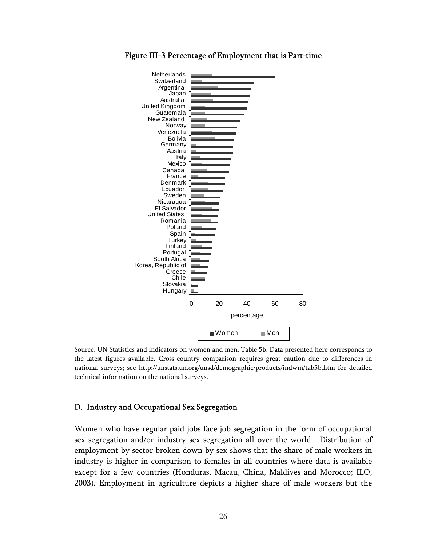

Figure III-3 Percentage of Employment that is Part-time

Source: UN Statistics and indicators on women and men, Table 5b. Data presented here corresponds to the latest figures available. Cross-country comparison requires great caution due to differences in national surveys; see http://unstats.un.org/unsd/demographic/products/indwm/tab5b.htm for detailed technical information on the national surveys.

#### D. Industry and Occupational Sex Segregation

Women who have regular paid jobs face job segregation in the form of occupational sex segregation and/or industry sex segregation all over the world. Distribution of employment by sector broken down by sex shows that the share of male workers in industry is higher in comparison to females in all countries where data is available except for a few countries (Honduras, Macau, China, Maldives and Morocco; ILO, 2003). Employment in agriculture depicts a higher share of male workers but the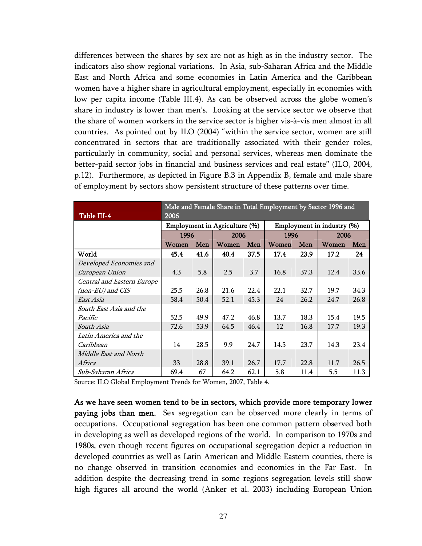differences between the shares by sex are not as high as in the industry sector. The indicators also show regional variations. In Asia, sub-Saharan Africa and the Middle East and North Africa and some economies in Latin America and the Caribbean women have a higher share in agricultural employment, especially in economies with low per capita income (Table III.4). As can be observed across the globe women's share in industry is lower than men's. Looking at the service sector we observe that the share of women workers in the service sector is higher vis-à-vis men almost in all countries. As pointed out by ILO (2004) "within the service sector, women are still concentrated in sectors that are traditionally associated with their gender roles, particularly in community, social and personal services, whereas men dominate the better-paid sector jobs in financial and business services and real estate" (ILO, 2004, p.12). Furthermore, as depicted in Figure B.3 in Appendix B, female and male share of employment by sectors show persistent structure of these patterns over time.

| Table III-4                  | Male and Female Share in Total Employment by Sector 1996 and<br>2006 |      |       |      |       |                            |       |      |  |
|------------------------------|----------------------------------------------------------------------|------|-------|------|-------|----------------------------|-------|------|--|
|                              | <b>Employment in Agriculture (%)</b>                                 |      |       |      |       | Employment in industry (%) |       |      |  |
|                              | 1996                                                                 |      | 2006  |      | 1996  |                            | 2006  |      |  |
|                              | Women                                                                | Men  | Women | Men  | Women | Men                        | Women | Men  |  |
| World                        | 45.4                                                                 | 41.6 | 40.4  | 37.5 | 17.4  | 23.9                       | 17.2  | 24   |  |
| Developed Economies and      |                                                                      |      |       |      |       |                            |       |      |  |
| European Union               | 4.3                                                                  | 5.8  | 2.5   | 3.7  | 16.8  | 37.3                       | 12.4  | 33.6 |  |
| Central and Eastern Europe   |                                                                      |      |       |      |       |                            |       |      |  |
| (non-EU) and CIS             | 25.5                                                                 | 26.8 | 21.6  | 22.4 | 22.1  | 32.7                       | 19.7  | 34.3 |  |
| East Asia                    | 58.4                                                                 | 50.4 | 52.1  | 45.3 | 24    | 26.2                       | 24.7  | 26.8 |  |
| South East Asia and the      |                                                                      |      |       |      |       |                            |       |      |  |
| <i>Pacific</i>               | 52.5                                                                 | 49.9 | 47.2  | 46.8 | 13.7  | 18.3                       | 15.4  | 19.5 |  |
| South Asia                   | 72.6                                                                 | 53.9 | 64.5  | 46.4 | 12    | 16.8                       | 17.7  | 19.3 |  |
| Latin America and the        |                                                                      |      |       |      |       |                            |       |      |  |
| Caribbean                    | 14                                                                   | 28.5 | 9.9   | 24.7 | 14.5  | 23.7                       | 14.3  | 23.4 |  |
| <i>Middle East and North</i> |                                                                      |      |       |      |       |                            |       |      |  |
| Africa                       | 33                                                                   | 28.8 | 39.1  | 26.7 | 17.7  | 22.8                       | 11.7  | 26.5 |  |
| Sub-Saharan Africa           | 69.4                                                                 | 67   | 64.2  | 62.1 | 5.8   | 11.4                       | 5.5   | 11.3 |  |

Source: ILO Global Employment Trends for Women, 2007, Table 4.

As we have seen women tend to be in sectors, which provide more temporary lower paying jobs than men. Sex segregation can be observed more clearly in terms of occupations. Occupational segregation has been one common pattern observed both in developing as well as developed regions of the world. In comparison to 1970s and 1980s, even though recent figures on occupational segregation depict a reduction in developed countries as well as Latin American and Middle Eastern counties, there is no change observed in transition economies and economies in the Far East. addition despite the decreasing trend in some regions segregation levels still show high figures all around the world (Anker et al. 2003) including European Union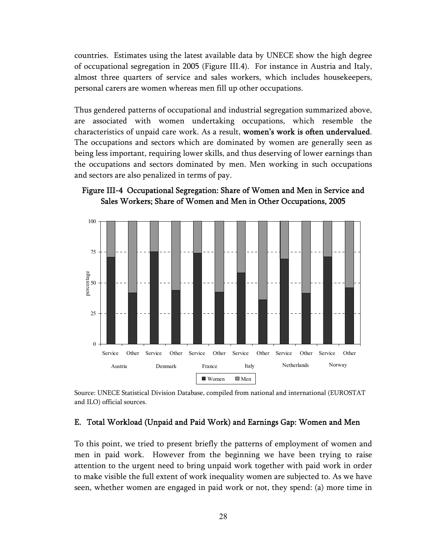countries. Estimates using the latest available data by UNECE show the high degree of occupational segregation in 2005 (Figure III.4). For instance in Austria and Italy, almost three quarters of service and sales workers, which includes housekeepers, personal carers are women whereas men fill up other occupations.

Thus gendered patterns of occupational and industrial segregation summarized above, are associated with women undertaking occupations, which resemble the characteristics of unpaid care work. As a result, women's work is often undervalued. The occupations and sectors which are dominated by women are generally seen as being less important, requiring lower skills, and thus deserving of lower earnings than the occupations and sectors dominated by men. Men working in such occupations and sectors are also penalized in terms of pay.

# Figure III-4 Occupational Segregation: Share of Women and Men in Service and Sales Workers; Share of Women and Men in Other Occupations, 2005



Source: UNECE Statistical Division Database, compiled from national and international (EUROSTAT and ILO) official sources.

## E. Total Workload (Unpaid and Paid Work) and Earnings Gap: Women and Men

To this point, we tried to present briefly the patterns of employment of women and men in paid work. However from the beginning we have been trying to raise attention to the urgent need to bring unpaid work together with paid work in order to make visible the full extent of work inequality women are subjected to. As we have seen, whether women are engaged in paid work or not, they spend: (a) more time in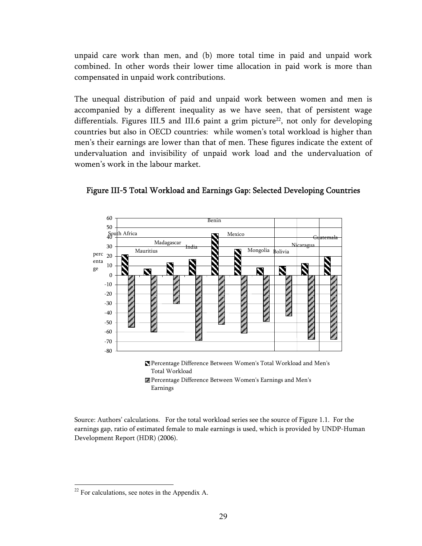unpaid care work than men, and (b) more total time in paid and unpaid work combined. In other words their lower time allocation in paid work is more than compensated in unpaid work contributions.

The unequal distribution of paid and unpaid work between women and men is accompanied by a different inequality as we have seen, that of persistent wage differentials. Figures III.5 and III.6 paint a grim picture<sup>22</sup>, not only for developing countries but also in OECD countries: while women's total workload is higher than men's their earnings are lower than that of men. These figures indicate the extent of undervaluation and invisibility of unpaid work load and the undervaluation of women's work in the labour market.



Figure III-5 Total Workload and Earnings Gap: Selected Developing Countries

Percentage Difference Between Women's Total Workload and Men's Total Workload

Percentage Difference Between Women's Earnings and Men's Earnings

Source: Authors' calculations. For the total workload series see the source of Figure 1.1. For the earnings gap, ratio of estimated female to male earnings is used, which is provided by UNDP-Human Development Report (HDR) (2006).

 $\overline{a}$ 

 $22$  For calculations, see notes in the Appendix A.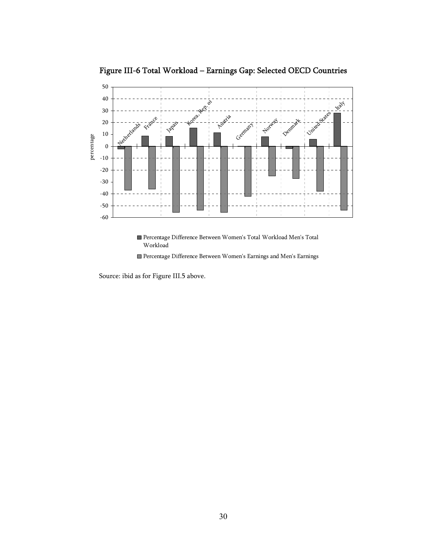

Figure III-6 Total Workload – Earnings Gap: Selected OECD Countries

Percentage Difference Between Women's Total Workload Men's Total Workload

 $\blacksquare$  <br> Percentage Difference Between Women's Earnings and Men's Earnings

Source: ibid as for Figure III.5 above.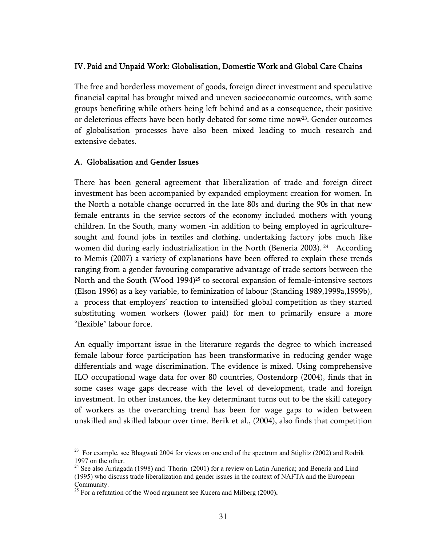## IV. Paid and Unpaid Work: Globalisation, Domestic Work and Global Care Chains

The free and borderless movement of goods, foreign direct investment and speculative financial capital has brought mixed and uneven socioeconomic outcomes, with some groups benefiting while others being left behind and as a consequence, their positive or deleterious effects have been hotly debated for some time now<sup>23</sup>. Gender outcomes of globalisation processes have also been mixed leading to much research and extensive debates.

## A. Globalisation and Gender Issues

There has been general agreement that liberalization of trade and foreign direct investment has been accompanied by expanded employment creation for women. In the North a notable change occurred in the late 80s and during the 90s in that new female entrants in the service sectors of the economy included mothers with young children. In the South, many women -in addition to being employed in agriculturesought and found jobs in textiles and clothing, undertaking factory jobs much like women did during early industrialization in the North (Beneria 2003).<sup>24</sup> According to Memis (2007) a variety of explanations have been offered to explain these trends ranging from a gender favouring comparative advantage of trade sectors between the North and the South (Wood 1994)<sup>25</sup> to sectoral expansion of female-intensive sectors (Elson 1996) as a key variable, to feminization of labour (Standing 1989,1999a,1999b), a process that employers' reaction to intensified global competition as they started substituting women workers (lower paid) for men to primarily ensure a more "flexible" labour force.

An equally important issue in the literature regards the degree to which increased female labour force participation has been transformative in reducing gender wage differentials and wage discrimination. The evidence is mixed. Using comprehensive ILO occupational wage data for over 80 countries, Oostendorp (2004), finds that in some cases wage gaps decrease with the level of development, trade and foreign investment. In other instances, the key determinant turns out to be the skill category of workers as the overarching trend has been for wage gaps to widen between unskilled and skilled labour over time. Berik et al., (2004), also finds that competition

 $\overline{a}$ 

<sup>&</sup>lt;sup>23</sup> For example, see Bhagwati 2004 for views on one end of the spectrum and Stiglitz (2002) and Rodrik 1997 on the other.

 $24$  See also Arriagada (1998) and Thorin (2001) for a review on Latin America; and Benería and Lind (1995) who discuss trade liberalization and gender issues in the context of NAFTA and the European Community.

<sup>&</sup>lt;sup>25</sup> For a refutation of the Wood argument see Kucera and Milberg (2000).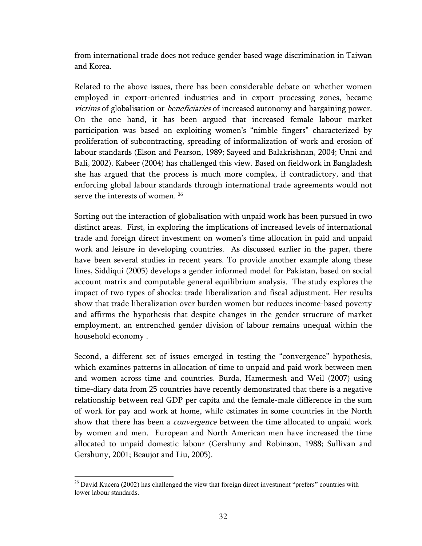from international trade does not reduce gender based wage discrimination in Taiwan and Korea.

Related to the above issues, there has been considerable debate on whether women employed in export-oriented industries and in export processing zones, became victims of globalisation or *beneficiaries* of increased autonomy and bargaining power. On the one hand, it has been argued that increased female labour market participation was based on exploiting women's "nimble fingers" characterized by proliferation of subcontracting, spreading of informalization of work and erosion of labour standards (Elson and Pearson, 1989; Sayeed and Balakrishnan, 2004; Unni and Bali, 2002). Kabeer (2004) has challenged this view. Based on fieldwork in Bangladesh she has argued that the process is much more complex, if contradictory, and that enforcing global labour standards through international trade agreements would not serve the interests of women. <sup>26</sup>

Sorting out the interaction of globalisation with unpaid work has been pursued in two distinct areas. First, in exploring the implications of increased levels of international trade and foreign direct investment on women's time allocation in paid and unpaid work and leisure in developing countries. As discussed earlier in the paper, there have been several studies in recent years. To provide another example along these lines, Siddiqui (2005) develops a gender informed model for Pakistan, based on social account matrix and computable general equilibrium analysis. The study explores the impact of two types of shocks: trade liberalization and fiscal adjustment. Her results show that trade liberalization over burden women but reduces income-based poverty and affirms the hypothesis that despite changes in the gender structure of market employment, an entrenched gender division of labour remains unequal within the household economy .

Second, a different set of issues emerged in testing the "convergence" hypothesis, which examines patterns in allocation of time to unpaid and paid work between men and women across time and countries. Burda, Hamermesh and Weil (2007) using time-diary data from 25 countries have recently demonstrated that there is a negative relationship between real GDP per capita and the female-male difference in the sum of work for pay and work at home, while estimates in some countries in the North show that there has been a *convergence* between the time allocated to unpaid work by women and men. European and North American men have increased the time allocated to unpaid domestic labour (Gershuny and Robinson, 1988; Sullivan and Gershuny, 2001; Beaujot and Liu, 2005).

1

 $26$  David Kucera (2002) has challenged the view that foreign direct investment "prefers" countries with lower labour standards.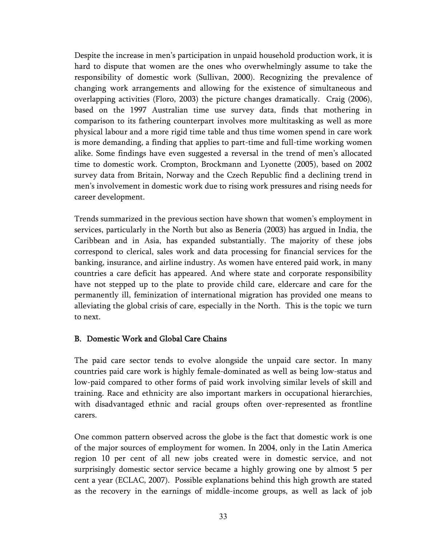Despite the increase in men's participation in unpaid household production work, it is hard to dispute that women are the ones who overwhelmingly assume to take the responsibility of domestic work (Sullivan, 2000). Recognizing the prevalence of changing work arrangements and allowing for the existence of simultaneous and overlapping activities (Floro, 2003) the picture changes dramatically. Craig (2006), based on the 1997 Australian time use survey data, finds that mothering in comparison to its fathering counterpart involves more multitasking as well as more physical labour and a more rigid time table and thus time women spend in care work is more demanding, a finding that applies to part-time and full-time working women alike. Some findings have even suggested a reversal in the trend of men's allocated time to domestic work. Crompton, Brockmann and Lyonette (2005), based on 2002 survey data from Britain, Norway and the Czech Republic find a declining trend in men's involvement in domestic work due to rising work pressures and rising needs for career development.

Trends summarized in the previous section have shown that women's employment in services, particularly in the North but also as Beneria (2003) has argued in India, the Caribbean and in Asia, has expanded substantially. The majority of these jobs correspond to clerical, sales work and data processing for financial services for the banking, insurance, and airline industry. As women have entered paid work, in many countries a care deficit has appeared. And where state and corporate responsibility have not stepped up to the plate to provide child care, eldercare and care for the permanently ill, feminization of international migration has provided one means to alleviating the global crisis of care, especially in the North. This is the topic we turn to next.

# B. Domestic Work and Global Care Chains

The paid care sector tends to evolve alongside the unpaid care sector. In many countries paid care work is highly female-dominated as well as being low-status and low-paid compared to other forms of paid work involving similar levels of skill and training. Race and ethnicity are also important markers in occupational hierarchies, with disadvantaged ethnic and racial groups often over-represented as frontline carers.

One common pattern observed across the globe is the fact that domestic work is one of the major sources of employment for women. In 2004, only in the Latin America region 10 per cent of all new jobs created were in domestic service, and not surprisingly domestic sector service became a highly growing one by almost 5 per cent a year (ECLAC, 2007). Possible explanations behind this high growth are stated as the recovery in the earnings of middle-income groups, as well as lack of job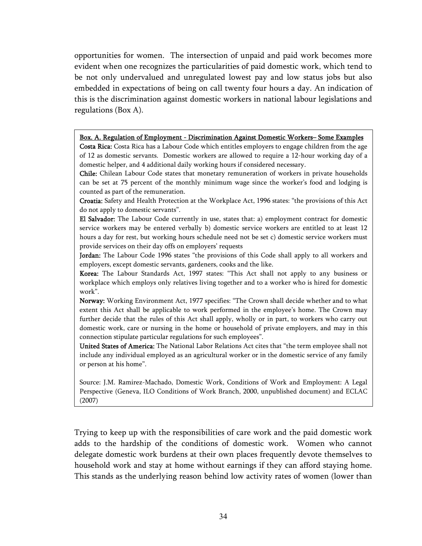opportunities for women. The intersection of unpaid and paid work becomes more evident when one recognizes the particularities of paid domestic work, which tend to be not only undervalued and unregulated lowest pay and low status jobs but also embedded in expectations of being on call twenty four hours a day. An indication of this is the discrimination against domestic workers in national labour legislations and regulations (Box A).

#### Box. A. Regulation of Employment - Discrimination Against Domestic Workers– Some Examples

Costa Rica: Costa Rica has a Labour Code which entitles employers to engage children from the age of 12 as domestic servants. Domestic workers are allowed to require a 12-hour working day of a domestic helper, and 4 additional daily working hours if considered necessary.

Chile: Chilean Labour Code states that monetary remuneration of workers in private households can be set at 75 percent of the monthly minimum wage since the worker's food and lodging is counted as part of the remuneration.

Croatia: Safety and Health Protection at the Workplace Act, 1996 states: "the provisions of this Act do not apply to domestic servants".

El Salvador: The Labour Code currently in use, states that: a) employment contract for domestic service workers may be entered verbally b) domestic service workers are entitled to at least 12 hours a day for rest, but working hours schedule need not be set c) domestic service workers must provide services on their day offs on employers' requests

Jordan: The Labour Code 1996 states "the provisions of this Code shall apply to all workers and employers, except domestic servants, gardeners, cooks and the like.

Korea: The Labour Standards Act, 1997 states: "This Act shall not apply to any business or workplace which employs only relatives living together and to a worker who is hired for domestic work".

Norway: Working Environment Act, 1977 specifies: "The Crown shall decide whether and to what extent this Act shall be applicable to work performed in the employee's home. The Crown may further decide that the rules of this Act shall apply, wholly or in part, to workers who carry out domestic work, care or nursing in the home or household of private employers, and may in this connection stipulate particular regulations for such employees".

United States of America: The National Labor Relations Act cites that "the term employee shall not include any individual employed as an agricultural worker or in the domestic service of any family or person at his home".

Source: J.M. Ramirez-Machado, Domestic Work, Conditions of Work and Employment: A Legal Perspective (Geneva, ILO Conditions of Work Branch, 2000, unpublished document) and ECLAC (2007)

Trying to keep up with the responsibilities of care work and the paid domestic work adds to the hardship of the conditions of domestic work. Women who cannot delegate domestic work burdens at their own places frequently devote themselves to household work and stay at home without earnings if they can afford staying home. This stands as the underlying reason behind low activity rates of women (lower than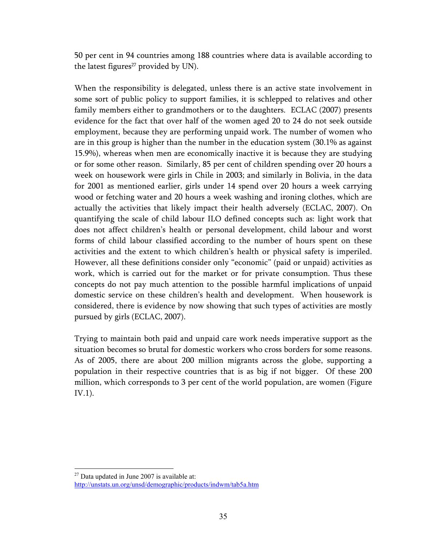50 per cent in 94 countries among 188 countries where data is available according to the latest figures<sup>27</sup> provided by UN).

When the responsibility is delegated, unless there is an active state involvement in some sort of public policy to support families, it is schlepped to relatives and other family members either to grandmothers or to the daughters. ECLAC (2007) presents evidence for the fact that over half of the women aged 20 to 24 do not seek outside employment, because they are performing unpaid work. The number of women who are in this group is higher than the number in the education system (30.1% as against 15.9%), whereas when men are economically inactive it is because they are studying or for some other reason. Similarly, 85 per cent of children spending over 20 hours a week on housework were girls in Chile in 2003; and similarly in Bolivia, in the data for 2001 as mentioned earlier, girls under 14 spend over 20 hours a week carrying wood or fetching water and 20 hours a week washing and ironing clothes, which are actually the activities that likely impact their health adversely (ECLAC, 2007). On quantifying the scale of child labour ILO defined concepts such as: light work that does not affect children's health or personal development, child labour and worst forms of child labour classified according to the number of hours spent on these activities and the extent to which children's health or physical safety is imperiled. However, all these definitions consider only "economic" (paid or unpaid) activities as work, which is carried out for the market or for private consumption. Thus these concepts do not pay much attention to the possible harmful implications of unpaid domestic service on these children's health and development. When housework is considered, there is evidence by now showing that such types of activities are mostly pursued by girls (ECLAC, 2007).

Trying to maintain both paid and unpaid care work needs imperative support as the situation becomes so brutal for domestic workers who cross borders for some reasons. As of 2005, there are about 200 million migrants across the globe, supporting a population in their respective countries that is as big if not bigger. Of these 200 million, which corresponds to 3 per cent of the world population, are women (Figure IV.1).

 $\overline{a}$  $27$  Data updated in June 2007 is available at: http://unstats.un.org/unsd/demographic/products/indwm/tab5a.htm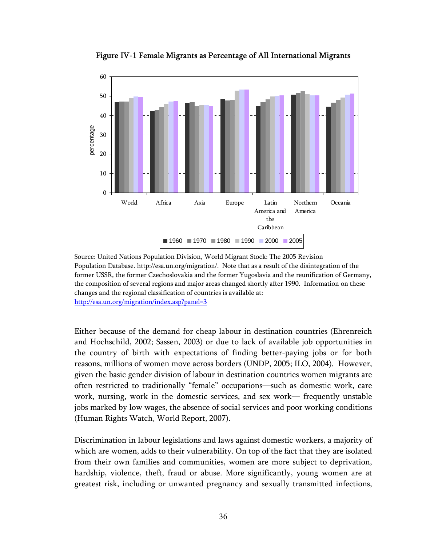

Figure IV-1 Female Migrants as Percentage of All International Migrants

Source: United Nations Population Division, World Migrant Stock: The 2005 Revision Population Database. http://esa.un.org/migration/. Note that as a result of the disintegration of the former USSR, the former Czechoslovakia and the former Yugoslavia and the reunification of Germany, the composition of several regions and major areas changed shortly after 1990. Information on these changes and the regional classification of countries is available at: http://esa.un.org/migration/index.asp?panel=3

Either because of the demand for cheap labour in destination countries (Ehrenreich and Hochschild, 2002; Sassen, 2003) or due to lack of available job opportunities in the country of birth with expectations of finding better-paying jobs or for both reasons, millions of women move across borders (UNDP, 2005; ILO, 2004). However, given the basic gender division of labour in destination countries women migrants are often restricted to traditionally "female" occupations—such as domestic work, care work, nursing, work in the domestic services, and sex work— frequently unstable jobs marked by low wages, the absence of social services and poor working conditions (Human Rights Watch, World Report, 2007).

Discrimination in labour legislations and laws against domestic workers, a majority of which are women, adds to their vulnerability. On top of the fact that they are isolated from their own families and communities, women are more subject to deprivation, hardship, violence, theft, fraud or abuse. More significantly, young women are at greatest risk, including or unwanted pregnancy and sexually transmitted infections,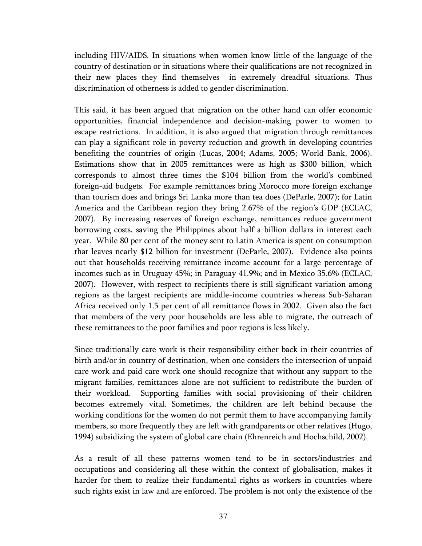including HIV/AIDS. In situations when women know little of the language of the country of destination or in situations where their qualifications are not recognized in their new places they find themselves in extremely dreadful situations. Thus discrimination of otherness is added to gender discrimination.

This said, it has been argued that migration on the other hand can offer economic opportunities, financial independence and decision-making power to women to escape restrictions. In addition, it is also argued that migration through remittances can play a significant role in poverty reduction and growth in developing countries benefiting the countries of origin (Lucas, 2004; Adams, 2005; World Bank, 2006). Estimations show that in 2005 remittances were as high as \$300 billion, which corresponds to almost three times the \$104 billion from the world's combined foreign-aid budgets. For example remittances bring Morocco more foreign exchange than tourism does and brings Sri Lanka more than tea does (DeParle, 2007); for Latin America and the Caribbean region they bring 2.67% of the region's GDP (ECLAC, 2007). By increasing reserves of foreign exchange, remittances reduce government borrowing costs, saving the Philippines about half a billion dollars in interest each year. While 80 per cent of the money sent to Latin America is spent on consumption that leaves nearly \$12 billion for investment (DeParle, 2007). Evidence also points out that households receiving remittance income account for a large percentage of incomes such as in Uruguay 45%; in Paraguay 41.9%; and in Mexico 35.6% (ECLAC, 2007). However, with respect to recipients there is still significant variation among regions as the largest recipients are middle-income countries whereas Sub-Saharan Africa received only 1.5 per cent of all remittance flows in 2002. Given also the fact that members of the very poor households are less able to migrate, the outreach of these remittances to the poor families and poor regions is less likely.

Since traditionally care work is their responsibility either back in their countries of birth and/or in country of destination, when one considers the intersection of unpaid care work and paid care work one should recognize that without any support to the migrant families, remittances alone are not sufficient to redistribute the burden of their workload. Supporting families with social provisioning of their children becomes extremely vital. Sometimes, the children are left behind because the working conditions for the women do not permit them to have accompanying family members, so more frequently they are left with grandparents or other relatives (Hugo, 1994) subsidizing the system of global care chain (Ehrenreich and Hochschild, 2002).

As a result of all these patterns women tend to be in sectors/industries and occupations and considering all these within the context of globalisation, makes it harder for them to realize their fundamental rights as workers in countries where such rights exist in law and are enforced. The problem is not only the existence of the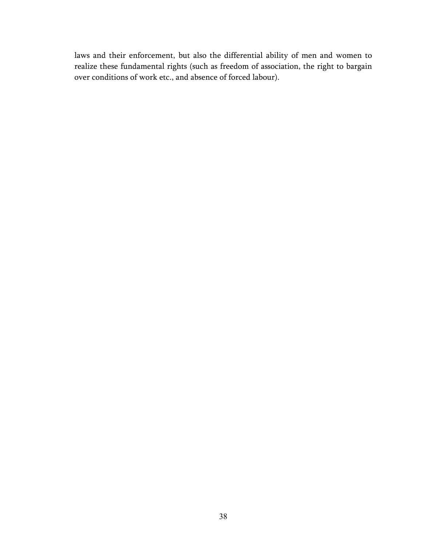laws and their enforcement, but also the differential ability of men and women to realize these fundamental rights (such as freedom of association, the right to bargain over conditions of work etc., and absence of forced labour).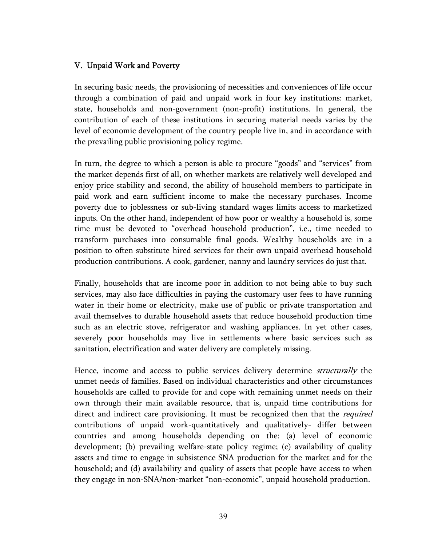## V. Unpaid Work and Poverty

In securing basic needs, the provisioning of necessities and conveniences of life occur through a combination of paid and unpaid work in four key institutions: market, state, households and non-government (non-profit) institutions. In general, the contribution of each of these institutions in securing material needs varies by the level of economic development of the country people live in, and in accordance with the prevailing public provisioning policy regime.

In turn, the degree to which a person is able to procure "goods" and "services" from the market depends first of all, on whether markets are relatively well developed and enjoy price stability and second, the ability of household members to participate in paid work and earn sufficient income to make the necessary purchases. Income poverty due to joblessness or sub-living standard wages limits access to marketized inputs. On the other hand, independent of how poor or wealthy a household is, some time must be devoted to "overhead household production", i.e., time needed to transform purchases into consumable final goods. Wealthy households are in a position to often substitute hired services for their own unpaid overhead household production contributions. A cook, gardener, nanny and laundry services do just that.

Finally, households that are income poor in addition to not being able to buy such services, may also face difficulties in paying the customary user fees to have running water in their home or electricity, make use of public or private transportation and avail themselves to durable household assets that reduce household production time such as an electric stove, refrigerator and washing appliances. In yet other cases, severely poor households may live in settlements where basic services such as sanitation, electrification and water delivery are completely missing.

Hence, income and access to public services delivery determine *structurally* the unmet needs of families. Based on individual characteristics and other circumstances households are called to provide for and cope with remaining unmet needs on their own through their main available resource, that is, unpaid time contributions for direct and indirect care provisioning. It must be recognized then that the *required* contributions of unpaid work-quantitatively and qualitatively- differ between countries and among households depending on the: (a) level of economic development; (b) prevailing welfare-state policy regime; (c) availability of quality assets and time to engage in subsistence SNA production for the market and for the household; and (d) availability and quality of assets that people have access to when they engage in non-SNA/non-market "non-economic", unpaid household production.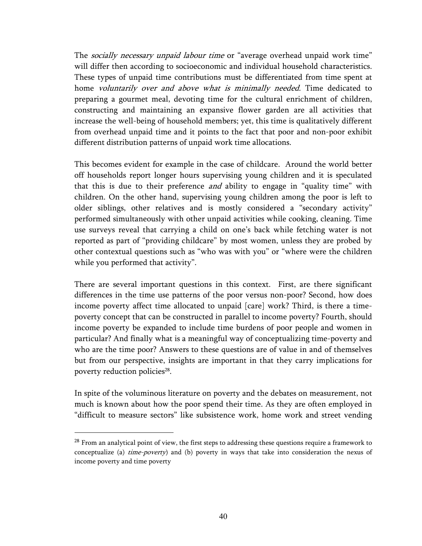The *socially necessary unpaid labour time* or "average overhead unpaid work time" will differ then according to socioeconomic and individual household characteristics. These types of unpaid time contributions must be differentiated from time spent at home voluntarily over and above what is minimally needed. Time dedicated to preparing a gourmet meal, devoting time for the cultural enrichment of children, constructing and maintaining an expansive flower garden are all activities that increase the well-being of household members; yet, this time is qualitatively different from overhead unpaid time and it points to the fact that poor and non-poor exhibit different distribution patterns of unpaid work time allocations.

This becomes evident for example in the case of childcare. Around the world better off households report longer hours supervising young children and it is speculated that this is due to their preference *and* ability to engage in "quality time" with children. On the other hand, supervising young children among the poor is left to older siblings, other relatives and is mostly considered a "secondary activity" performed simultaneously with other unpaid activities while cooking, cleaning. Time use surveys reveal that carrying a child on one's back while fetching water is not reported as part of "providing childcare" by most women, unless they are probed by other contextual questions such as "who was with you" or "where were the children while you performed that activity".

There are several important questions in this context. First, are there significant differences in the time use patterns of the poor versus non-poor? Second, how does income poverty affect time allocated to unpaid [care] work? Third, is there a timepoverty concept that can be constructed in parallel to income poverty? Fourth, should income poverty be expanded to include time burdens of poor people and women in particular? And finally what is a meaningful way of conceptualizing time-poverty and who are the time poor? Answers to these questions are of value in and of themselves but from our perspective, insights are important in that they carry implications for poverty reduction policies<sup>28</sup>.

In spite of the voluminous literature on poverty and the debates on measurement, not much is known about how the poor spend their time. As they are often employed in "difficult to measure sectors" like subsistence work, home work and street vending

 $28$  From an analytical point of view, the first steps to addressing these questions require a framework to conceptualize (a) time-poverty) and (b) poverty in ways that take into consideration the nexus of income poverty and time poverty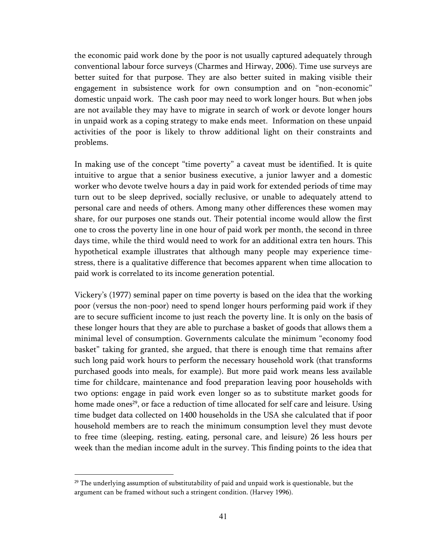the economic paid work done by the poor is not usually captured adequately through conventional labour force surveys (Charmes and Hirway, 2006). Time use surveys are better suited for that purpose. They are also better suited in making visible their engagement in subsistence work for own consumption and on "non-economic" domestic unpaid work. The cash poor may need to work longer hours. But when jobs are not available they may have to migrate in search of work or devote longer hours in unpaid work as a coping strategy to make ends meet. Information on these unpaid activities of the poor is likely to throw additional light on their constraints and problems.

In making use of the concept "time poverty" a caveat must be identified. It is quite intuitive to argue that a senior business executive, a junior lawyer and a domestic worker who devote twelve hours a day in paid work for extended periods of time may turn out to be sleep deprived, socially reclusive, or unable to adequately attend to personal care and needs of others. Among many other differences these women may share, for our purposes one stands out. Their potential income would allow the first one to cross the poverty line in one hour of paid work per month, the second in three days time, while the third would need to work for an additional extra ten hours. This hypothetical example illustrates that although many people may experience timestress, there is a qualitative difference that becomes apparent when time allocation to paid work is correlated to its income generation potential.

Vickery's (1977) seminal paper on time poverty is based on the idea that the working poor (versus the non-poor) need to spend longer hours performing paid work if they are to secure sufficient income to just reach the poverty line. It is only on the basis of these longer hours that they are able to purchase a basket of goods that allows them a minimal level of consumption. Governments calculate the minimum "economy food basket" taking for granted, she argued, that there is enough time that remains after such long paid work hours to perform the necessary household work (that transforms purchased goods into meals, for example). But more paid work means less available time for childcare, maintenance and food preparation leaving poor households with two options: engage in paid work even longer so as to substitute market goods for home made ones<sup>29</sup>, or face a reduction of time allocated for self care and leisure. Using time budget data collected on 1400 households in the USA she calculated that if poor household members are to reach the minimum consumption level they must devote to free time (sleeping, resting, eating, personal care, and leisure) 26 less hours per week than the median income adult in the survey. This finding points to the idea that

 $29$  The underlying assumption of substitutability of paid and unpaid work is questionable, but the argument can be framed without such a stringent condition. (Harvey 1996).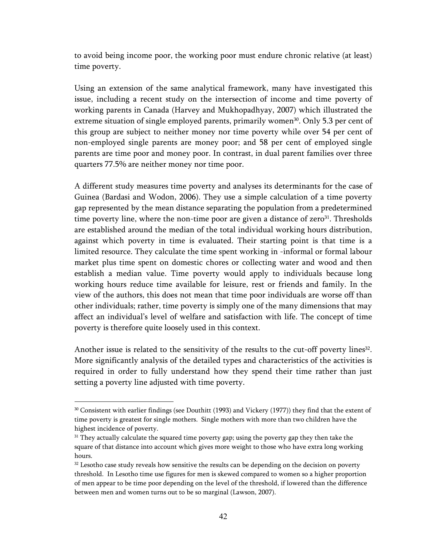to avoid being income poor, the working poor must endure chronic relative (at least) time poverty.

Using an extension of the same analytical framework, many have investigated this issue, including a recent study on the intersection of income and time poverty of working parents in Canada (Harvey and Mukhopadhyay, 2007) which illustrated the extreme situation of single employed parents, primarily women<sup>30</sup>. Only 5.3 per cent of this group are subject to neither money nor time poverty while over 54 per cent of non-employed single parents are money poor; and 58 per cent of employed single parents are time poor and money poor. In contrast, in dual parent families over three quarters 77.5% are neither money nor time poor.

A different study measures time poverty and analyses its determinants for the case of Guinea (Bardasi and Wodon, 2006). They use a simple calculation of a time poverty gap represented by the mean distance separating the population from a predetermined time poverty line, where the non-time poor are given a distance of zero $31$ . Thresholds are established around the median of the total individual working hours distribution, against which poverty in time is evaluated. Their starting point is that time is a limited resource. They calculate the time spent working in -informal or formal labour market plus time spent on domestic chores or collecting water and wood and then establish a median value. Time poverty would apply to individuals because long working hours reduce time available for leisure, rest or friends and family. In the view of the authors, this does not mean that time poor individuals are worse off than other individuals; rather, time poverty is simply one of the many dimensions that may affect an individual's level of welfare and satisfaction with life. The concept of time poverty is therefore quite loosely used in this context.

Another issue is related to the sensitivity of the results to the cut-off poverty lines<sup>32</sup>. More significantly analysis of the detailed types and characteristics of the activities is required in order to fully understand how they spend their time rather than just setting a poverty line adjusted with time poverty.

1

<sup>30</sup> Consistent with earlier findings (see Douthitt (1993) and Vickery (1977)) they find that the extent of time poverty is greatest for single mothers. Single mothers with more than two children have the highest incidence of poverty.

<sup>&</sup>lt;sup>31</sup> They actually calculate the squared time poverty gap; using the poverty gap they then take the square of that distance into account which gives more weight to those who have extra long working hours.

<sup>&</sup>lt;sup>32</sup> Lesotho case study reveals how sensitive the results can be depending on the decision on poverty threshold. In Lesotho time use figures for men is skewed compared to women so a higher proportion of men appear to be time poor depending on the level of the threshold, if lowered than the difference between men and women turns out to be so marginal (Lawson, 2007).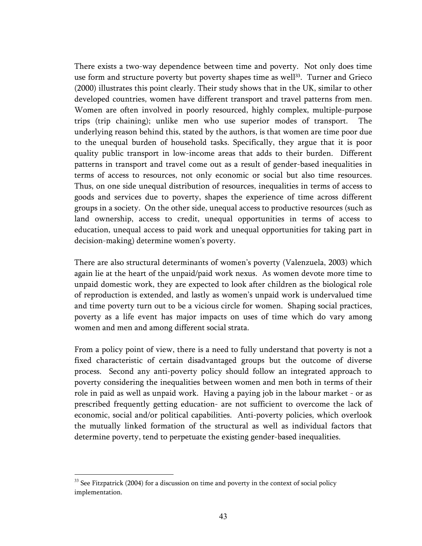There exists a two-way dependence between time and poverty. Not only does time use form and structure poverty but poverty shapes time as well<sup>33</sup>. Turner and Grieco (2000) illustrates this point clearly. Their study shows that in the UK, similar to other developed countries, women have different transport and travel patterns from men. Women are often involved in poorly resourced, highly complex, multiple-purpose trips (trip chaining); unlike men who use superior modes of transport. The underlying reason behind this, stated by the authors, is that women are time poor due to the unequal burden of household tasks. Specifically, they argue that it is poor quality public transport in low-income areas that adds to their burden. Different patterns in transport and travel come out as a result of gender-based inequalities in terms of access to resources, not only economic or social but also time resources. Thus, on one side unequal distribution of resources, inequalities in terms of access to goods and services due to poverty, shapes the experience of time across different groups in a society. On the other side, unequal access to productive resources (such as land ownership, access to credit, unequal opportunities in terms of access to education, unequal access to paid work and unequal opportunities for taking part in decision-making) determine women's poverty.

There are also structural determinants of women's poverty (Valenzuela, 2003) which again lie at the heart of the unpaid/paid work nexus. As women devote more time to unpaid domestic work, they are expected to look after children as the biological role of reproduction is extended, and lastly as women's unpaid work is undervalued time and time poverty turn out to be a vicious circle for women. Shaping social practices, poverty as a life event has major impacts on uses of time which do vary among women and men and among different social strata.

From a policy point of view, there is a need to fully understand that poverty is not a fixed characteristic of certain disadvantaged groups but the outcome of diverse process. Second any anti-poverty policy should follow an integrated approach to poverty considering the inequalities between women and men both in terms of their role in paid as well as unpaid work. Having a paying job in the labour market - or as prescribed frequently getting education- are not sufficient to overcome the lack of economic, social and/or political capabilities. Anti-poverty policies, which overlook the mutually linked formation of the structural as well as individual factors that determine poverty, tend to perpetuate the existing gender-based inequalities.

<sup>&</sup>lt;sup>33</sup> See Fitzpatrick (2004) for a discussion on time and poverty in the context of social policy implementation.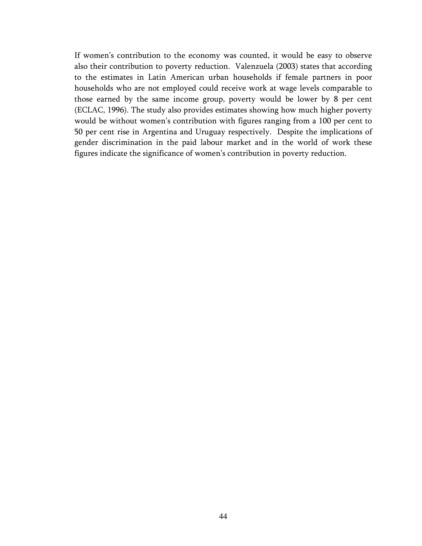If women's contribution to the economy was counted, it would be easy to observe also their contribution to poverty reduction. Valenzuela (2003) states that according to the estimates in Latin American urban households if female partners in poor households who are not employed could receive work at wage levels comparable to those earned by the same income group, poverty would be lower by 8 per cent (ECLAC, 1996). The study also provides estimates showing how much higher poverty would be without women's contribution with figures ranging from a 100 per cent to 50 per cent rise in Argentina and Uruguay respectively. Despite the implications of gender discrimination in the paid labour market and in the world of work these figures indicate the significance of women's contribution in poverty reduction.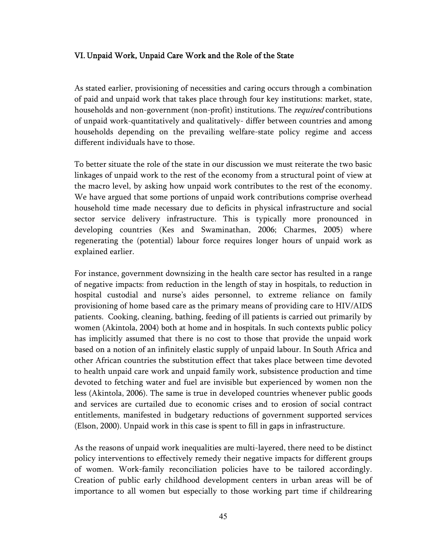### VI. Unpaid Work, Unpaid Care Work and the Role of the State

As stated earlier, provisioning of necessities and caring occurs through a combination of paid and unpaid work that takes place through four key institutions: market, state, households and non-government (non-profit) institutions. The *required* contributions of unpaid work-quantitatively and qualitatively- differ between countries and among households depending on the prevailing welfare-state policy regime and access different individuals have to those.

To better situate the role of the state in our discussion we must reiterate the two basic linkages of unpaid work to the rest of the economy from a structural point of view at the macro level, by asking how unpaid work contributes to the rest of the economy. We have argued that some portions of unpaid work contributions comprise overhead household time made necessary due to deficits in physical infrastructure and social sector service delivery infrastructure. This is typically more pronounced in developing countries (Kes and Swaminathan, 2006; Charmes, 2005) where regenerating the (potential) labour force requires longer hours of unpaid work as explained earlier.

For instance, government downsizing in the health care sector has resulted in a range of negative impacts: from reduction in the length of stay in hospitals, to reduction in hospital custodial and nurse's aides personnel, to extreme reliance on family provisioning of home based care as the primary means of providing care to HIV/AIDS patients. Cooking, cleaning, bathing, feeding of ill patients is carried out primarily by women (Akintola, 2004) both at home and in hospitals. In such contexts public policy has implicitly assumed that there is no cost to those that provide the unpaid work based on a notion of an infinitely elastic supply of unpaid labour. In South Africa and other African countries the substitution effect that takes place between time devoted to health unpaid care work and unpaid family work, subsistence production and time devoted to fetching water and fuel are invisible but experienced by women non the less (Akintola, 2006). The same is true in developed countries whenever public goods and services are curtailed due to economic crises and to erosion of social contract entitlements, manifested in budgetary reductions of government supported services (Elson, 2000). Unpaid work in this case is spent to fill in gaps in infrastructure.

As the reasons of unpaid work inequalities are multi-layered, there need to be distinct policy interventions to effectively remedy their negative impacts for different groups of women. Work-family reconciliation policies have to be tailored accordingly. Creation of public early childhood development centers in urban areas will be of importance to all women but especially to those working part time if childrearing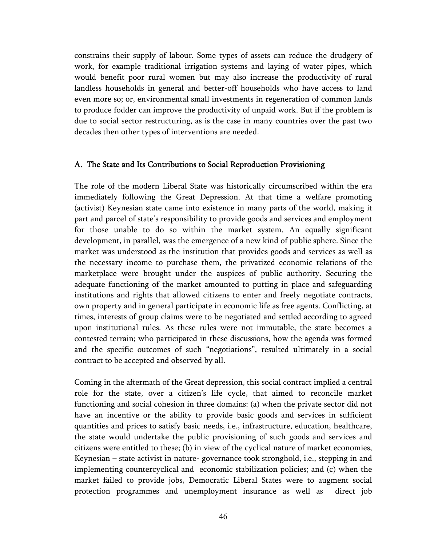constrains their supply of labour. Some types of assets can reduce the drudgery of work, for example traditional irrigation systems and laying of water pipes, which would benefit poor rural women but may also increase the productivity of rural landless households in general and better-off households who have access to land even more so; or, environmental small investments in regeneration of common lands to produce fodder can improve the productivity of unpaid work. But if the problem is due to social sector restructuring, as is the case in many countries over the past two decades then other types of interventions are needed.

#### A. The State and Its Contributions to Social Reproduction Provisioning

The role of the modern Liberal State was historically circumscribed within the era immediately following the Great Depression. At that time a welfare promoting (activist) Keynesian state came into existence in many parts of the world, making it part and parcel of state's responsibility to provide goods and services and employment for those unable to do so within the market system. An equally significant development, in parallel, was the emergence of a new kind of public sphere. Since the market was understood as the institution that provides goods and services as well as the necessary income to purchase them, the privatized economic relations of the marketplace were brought under the auspices of public authority. Securing the adequate functioning of the market amounted to putting in place and safeguarding institutions and rights that allowed citizens to enter and freely negotiate contracts, own property and in general participate in economic life as free agents. Conflicting, at times, interests of group claims were to be negotiated and settled according to agreed upon institutional rules. As these rules were not immutable, the state becomes a contested terrain; who participated in these discussions, how the agenda was formed and the specific outcomes of such "negotiations", resulted ultimately in a social contract to be accepted and observed by all.

Coming in the aftermath of the Great depression, this social contract implied a central role for the state, over a citizen's life cycle, that aimed to reconcile market functioning and social cohesion in three domains: (a) when the private sector did not have an incentive or the ability to provide basic goods and services in sufficient quantities and prices to satisfy basic needs, i.e., infrastructure, education, healthcare, the state would undertake the public provisioning of such goods and services and citizens were entitled to these; (b) in view of the cyclical nature of market economies, Keynesian – state activist in nature- governance took stronghold, i.e., stepping in and implementing countercyclical and economic stabilization policies; and (c) when the market failed to provide jobs, Democratic Liberal States were to augment social protection programmes and unemployment insurance as well as direct job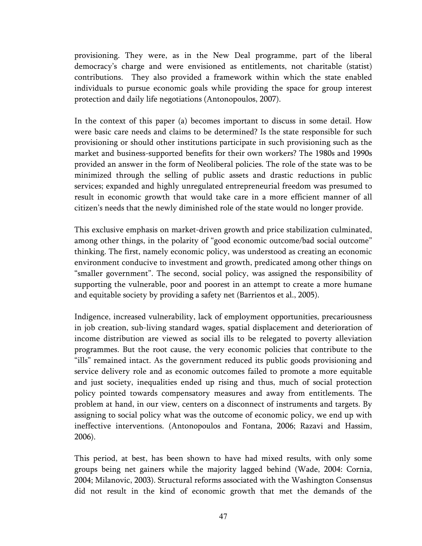provisioning. They were, as in the New Deal programme, part of the liberal democracy's charge and were envisioned as entitlements, not charitable (statist) contributions. They also provided a framework within which the state enabled individuals to pursue economic goals while providing the space for group interest protection and daily life negotiations (Antonopoulos, 2007).

In the context of this paper (a) becomes important to discuss in some detail. How were basic care needs and claims to be determined? Is the state responsible for such provisioning or should other institutions participate in such provisioning such as the market and business-supported benefits for their own workers? The 1980s and 1990s provided an answer in the form of Neoliberal policies. The role of the state was to be minimized through the selling of public assets and drastic reductions in public services; expanded and highly unregulated entrepreneurial freedom was presumed to result in economic growth that would take care in a more efficient manner of all citizen's needs that the newly diminished role of the state would no longer provide.

This exclusive emphasis on market-driven growth and price stabilization culminated, among other things, in the polarity of "good economic outcome/bad social outcome" thinking. The first, namely economic policy, was understood as creating an economic environment conducive to investment and growth, predicated among other things on "smaller government". The second, social policy, was assigned the responsibility of supporting the vulnerable, poor and poorest in an attempt to create a more humane and equitable society by providing a safety net (Barrientos et al., 2005).

Indigence, increased vulnerability, lack of employment opportunities, precariousness in job creation, sub-living standard wages, spatial displacement and deterioration of income distribution are viewed as social ills to be relegated to poverty alleviation programmes. But the root cause, the very economic policies that contribute to the "ills" remained intact. As the government reduced its public goods provisioning and service delivery role and as economic outcomes failed to promote a more equitable and just society, inequalities ended up rising and thus, much of social protection policy pointed towards compensatory measures and away from entitlements. The problem at hand, in our view, centers on a disconnect of instruments and targets. By assigning to social policy what was the outcome of economic policy, we end up with ineffective interventions. (Antonopoulos and Fontana, 2006; Razavi and Hassim, 2006).

This period, at best, has been shown to have had mixed results, with only some groups being net gainers while the majority lagged behind (Wade, 2004: Cornia, 2004; Milanovic, 2003). Structural reforms associated with the Washington Consensus did not result in the kind of economic growth that met the demands of the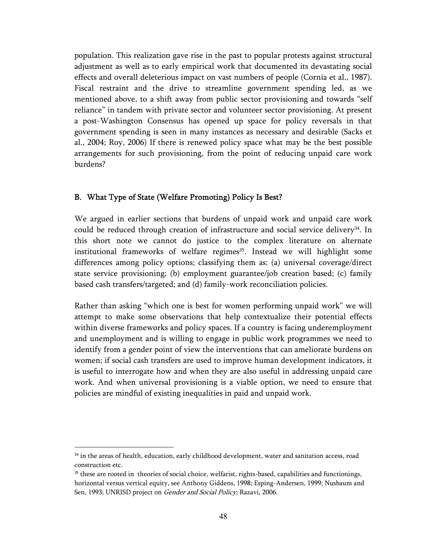population. This realization gave rise in the past to popular protests against structural adjustment as well as to early empirical work that documented its devastating social effects and overall deleterious impact on vast numbers of people (Cornia et al., 1987). Fiscal restraint and the drive to streamline government spending led, as we mentioned above, to a shift away from public sector provisioning and towards "self reliance" in tandem with private sector and volunteer sector provisioning. At present a post-Washington Consensus has opened up space for policy reversals in that government spending is seen in many instances as necessary and desirable (Sacks et al., 2004; Roy, 2006) If there is renewed policy space what may be the best possible arrangements for such provisioning, from the point of reducing unpaid care work burdens?

### B. What Type of State (Welfare Promoting) Policy Is Best?

We argued in earlier sections that burdens of unpaid work and unpaid care work could be reduced through creation of infrastructure and social service delivery<sup>34</sup>. In this short note we cannot do justice to the complex literature on alternate institutional frameworks of welfare regimes<sup>35</sup>. Instead we will highlight some differences among policy options; classifying them as: (a) universal coverage/direct state service provisioning; (b) employment guarantee/job creation based; (c) family based cash transfers/targeted; and (d) family-work reconciliation policies.

Rather than asking "which one is best for women performing unpaid work" we will attempt to make some observations that help contextualize their potential effects within diverse frameworks and policy spaces. If a country is facing underemployment and unemployment and is willing to engage in public work programmes we need to identify from a gender point of view the interventions that can ameliorate burdens on women; if social cash transfers are used to improve human development indicators, it is useful to interrogate how and when they are also useful in addressing unpaid care work. And when universal provisioning is a viable option, we need to ensure that policies are mindful of existing inequalities in paid and unpaid work.

<sup>&</sup>lt;sup>34</sup> in the areas of health, education, early childhood development, water and sanitation access, road construction etc.

<sup>&</sup>lt;sup>35</sup> these are rooted in theories of social choice, welfarist, rights-based, capabilities and functionings, horizontal versus vertical equity, see Anthony Giddens, 1998; Esping-Andersen, 1999; Nusbaum and Sen, 1993; UNRISD project on *Gender and Social Policy*; Razavi, 2006.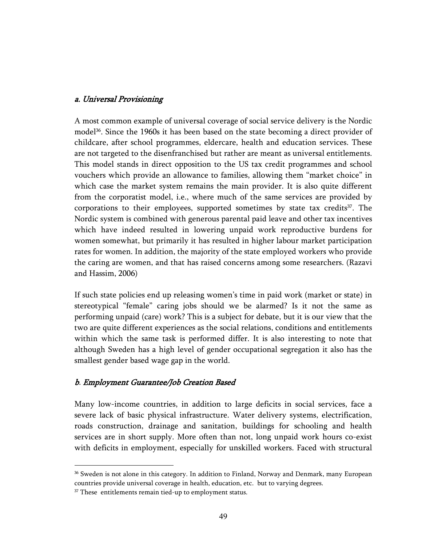### a. Universal Provisioning

A most common example of universal coverage of social service delivery is the Nordic model<sup>36</sup>. Since the 1960s it has been based on the state becoming a direct provider of childcare, after school programmes, eldercare, health and education services. These are not targeted to the disenfranchised but rather are meant as universal entitlements. This model stands in direct opposition to the US tax credit programmes and school vouchers which provide an allowance to families, allowing them "market choice" in which case the market system remains the main provider. It is also quite different from the corporatist model, i.e., where much of the same services are provided by corporations to their employees, supported sometimes by state tax credits $37$ . The Nordic system is combined with generous parental paid leave and other tax incentives which have indeed resulted in lowering unpaid work reproductive burdens for women somewhat, but primarily it has resulted in higher labour market participation rates for women. In addition, the majority of the state employed workers who provide the caring are women, and that has raised concerns among some researchers. (Razavi and Hassim, 2006)

If such state policies end up releasing women's time in paid work (market or state) in stereotypical "female" caring jobs should we be alarmed? Is it not the same as performing unpaid (care) work? This is a subject for debate, but it is our view that the two are quite different experiences as the social relations, conditions and entitlements within which the same task is performed differ. It is also interesting to note that although Sweden has a high level of gender occupational segregation it also has the smallest gender based wage gap in the world.

### b. Employment Guarantee/Job Creation Based

Many low-income countries, in addition to large deficits in social services, face a severe lack of basic physical infrastructure. Water delivery systems, electrification, roads construction, drainage and sanitation, buildings for schooling and health services are in short supply. More often than not, long unpaid work hours co-exist with deficits in employment, especially for unskilled workers. Faced with structural

1

<sup>36</sup> Sweden is not alone in this category. In addition to Finland, Norway and Denmark, many European countries provide universal coverage in health, education, etc. but to varying degrees.

<sup>&</sup>lt;sup>37</sup> These entitlements remain tied-up to employment status.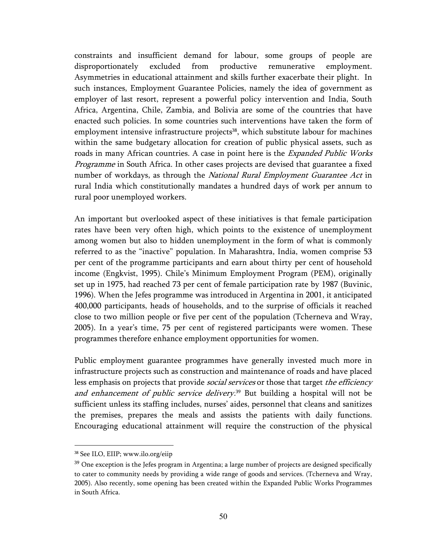constraints and insufficient demand for labour, some groups of people are disproportionately excluded from productive remunerative employment. Asymmetries in educational attainment and skills further exacerbate their plight. In such instances, Employment Guarantee Policies, namely the idea of government as employer of last resort, represent a powerful policy intervention and India, South Africa, Argentina, Chile, Zambia, and Bolivia are some of the countries that have enacted such policies. In some countries such interventions have taken the form of employment intensive infrastructure projects<sup>38</sup>, which substitute labour for machines within the same budgetary allocation for creation of public physical assets, such as roads in many African countries. A case in point here is the *Expanded Public Works* Programme in South Africa. In other cases projects are devised that guarantee a fixed number of workdays, as through the National Rural Employment Guarantee Act in rural India which constitutionally mandates a hundred days of work per annum to rural poor unemployed workers.

An important but overlooked aspect of these initiatives is that female participation rates have been very often high, which points to the existence of unemployment among women but also to hidden unemployment in the form of what is commonly referred to as the "inactive" population. In Maharashtra, India, women comprise 53 per cent of the programme participants and earn about thirty per cent of household income (Engkvist, 1995). Chile's Minimum Employment Program (PEM), originally set up in 1975, had reached 73 per cent of female participation rate by 1987 (Buvinic, 1996). When the Jefes programme was introduced in Argentina in 2001, it anticipated 400,000 participants, heads of households, and to the surprise of officials it reached close to two million people or five per cent of the population (Tcherneva and Wray, 2005). In a year's time, 75 per cent of registered participants were women. These programmes therefore enhance employment opportunities for women.

Public employment guarantee programmes have generally invested much more in infrastructure projects such as construction and maintenance of roads and have placed less emphasis on projects that provide social services or those that target the efficiency and enhancement of public service delivery.<sup>39</sup> But building a hospital will not be sufficient unless its staffing includes, nurses' aides, personnel that cleans and sanitizes the premises, prepares the meals and assists the patients with daily functions. Encouraging educational attainment will require the construction of the physical

1

<sup>38</sup> See ILO, EIIP; www.ilo.org/eiip

<sup>&</sup>lt;sup>39</sup> One exception is the Jefes program in Argentina; a large number of projects are designed specifically to cater to community needs by providing a wide range of goods and services. (Tcherneva and Wray, 2005). Also recently, some opening has been created within the Expanded Public Works Programmes in South Africa.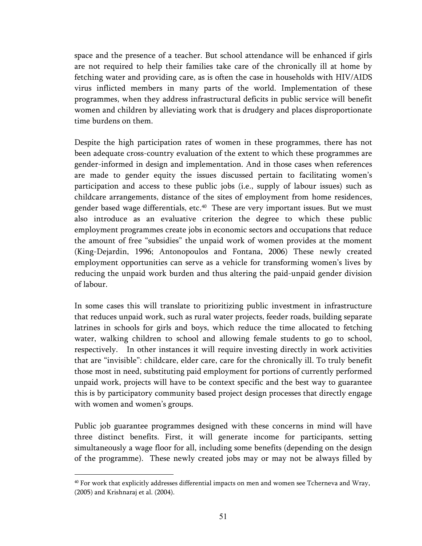space and the presence of a teacher. But school attendance will be enhanced if girls are not required to help their families take care of the chronically ill at home by fetching water and providing care, as is often the case in households with HIV/AIDS virus inflicted members in many parts of the world. Implementation of these programmes, when they address infrastructural deficits in public service will benefit women and children by alleviating work that is drudgery and places disproportionate time burdens on them.

Despite the high participation rates of women in these programmes, there has not been adequate cross-country evaluation of the extent to which these programmes are gender-informed in design and implementation. And in those cases when references are made to gender equity the issues discussed pertain to facilitating women's participation and access to these public jobs (i.e., supply of labour issues) such as childcare arrangements, distance of the sites of employment from home residences, gender based wage differentials, etc.<sup>40</sup> These are very important issues. But we must also introduce as an evaluative criterion the degree to which these public employment programmes create jobs in economic sectors and occupations that reduce the amount of free "subsidies" the unpaid work of women provides at the moment (King-Dejardin, 1996; Antonopoulos and Fontana, 2006) These newly created employment opportunities can serve as a vehicle for transforming women's lives by reducing the unpaid work burden and thus altering the paid-unpaid gender division of labour.

In some cases this will translate to prioritizing public investment in infrastructure that reduces unpaid work, such as rural water projects, feeder roads, building separate latrines in schools for girls and boys, which reduce the time allocated to fetching water, walking children to school and allowing female students to go to school, respectively. In other instances it will require investing directly in work activities that are "invisible": childcare, elder care, care for the chronically ill. To truly benefit those most in need, substituting paid employment for portions of currently performed unpaid work, projects will have to be context specific and the best way to guarantee this is by participatory community based project design processes that directly engage with women and women's groups.

Public job guarantee programmes designed with these concerns in mind will have three distinct benefits. First, it will generate income for participants, setting simultaneously a wage floor for all, including some benefits (depending on the design of the programme). These newly created jobs may or may not be always filled by

 $40$  For work that explicitly addresses differential impacts on men and women see Tcherneva and Wray, (2005) and Krishnaraj et al. (2004).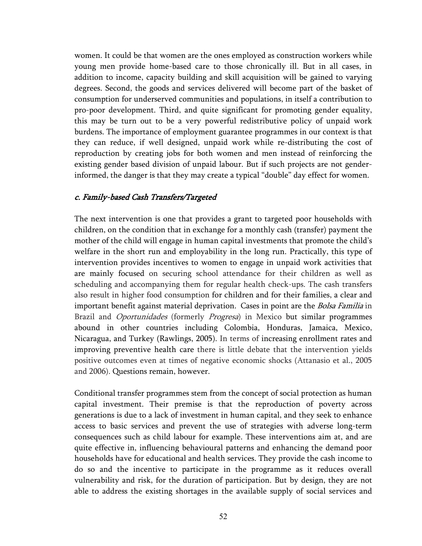women. It could be that women are the ones employed as construction workers while young men provide home-based care to those chronically ill. But in all cases, in addition to income, capacity building and skill acquisition will be gained to varying degrees. Second, the goods and services delivered will become part of the basket of consumption for underserved communities and populations, in itself a contribution to pro-poor development. Third, and quite significant for promoting gender equality, this may be turn out to be a very powerful redistributive policy of unpaid work burdens. The importance of employment guarantee programmes in our context is that they can reduce, if well designed, unpaid work while re-distributing the cost of reproduction by creating jobs for both women and men instead of reinforcing the existing gender based division of unpaid labour. But if such projects are not genderinformed, the danger is that they may create a typical "double" day effect for women.

### c. Family-based Cash Transfers/Targeted

The next intervention is one that provides a grant to targeted poor households with children, on the condition that in exchange for a monthly cash (transfer) payment the mother of the child will engage in human capital investments that promote the child's welfare in the short run and employability in the long run. Practically, this type of intervention provides incentives to women to engage in unpaid work activities that are mainly focused on securing school attendance for their children as well as scheduling and accompanying them for regular health check-ups. The cash transfers also result in higher food consumption for children and for their families, a clear and important benefit against material deprivation. Cases in point are the *Bolsa Familia* in Brazil and *Oportunidades* (formerly *Progresa*) in Mexico but similar programmes abound in other countries including Colombia, Honduras, Jamaica, Mexico, Nicaragua, and Turkey (Rawlings, 2005). In terms of increasing enrollment rates and improving preventive health care there is little debate that the intervention yields positive outcomes even at times of negative economic shocks (Attanasio et al., 2005 and 2006). Questions remain, however.

Conditional transfer programmes stem from the concept of social protection as human capital investment. Their premise is that the reproduction of poverty across generations is due to a lack of investment in human capital, and they seek to enhance access to basic services and prevent the use of strategies with adverse long-term consequences such as child labour for example. These interventions aim at, and are quite effective in, influencing behavioural patterns and enhancing the demand poor households have for educational and health services. They provide the cash income to do so and the incentive to participate in the programme as it reduces overall vulnerability and risk, for the duration of participation. But by design, they are not able to address the existing shortages in the available supply of social services and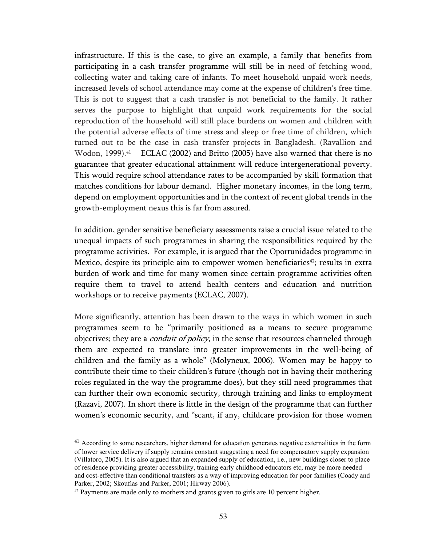infrastructure. If this is the case, to give an example, a family that benefits from participating in a cash transfer programme will still be in need of fetching wood, collecting water and taking care of infants. To meet household unpaid work needs, increased levels of school attendance may come at the expense of children's free time. This is not to suggest that a cash transfer is not beneficial to the family. It rather serves the purpose to highlight that unpaid work requirements for the social reproduction of the household will still place burdens on women and children with the potential adverse effects of time stress and sleep or free time of children, which turned out to be the case in cash transfer projects in Bangladesh. (Ravallion and Wodon, 1999).<sup>41</sup> ECLAC (2002) and Britto (2005) have also warned that there is no guarantee that greater educational attainment will reduce intergenerational poverty. This would require school attendance rates to be accompanied by skill formation that matches conditions for labour demand. Higher monetary incomes, in the long term, depend on employment opportunities and in the context of recent global trends in the growth-employment nexus this is far from assured.

In addition, gender sensitive beneficiary assessments raise a crucial issue related to the unequal impacts of such programmes in sharing the responsibilities required by the programme activities. For example, it is argued that the Oportunidades programme in Mexico, despite its principle aim to empower women beneficiaries<sup>42</sup>; results in extra burden of work and time for many women since certain programme activities often require them to travel to attend health centers and education and nutrition workshops or to receive payments (ECLAC, 2007).

More significantly, attention has been drawn to the ways in which women in such programmes seem to be "primarily positioned as a means to secure programme objectives; they are a *conduit of policy*, in the sense that resources channeled through them are expected to translate into greater improvements in the well-being of children and the family as a whole" (Molyneux, 2006). Women may be happy to contribute their time to their children's future (though not in having their mothering roles regulated in the way the programme does), but they still need programmes that can further their own economic security, through training and links to employment (Razavi, 2007). In short there is little in the design of the programme that can further women's economic security, and "scant, if any, childcare provision for those women

1

<sup>&</sup>lt;sup>41</sup> According to some researchers, higher demand for education generates negative externalities in the form of lower service delivery if supply remains constant suggesting a need for compensatory supply expansion (Villatoro, 2005). It is also argued that an expanded supply of education, i.e., new buildings closer to place of residence providing greater accessibility, training early childhood educators etc, may be more needed and cost-effective than conditional transfers as a way of improving education for poor families (Coady and Parker, 2002; Skoufias and Parker, 2001; Hirway 2006).

 $42$  Payments are made only to mothers and grants given to girls are 10 percent higher.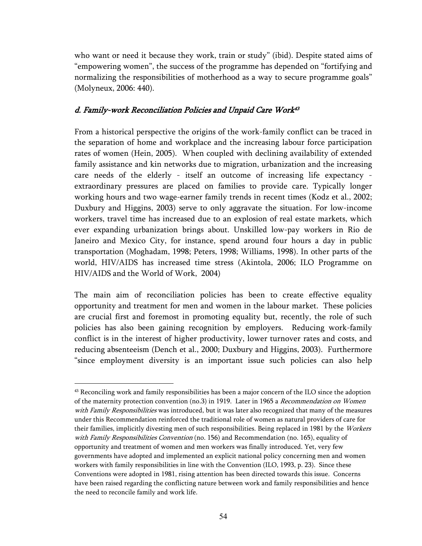who want or need it because they work, train or study" (ibid). Despite stated aims of "empowering women", the success of the programme has depended on "fortifying and normalizing the responsibilities of motherhood as a way to secure programme goals" (Molyneux, 2006: 440).

### d. Family-work Reconciliation Policies and Unpaid Care Work<sup>43</sup>

From a historical perspective the origins of the work-family conflict can be traced in the separation of home and workplace and the increasing labour force participation rates of women (Hein, 2005). When coupled with declining availability of extended family assistance and kin networks due to migration, urbanization and the increasing care needs of the elderly - itself an outcome of increasing life expectancy extraordinary pressures are placed on families to provide care. Typically longer working hours and two wage-earner family trends in recent times (Kodz et al., 2002; Duxbury and Higgins, 2003) serve to only aggravate the situation. For low-income workers, travel time has increased due to an explosion of real estate markets, which ever expanding urbanization brings about. Unskilled low-pay workers in Rio de Janeiro and Mexico City, for instance, spend around four hours a day in public transportation (Moghadam, 1998; Peters, 1998; Williams, 1998). In other parts of the world, HIV/AIDS has increased time stress (Akintola, 2006; ILO Programme on HIV/AIDS and the World of Work, 2004)

The main aim of reconciliation policies has been to create effective equality opportunity and treatment for men and women in the labour market. These policies are crucial first and foremost in promoting equality but, recently, the role of such policies has also been gaining recognition by employers. Reducing work-family conflict is in the interest of higher productivity, lower turnover rates and costs, and reducing absenteeism (Dench et al., 2000; Duxbury and Higgins, 2003). Furthermore "since employment diversity is an important issue such policies can also help

<sup>&</sup>lt;sup>43</sup> Reconciling work and family responsibilities has been a major concern of the ILO since the adoption of the maternity protection convention (no.3) in 1919. Later in 1965 a Recommendation on Women with Family Responsibilities was introduced, but it was later also recognized that many of the measures under this Recommendation reinforced the traditional role of women as natural providers of care for their families, implicitly divesting men of such responsibilities. Being replaced in 1981 by the Workers with Family Responsibilities Convention (no. 156) and Recommendation (no. 165), equality of opportunity and treatment of women and men workers was finally introduced. Yet, very few governments have adopted and implemented an explicit national policy concerning men and women workers with family responsibilities in line with the Convention (ILO, 1993, p. 23). Since these Conventions were adopted in 1981, rising attention has been directed towards this issue. Concerns have been raised regarding the conflicting nature between work and family responsibilities and hence the need to reconcile family and work life.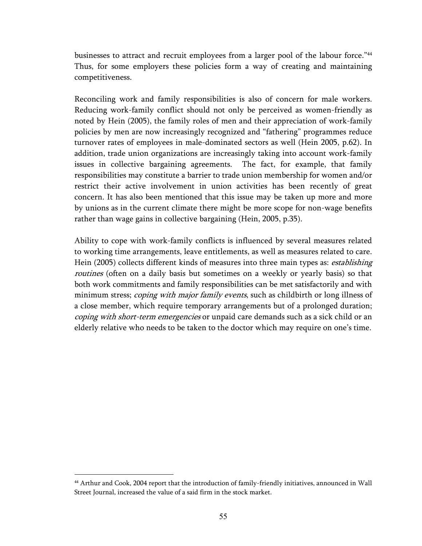businesses to attract and recruit employees from a larger pool of the labour force."<sup>44</sup> Thus, for some employers these policies form a way of creating and maintaining competitiveness.

Reconciling work and family responsibilities is also of concern for male workers. Reducing work-family conflict should not only be perceived as women-friendly as noted by Hein (2005), the family roles of men and their appreciation of work-family policies by men are now increasingly recognized and "fathering" programmes reduce turnover rates of employees in male-dominated sectors as well (Hein 2005, p.62). In addition, trade union organizations are increasingly taking into account work-family issues in collective bargaining agreements. The fact, for example, that family responsibilities may constitute a barrier to trade union membership for women and/or restrict their active involvement in union activities has been recently of great concern. It has also been mentioned that this issue may be taken up more and more by unions as in the current climate there might be more scope for non-wage benefits rather than wage gains in collective bargaining (Hein, 2005, p.35).

Ability to cope with work-family conflicts is influenced by several measures related to working time arrangements, leave entitlements, as well as measures related to care. Hein (2005) collects different kinds of measures into three main types as: *establishing* routines (often on a daily basis but sometimes on a weekly or yearly basis) so that both work commitments and family responsibilities can be met satisfactorily and with minimum stress; coping with major family events, such as childbirth or long illness of a close member, which require temporary arrangements but of a prolonged duration; coping with short-term emergencies or unpaid care demands such as a sick child or an elderly relative who needs to be taken to the doctor which may require on one's time.

<sup>44</sup> Arthur and Cook, 2004 report that the introduction of family-friendly initiatives, announced in Wall Street Journal, increased the value of a said firm in the stock market.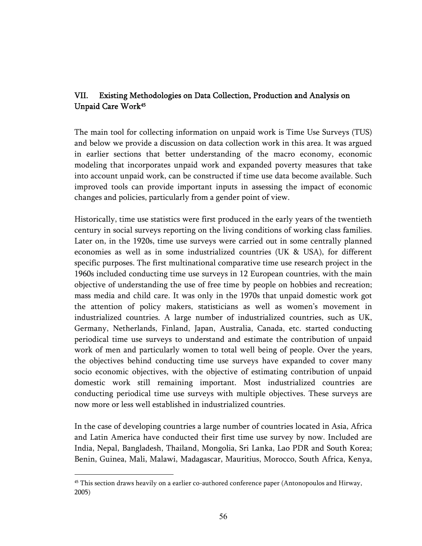## VII. Existing Methodologies on Data Collection, Production and Analysis on Unpaid Care Work<sup>45</sup>

The main tool for collecting information on unpaid work is Time Use Surveys (TUS) and below we provide a discussion on data collection work in this area. It was argued in earlier sections that better understanding of the macro economy, economic modeling that incorporates unpaid work and expanded poverty measures that take into account unpaid work, can be constructed if time use data become available. Such improved tools can provide important inputs in assessing the impact of economic changes and policies, particularly from a gender point of view.

Historically, time use statistics were first produced in the early years of the twentieth century in social surveys reporting on the living conditions of working class families. Later on, in the 1920s, time use surveys were carried out in some centrally planned economies as well as in some industrialized countries (UK & USA), for different specific purposes. The first multinational comparative time use research project in the 1960s included conducting time use surveys in 12 European countries, with the main objective of understanding the use of free time by people on hobbies and recreation; mass media and child care. It was only in the 1970s that unpaid domestic work got the attention of policy makers, statisticians as well as women's movement in industrialized countries. A large number of industrialized countries, such as UK, Germany, Netherlands, Finland, Japan, Australia, Canada, etc. started conducting periodical time use surveys to understand and estimate the contribution of unpaid work of men and particularly women to total well being of people. Over the years, the objectives behind conducting time use surveys have expanded to cover many socio economic objectives, with the objective of estimating contribution of unpaid domestic work still remaining important. Most industrialized countries are conducting periodical time use surveys with multiple objectives. These surveys are now more or less well established in industrialized countries.

In the case of developing countries a large number of countries located in Asia, Africa and Latin America have conducted their first time use survey by now. Included are India, Nepal, Bangladesh, Thailand, Mongolia, Sri Lanka, Lao PDR and South Korea; Benin, Guinea, Mali, Malawi, Madagascar, Mauritius, Morocco, South Africa, Kenya,

<sup>45</sup> This section draws heavily on a earlier co-authored conference paper (Antonopoulos and Hirway, 2005)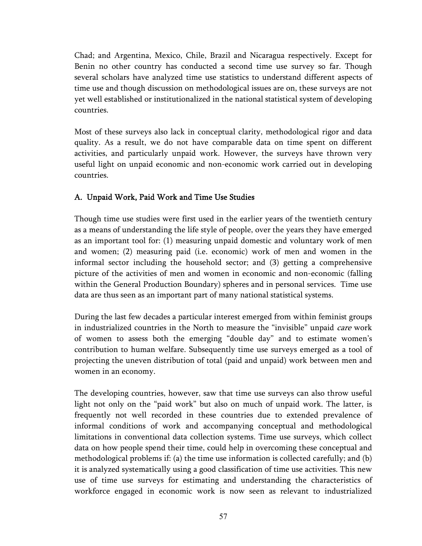Chad; and Argentina, Mexico, Chile, Brazil and Nicaragua respectively. Except for Benin no other country has conducted a second time use survey so far. Though several scholars have analyzed time use statistics to understand different aspects of time use and though discussion on methodological issues are on, these surveys are not yet well established or institutionalized in the national statistical system of developing countries.

Most of these surveys also lack in conceptual clarity, methodological rigor and data quality. As a result, we do not have comparable data on time spent on different activities, and particularly unpaid work. However, the surveys have thrown very useful light on unpaid economic and non-economic work carried out in developing countries.

## A. Unpaid Work, Paid Work and Time Use Studies

Though time use studies were first used in the earlier years of the twentieth century as a means of understanding the life style of people, over the years they have emerged as an important tool for: (1) measuring unpaid domestic and voluntary work of men and women; (2) measuring paid (i.e. economic) work of men and women in the informal sector including the household sector; and (3) getting a comprehensive picture of the activities of men and women in economic and non-economic (falling within the General Production Boundary) spheres and in personal services. Time use data are thus seen as an important part of many national statistical systems.

During the last few decades a particular interest emerged from within feminist groups in industrialized countries in the North to measure the "invisible" unpaid *care* work of women to assess both the emerging "double day" and to estimate women's contribution to human welfare. Subsequently time use surveys emerged as a tool of projecting the uneven distribution of total (paid and unpaid) work between men and women in an economy.

The developing countries, however, saw that time use surveys can also throw useful light not only on the "paid work" but also on much of unpaid work. The latter, is frequently not well recorded in these countries due to extended prevalence of informal conditions of work and accompanying conceptual and methodological limitations in conventional data collection systems. Time use surveys, which collect data on how people spend their time, could help in overcoming these conceptual and methodological problems if: (a) the time use information is collected carefully; and (b) it is analyzed systematically using a good classification of time use activities. This new use of time use surveys for estimating and understanding the characteristics of workforce engaged in economic work is now seen as relevant to industrialized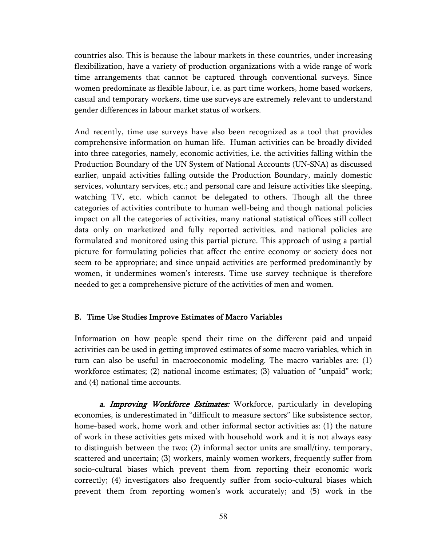countries also. This is because the labour markets in these countries, under increasing flexibilization, have a variety of production organizations with a wide range of work time arrangements that cannot be captured through conventional surveys. Since women predominate as flexible labour, i.e. as part time workers, home based workers, casual and temporary workers, time use surveys are extremely relevant to understand gender differences in labour market status of workers.

And recently, time use surveys have also been recognized as a tool that provides comprehensive information on human life. Human activities can be broadly divided into three categories, namely, economic activities, i.e. the activities falling within the Production Boundary of the UN System of National Accounts (UN-SNA) as discussed earlier, unpaid activities falling outside the Production Boundary, mainly domestic services, voluntary services, etc.; and personal care and leisure activities like sleeping, watching TV, etc. which cannot be delegated to others. Though all the three categories of activities contribute to human well-being and though national policies impact on all the categories of activities, many national statistical offices still collect data only on marketized and fully reported activities, and national policies are formulated and monitored using this partial picture. This approach of using a partial picture for formulating policies that affect the entire economy or society does not seem to be appropriate; and since unpaid activities are performed predominantly by women, it undermines women's interests. Time use survey technique is therefore needed to get a comprehensive picture of the activities of men and women.

#### B. Time Use Studies Improve Estimates of Macro Variables

Information on how people spend their time on the different paid and unpaid activities can be used in getting improved estimates of some macro variables, which in turn can also be useful in macroeconomic modeling. The macro variables are: (1) workforce estimates; (2) national income estimates; (3) valuation of "unpaid" work; and (4) national time accounts.

a. Improving Workforce Estimates: Workforce, particularly in developing economies, is underestimated in "difficult to measure sectors" like subsistence sector, home-based work, home work and other informal sector activities as: (1) the nature of work in these activities gets mixed with household work and it is not always easy to distinguish between the two; (2) informal sector units are small/tiny, temporary, scattered and uncertain; (3) workers, mainly women workers, frequently suffer from socio-cultural biases which prevent them from reporting their economic work correctly; (4) investigators also frequently suffer from socio-cultural biases which prevent them from reporting women's work accurately; and (5) work in the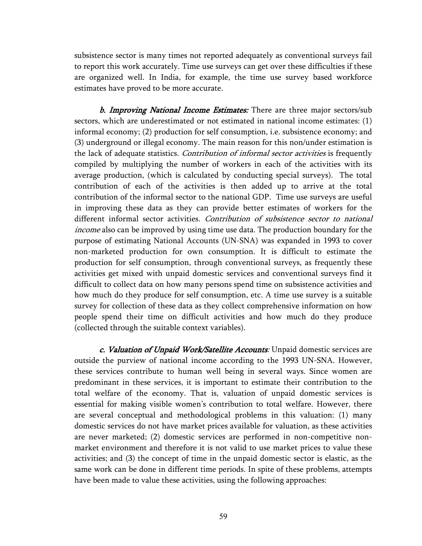subsistence sector is many times not reported adequately as conventional surveys fail to report this work accurately. Time use surveys can get over these difficulties if these are organized well. In India, for example, the time use survey based workforce estimates have proved to be more accurate.

b. Improving National Income Estimates: There are three major sectors/sub sectors, which are underestimated or not estimated in national income estimates: (1) informal economy; (2) production for self consumption, i.e. subsistence economy; and (3) underground or illegal economy. The main reason for this non/under estimation is the lack of adequate statistics. Contribution of informal sector activities is frequently compiled by multiplying the number of workers in each of the activities with its average production, (which is calculated by conducting special surveys). The total contribution of each of the activities is then added up to arrive at the total contribution of the informal sector to the national GDP. Time use surveys are useful in improving these data as they can provide better estimates of workers for the different informal sector activities. Contribution of subsistence sector to national income also can be improved by using time use data. The production boundary for the purpose of estimating National Accounts (UN-SNA) was expanded in 1993 to cover non-marketed production for own consumption. It is difficult to estimate the production for self consumption, through conventional surveys, as frequently these activities get mixed with unpaid domestic services and conventional surveys find it difficult to collect data on how many persons spend time on subsistence activities and how much do they produce for self consumption, etc. A time use survey is a suitable survey for collection of these data as they collect comprehensive information on how people spend their time on difficult activities and how much do they produce (collected through the suitable context variables).

c. Valuation of Unpaid Work/Satellite Accounts: Unpaid domestic services are outside the purview of national income according to the 1993 UN-SNA. However, these services contribute to human well being in several ways. Since women are predominant in these services, it is important to estimate their contribution to the total welfare of the economy. That is, valuation of unpaid domestic services is essential for making visible women's contribution to total welfare. However, there are several conceptual and methodological problems in this valuation: (1) many domestic services do not have market prices available for valuation, as these activities are never marketed; (2) domestic services are performed in non-competitive nonmarket environment and therefore it is not valid to use market prices to value these activities; and (3) the concept of time in the unpaid domestic sector is elastic, as the same work can be done in different time periods. In spite of these problems, attempts have been made to value these activities, using the following approaches: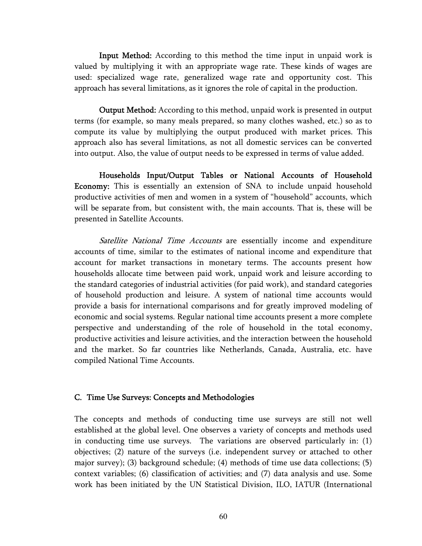Input Method: According to this method the time input in unpaid work is valued by multiplying it with an appropriate wage rate. These kinds of wages are used: specialized wage rate, generalized wage rate and opportunity cost. This approach has several limitations, as it ignores the role of capital in the production.

Output Method: According to this method, unpaid work is presented in output terms (for example, so many meals prepared, so many clothes washed, etc.) so as to compute its value by multiplying the output produced with market prices. This approach also has several limitations, as not all domestic services can be converted into output. Also, the value of output needs to be expressed in terms of value added.

Households Input/Output Tables or National Accounts of Household Economy: This is essentially an extension of SNA to include unpaid household productive activities of men and women in a system of "household" accounts, which will be separate from, but consistent with, the main accounts. That is, these will be presented in Satellite Accounts.

Satellite National Time Accounts are essentially income and expenditure accounts of time, similar to the estimates of national income and expenditure that account for market transactions in monetary terms. The accounts present how households allocate time between paid work, unpaid work and leisure according to the standard categories of industrial activities (for paid work), and standard categories of household production and leisure. A system of national time accounts would provide a basis for international comparisons and for greatly improved modeling of economic and social systems. Regular national time accounts present a more complete perspective and understanding of the role of household in the total economy, productive activities and leisure activities, and the interaction between the household and the market. So far countries like Netherlands, Canada, Australia, etc. have compiled National Time Accounts.

#### C. Time Use Surveys: Concepts and Methodologies

The concepts and methods of conducting time use surveys are still not well established at the global level. One observes a variety of concepts and methods used in conducting time use surveys. The variations are observed particularly in: (1) objectives; (2) nature of the surveys (i.e. independent survey or attached to other major survey); (3) background schedule; (4) methods of time use data collections; (5) context variables; (6) classification of activities; and (7) data analysis and use. Some work has been initiated by the UN Statistical Division, ILO, IATUR (International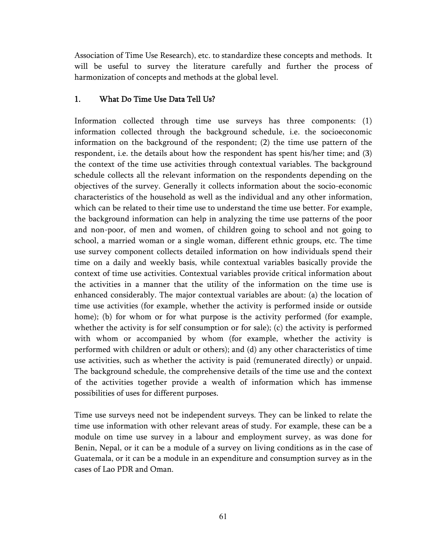Association of Time Use Research), etc. to standardize these concepts and methods. It will be useful to survey the literature carefully and further the process of harmonization of concepts and methods at the global level.

### 1. What Do Time Use Data Tell Us?

Information collected through time use surveys has three components: (1) information collected through the background schedule, i.e. the socioeconomic information on the background of the respondent; (2) the time use pattern of the respondent, i.e. the details about how the respondent has spent his/her time; and (3) the context of the time use activities through contextual variables. The background schedule collects all the relevant information on the respondents depending on the objectives of the survey. Generally it collects information about the socio-economic characteristics of the household as well as the individual and any other information, which can be related to their time use to understand the time use better. For example, the background information can help in analyzing the time use patterns of the poor and non-poor, of men and women, of children going to school and not going to school, a married woman or a single woman, different ethnic groups, etc. The time use survey component collects detailed information on how individuals spend their time on a daily and weekly basis, while contextual variables basically provide the context of time use activities. Contextual variables provide critical information about the activities in a manner that the utility of the information on the time use is enhanced considerably. The major contextual variables are about: (a) the location of time use activities (for example, whether the activity is performed inside or outside home); (b) for whom or for what purpose is the activity performed (for example, whether the activity is for self consumption or for sale); (c) the activity is performed with whom or accompanied by whom (for example, whether the activity is performed with children or adult or others); and (d) any other characteristics of time use activities, such as whether the activity is paid (remunerated directly) or unpaid. The background schedule, the comprehensive details of the time use and the context of the activities together provide a wealth of information which has immense possibilities of uses for different purposes.

Time use surveys need not be independent surveys. They can be linked to relate the time use information with other relevant areas of study. For example, these can be a module on time use survey in a labour and employment survey, as was done for Benin, Nepal, or it can be a module of a survey on living conditions as in the case of Guatemala, or it can be a module in an expenditure and consumption survey as in the cases of Lao PDR and Oman.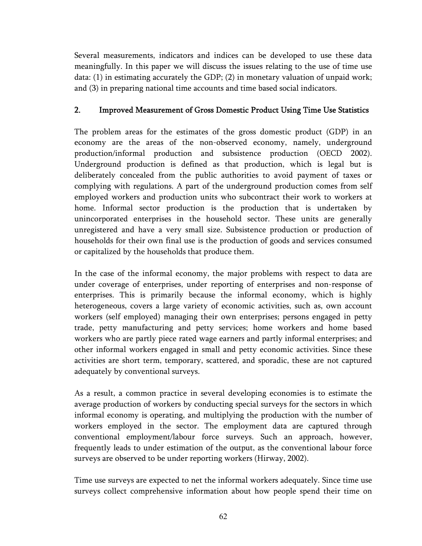Several measurements, indicators and indices can be developed to use these data meaningfully. In this paper we will discuss the issues relating to the use of time use data: (1) in estimating accurately the GDP; (2) in monetary valuation of unpaid work; and (3) in preparing national time accounts and time based social indicators.

## 2. Improved Measurement of Gross Domestic Product Using Time Use Statistics

The problem areas for the estimates of the gross domestic product (GDP) in an economy are the areas of the non-observed economy, namely, underground production/informal production and subsistence production (OECD 2002). Underground production is defined as that production, which is legal but is deliberately concealed from the public authorities to avoid payment of taxes or complying with regulations. A part of the underground production comes from self employed workers and production units who subcontract their work to workers at home. Informal sector production is the production that is undertaken by unincorporated enterprises in the household sector. These units are generally unregistered and have a very small size. Subsistence production or production of households for their own final use is the production of goods and services consumed or capitalized by the households that produce them.

In the case of the informal economy, the major problems with respect to data are under coverage of enterprises, under reporting of enterprises and non-response of enterprises. This is primarily because the informal economy, which is highly heterogeneous, covers a large variety of economic activities, such as, own account workers (self employed) managing their own enterprises; persons engaged in petty trade, petty manufacturing and petty services; home workers and home based workers who are partly piece rated wage earners and partly informal enterprises; and other informal workers engaged in small and petty economic activities. Since these activities are short term, temporary, scattered, and sporadic, these are not captured adequately by conventional surveys.

As a result, a common practice in several developing economies is to estimate the average production of workers by conducting special surveys for the sectors in which informal economy is operating, and multiplying the production with the number of workers employed in the sector. The employment data are captured through conventional employment/labour force surveys. Such an approach, however, frequently leads to under estimation of the output, as the conventional labour force surveys are observed to be under reporting workers (Hirway, 2002).

Time use surveys are expected to net the informal workers adequately. Since time use surveys collect comprehensive information about how people spend their time on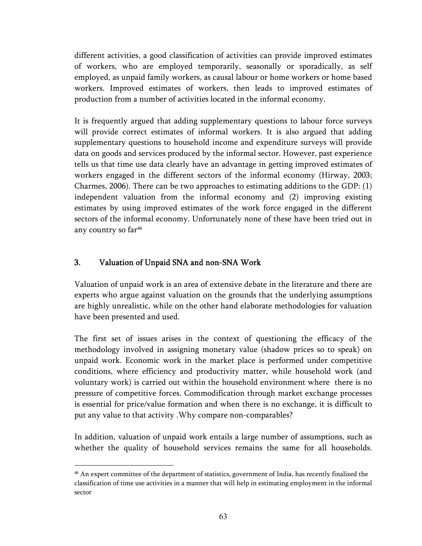different activities, a good classification of activities can provide improved estimates of workers, who are employed temporarily, seasonally or sporadically, as self employed, as unpaid family workers, as causal labour or home workers or home based workers. Improved estimates of workers, then leads to improved estimates of production from a number of activities located in the informal economy.

It is frequently argued that adding supplementary questions to labour force surveys will provide correct estimates of informal workers. It is also argued that adding supplementary questions to household income and expenditure surveys will provide data on goods and services produced by the informal sector. However, past experience tells us that time use data clearly have an advantage in getting improved estimates of workers engaged in the different sectors of the informal economy (Hirway, 2003; Charmes, 2006). There can be two approaches to estimating additions to the GDP: (1) independent valuation from the informal economy and (2) improving existing estimates by using improved estimates of the work force engaged in the different sectors of the informal economy. Unfortunately none of these have been tried out in any country so far46

## 3. Valuation of Unpaid SNA and non-SNA Work

 $\overline{a}$ 

Valuation of unpaid work is an area of extensive debate in the literature and there are experts who argue against valuation on the grounds that the underlying assumptions are highly unrealistic, while on the other hand elaborate methodologies for valuation have been presented and used.

The first set of issues arises in the context of questioning the efficacy of the methodology involved in assigning monetary value (shadow prices so to speak) on unpaid work. Economic work in the market place is performed under competitive conditions, where efficiency and productivity matter, while household work (and voluntary work) is carried out within the household environment where there is no pressure of competitive forces. Commodification through market exchange processes is essential for price/value formation and when there is no exchange, it is difficult to put any value to that activity .Why compare non-comparables?

In addition, valuation of unpaid work entails a large number of assumptions, such as whether the quality of household services remains the same for all households.

<sup>46</sup> An expert committee of the department of statistics, government of India, has recently finalized the classification of time use activities in a manner that will help in estimating employment in the informal sector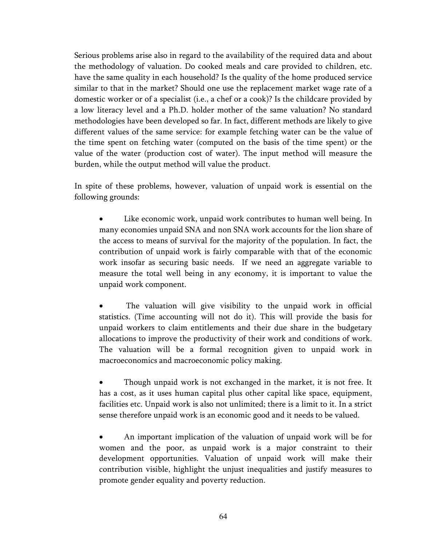Serious problems arise also in regard to the availability of the required data and about the methodology of valuation. Do cooked meals and care provided to children, etc. have the same quality in each household? Is the quality of the home produced service similar to that in the market? Should one use the replacement market wage rate of a domestic worker or of a specialist (i.e., a chef or a cook)? Is the childcare provided by a low literacy level and a Ph.D. holder mother of the same valuation? No standard methodologies have been developed so far. In fact, different methods are likely to give different values of the same service: for example fetching water can be the value of the time spent on fetching water (computed on the basis of the time spent) or the value of the water (production cost of water). The input method will measure the burden, while the output method will value the product.

In spite of these problems, however, valuation of unpaid work is essential on the following grounds:

Like economic work, unpaid work contributes to human well being. In many economies unpaid SNA and non SNA work accounts for the lion share of the access to means of survival for the majority of the population. In fact, the contribution of unpaid work is fairly comparable with that of the economic work insofar as securing basic needs. If we need an aggregate variable to measure the total well being in any economy, it is important to value the unpaid work component.

The valuation will give visibility to the unpaid work in official statistics. (Time accounting will not do it). This will provide the basis for unpaid workers to claim entitlements and their due share in the budgetary allocations to improve the productivity of their work and conditions of work. The valuation will be a formal recognition given to unpaid work in macroeconomics and macroeconomic policy making.

Though unpaid work is not exchanged in the market, it is not free. It has a cost, as it uses human capital plus other capital like space, equipment, facilities etc. Unpaid work is also not unlimited; there is a limit to it. In a strict sense therefore unpaid work is an economic good and it needs to be valued.

• An important implication of the valuation of unpaid work will be for women and the poor, as unpaid work is a major constraint to their development opportunities. Valuation of unpaid work will make their contribution visible, highlight the unjust inequalities and justify measures to promote gender equality and poverty reduction.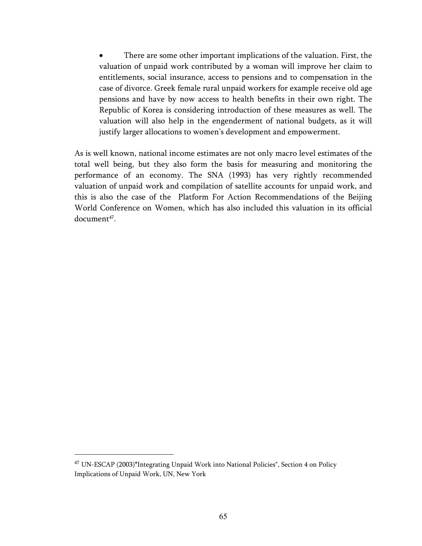There are some other important implications of the valuation. First, the valuation of unpaid work contributed by a woman will improve her claim to entitlements, social insurance, access to pensions and to compensation in the case of divorce. Greek female rural unpaid workers for example receive old age pensions and have by now access to health benefits in their own right. The Republic of Korea is considering introduction of these measures as well. The valuation will also help in the engenderment of national budgets, as it will justify larger allocations to women's development and empowerment.

As is well known, national income estimates are not only macro level estimates of the total well being, but they also form the basis for measuring and monitoring the performance of an economy. The SNA (1993) has very rightly recommended valuation of unpaid work and compilation of satellite accounts for unpaid work, and this is also the case of the Platform For Action Recommendations of the Beijing World Conference on Women, which has also included this valuation in its official document<sup>47</sup>

<sup>47</sup> UN-ESCAP (2003)"Integrating Unpaid Work into National Policies", Section 4 on Policy Implications of Unpaid Work, UN, New York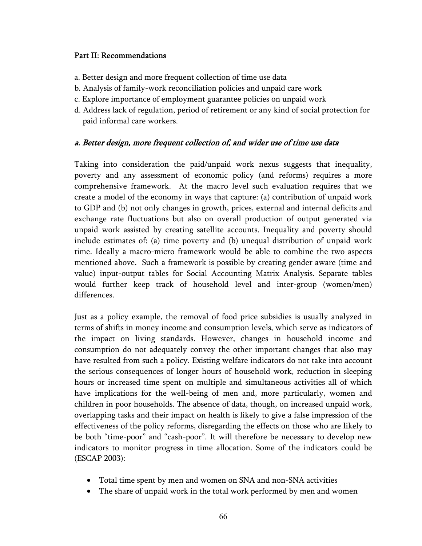### Part II: Recommendations

- a. Better design and more frequent collection of time use data
- b. Analysis of family-work reconciliation policies and unpaid care work
- c. Explore importance of employment guarantee policies on unpaid work
- d. Address lack of regulation, period of retirement or any kind of social protection for paid informal care workers.

## a. Better design, more frequent collection of, and wider use of time use data

Taking into consideration the paid/unpaid work nexus suggests that inequality, poverty and any assessment of economic policy (and reforms) requires a more comprehensive framework. At the macro level such evaluation requires that we create a model of the economy in ways that capture: (a) contribution of unpaid work to GDP and (b) not only changes in growth, prices, external and internal deficits and exchange rate fluctuations but also on overall production of output generated via unpaid work assisted by creating satellite accounts. Inequality and poverty should include estimates of: (a) time poverty and (b) unequal distribution of unpaid work time. Ideally a macro-micro framework would be able to combine the two aspects mentioned above. Such a framework is possible by creating gender aware (time and value) input-output tables for Social Accounting Matrix Analysis. Separate tables would further keep track of household level and inter-group (women/men) differences.

Just as a policy example, the removal of food price subsidies is usually analyzed in terms of shifts in money income and consumption levels, which serve as indicators of the impact on living standards. However, changes in household income and consumption do not adequately convey the other important changes that also may have resulted from such a policy. Existing welfare indicators do not take into account the serious consequences of longer hours of household work, reduction in sleeping hours or increased time spent on multiple and simultaneous activities all of which have implications for the well-being of men and, more particularly, women and children in poor households. The absence of data, though, on increased unpaid work, overlapping tasks and their impact on health is likely to give a false impression of the effectiveness of the policy reforms, disregarding the effects on those who are likely to be both "time-poor" and "cash-poor". It will therefore be necessary to develop new indicators to monitor progress in time allocation. Some of the indicators could be (ESCAP 2003):

- Total time spent by men and women on SNA and non-SNA activities
- The share of unpaid work in the total work performed by men and women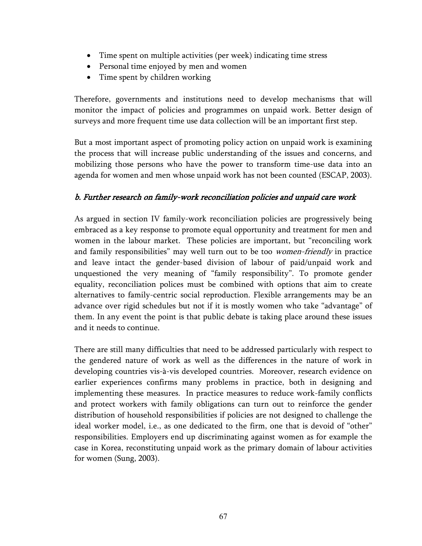- Time spent on multiple activities (per week) indicating time stress
- Personal time enjoyed by men and women
- Time spent by children working

Therefore, governments and institutions need to develop mechanisms that will monitor the impact of policies and programmes on unpaid work. Better design of surveys and more frequent time use data collection will be an important first step.

But a most important aspect of promoting policy action on unpaid work is examining the process that will increase public understanding of the issues and concerns, and mobilizing those persons who have the power to transform time-use data into an agenda for women and men whose unpaid work has not been counted (ESCAP, 2003).

## b. Further research on family-work reconciliation policies and unpaid care work

As argued in section IV family-work reconciliation policies are progressively being embraced as a key response to promote equal opportunity and treatment for men and women in the labour market. These policies are important, but "reconciling work and family responsibilities" may well turn out to be too women-friendly in practice and leave intact the gender-based division of labour of paid/unpaid work and unquestioned the very meaning of "family responsibility". To promote gender equality, reconciliation polices must be combined with options that aim to create alternatives to family-centric social reproduction. Flexible arrangements may be an advance over rigid schedules but not if it is mostly women who take "advantage" of them. In any event the point is that public debate is taking place around these issues and it needs to continue.

There are still many difficulties that need to be addressed particularly with respect to the gendered nature of work as well as the differences in the nature of work in developing countries vis-à-vis developed countries. Moreover, research evidence on earlier experiences confirms many problems in practice, both in designing and implementing these measures. In practice measures to reduce work-family conflicts and protect workers with family obligations can turn out to reinforce the gender distribution of household responsibilities if policies are not designed to challenge the ideal worker model, i.e., as one dedicated to the firm, one that is devoid of "other" responsibilities. Employers end up discriminating against women as for example the case in Korea, reconstituting unpaid work as the primary domain of labour activities for women (Sung, 2003).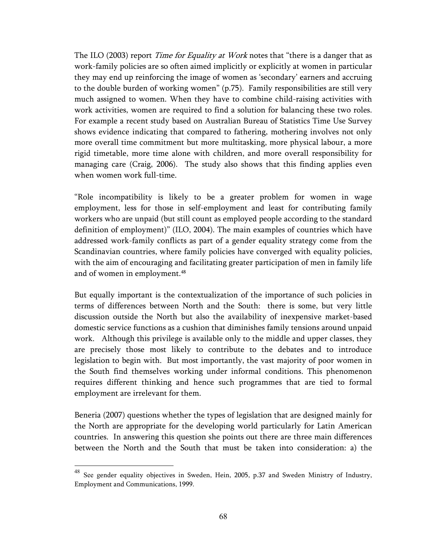The ILO (2003) report *Time for Equality at Work* notes that "there is a danger that as work-family policies are so often aimed implicitly or explicitly at women in particular they may end up reinforcing the image of women as 'secondary' earners and accruing to the double burden of working women" (p.75). Family responsibilities are still very much assigned to women. When they have to combine child-raising activities with work activities, women are required to find a solution for balancing these two roles. For example a recent study based on Australian Bureau of Statistics Time Use Survey shows evidence indicating that compared to fathering, mothering involves not only more overall time commitment but more multitasking, more physical labour, a more rigid timetable, more time alone with children, and more overall responsibility for managing care (Craig, 2006). The study also shows that this finding applies even when women work full-time.

"Role incompatibility is likely to be a greater problem for women in wage employment, less for those in self-employment and least for contributing family workers who are unpaid (but still count as employed people according to the standard definition of employment)" (ILO, 2004). The main examples of countries which have addressed work-family conflicts as part of a gender equality strategy come from the Scandinavian countries, where family policies have converged with equality policies, with the aim of encouraging and facilitating greater participation of men in family life and of women in employment.<sup>48</sup>

But equally important is the contextualization of the importance of such policies in terms of differences between North and the South: there is some, but very little discussion outside the North but also the availability of inexpensive market-based domestic service functions as a cushion that diminishes family tensions around unpaid work. Although this privilege is available only to the middle and upper classes, they are precisely those most likely to contribute to the debates and to introduce legislation to begin with. But most importantly, the vast majority of poor women in the South find themselves working under informal conditions. This phenomenon requires different thinking and hence such programmes that are tied to formal employment are irrelevant for them.

Beneria (2007) questions whether the types of legislation that are designed mainly for the North are appropriate for the developing world particularly for Latin American countries. In answering this question she points out there are three main differences between the North and the South that must be taken into consideration: a) the

 $^{48}$  See gender equality objectives in Sweden, Hein, 2005, p.37 and Sweden Ministry of Industry, Employment and Communications, 1999.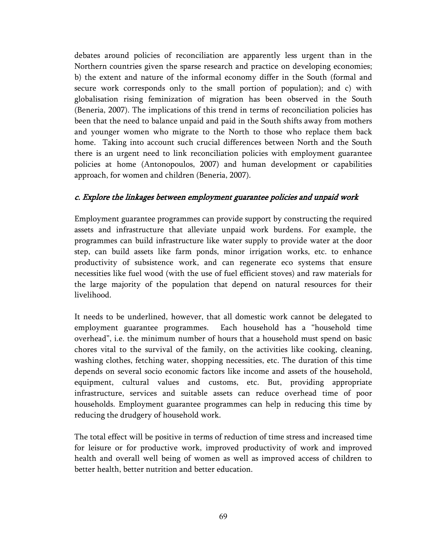debates around policies of reconciliation are apparently less urgent than in the Northern countries given the sparse research and practice on developing economies; b) the extent and nature of the informal economy differ in the South (formal and secure work corresponds only to the small portion of population); and c) with globalisation rising feminization of migration has been observed in the South (Beneria, 2007). The implications of this trend in terms of reconciliation policies has been that the need to balance unpaid and paid in the South shifts away from mothers and younger women who migrate to the North to those who replace them back home. Taking into account such crucial differences between North and the South there is an urgent need to link reconciliation policies with employment guarantee policies at home (Antonopoulos, 2007) and human development or capabilities approach, for women and children (Beneria, 2007).

## c. Explore the linkages between employment guarantee policies and unpaid work

Employment guarantee programmes can provide support by constructing the required assets and infrastructure that alleviate unpaid work burdens. For example, the programmes can build infrastructure like water supply to provide water at the door step, can build assets like farm ponds, minor irrigation works, etc. to enhance productivity of subsistence work, and can regenerate eco systems that ensure necessities like fuel wood (with the use of fuel efficient stoves) and raw materials for the large majority of the population that depend on natural resources for their livelihood.

It needs to be underlined, however, that all domestic work cannot be delegated to employment guarantee programmes. Each household has a "household time overhead", i.e. the minimum number of hours that a household must spend on basic chores vital to the survival of the family, on the activities like cooking, cleaning, washing clothes, fetching water, shopping necessities, etc. The duration of this time depends on several socio economic factors like income and assets of the household, equipment, cultural values and customs, etc. But, providing appropriate infrastructure, services and suitable assets can reduce overhead time of poor households. Employment guarantee programmes can help in reducing this time by reducing the drudgery of household work.

The total effect will be positive in terms of reduction of time stress and increased time for leisure or for productive work, improved productivity of work and improved health and overall well being of women as well as improved access of children to better health, better nutrition and better education.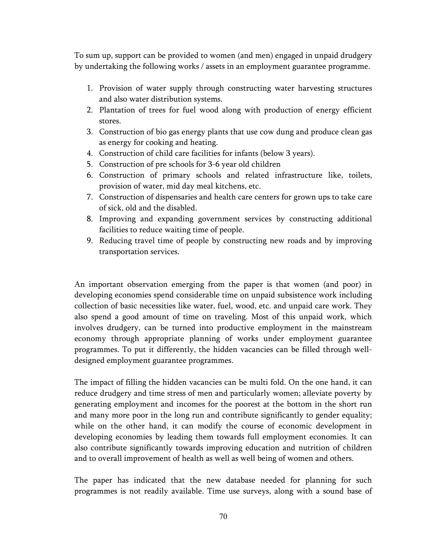To sum up, support can be provided to women (and men) engaged in unpaid drudgery by undertaking the following works / assets in an employment guarantee programme.

- 1. Provision of water supply through constructing water harvesting structures and also water distribution systems.
- 2. Plantation of trees for fuel wood along with production of energy efficient stores.
- 3. Construction of bio gas energy plants that use cow dung and produce clean gas as energy for cooking and heating.
- 4. Construction of child care facilities for infants (below 3 years).
- 5. Construction of pre schools for 3-6 year old children
- 6. Construction of primary schools and related infrastructure like, toilets, provision of water, mid day meal kitchens, etc.
- 7. Construction of dispensaries and health care centers for grown ups to take care of sick, old and the disabled.
- 8. Improving and expanding government services by constructing additional facilities to reduce waiting time of people.
- 9. Reducing travel time of people by constructing new roads and by improving transportation services.

An important observation emerging from the paper is that women (and poor) in developing economies spend considerable time on unpaid subsistence work including collection of basic necessities like water, fuel, wood, etc. and unpaid care work. They also spend a good amount of time on traveling. Most of this unpaid work, which involves drudgery, can be turned into productive employment in the mainstream economy through appropriate planning of works under employment guarantee programmes. To put it differently, the hidden vacancies can be filled through welldesigned employment guarantee programmes.

The impact of filling the hidden vacancies can be multi fold. On the one hand, it can reduce drudgery and time stress of men and particularly women; alleviate poverty by generating employment and incomes for the poorest at the bottom in the short run and many more poor in the long run and contribute significantly to gender equality; while on the other hand, it can modify the course of economic development in developing economies by leading them towards full employment economies. It can also contribute significantly towards improving education and nutrition of children and to overall improvement of health as well as well being of women and others.

The paper has indicated that the new database needed for planning for such programmes is not readily available. Time use surveys, along with a sound base of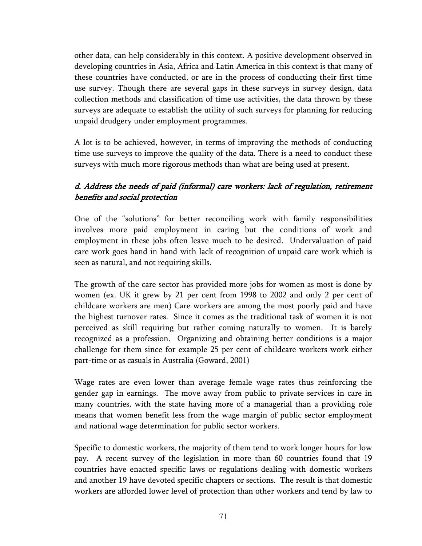other data, can help considerably in this context. A positive development observed in developing countries in Asia, Africa and Latin America in this context is that many of these countries have conducted, or are in the process of conducting their first time use survey. Though there are several gaps in these surveys in survey design, data collection methods and classification of time use activities, the data thrown by these surveys are adequate to establish the utility of such surveys for planning for reducing unpaid drudgery under employment programmes.

A lot is to be achieved, however, in terms of improving the methods of conducting time use surveys to improve the quality of the data. There is a need to conduct these surveys with much more rigorous methods than what are being used at present.

# d. Address the needs of paid (informal) care workers: lack of regulation, retirement benefits and social protection

One of the "solutions" for better reconciling work with family responsibilities involves more paid employment in caring but the conditions of work and employment in these jobs often leave much to be desired. Undervaluation of paid care work goes hand in hand with lack of recognition of unpaid care work which is seen as natural, and not requiring skills.

The growth of the care sector has provided more jobs for women as most is done by women (ex. UK it grew by 21 per cent from 1998 to 2002 and only 2 per cent of childcare workers are men) Care workers are among the most poorly paid and have the highest turnover rates. Since it comes as the traditional task of women it is not perceived as skill requiring but rather coming naturally to women. It is barely recognized as a profession. Organizing and obtaining better conditions is a major challenge for them since for example 25 per cent of childcare workers work either part-time or as casuals in Australia (Goward, 2001)

Wage rates are even lower than average female wage rates thus reinforcing the gender gap in earnings. The move away from public to private services in care in many countries, with the state having more of a managerial than a providing role means that women benefit less from the wage margin of public sector employment and national wage determination for public sector workers.

Specific to domestic workers, the majority of them tend to work longer hours for low pay. A recent survey of the legislation in more than 60 countries found that 19 countries have enacted specific laws or regulations dealing with domestic workers and another 19 have devoted specific chapters or sections. The result is that domestic workers are afforded lower level of protection than other workers and tend by law to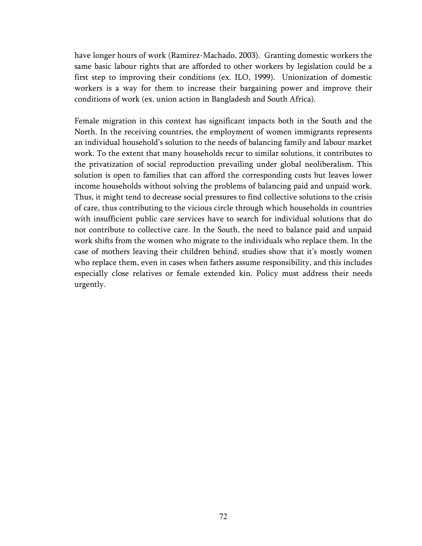have longer hours of work (Ramirez-Machado, 2003). Granting domestic workers the same basic labour rights that are afforded to other workers by legislation could be a first step to improving their conditions (ex. ILO, 1999). Unionization of domestic workers is a way for them to increase their bargaining power and improve their conditions of work (ex. union action in Bangladesh and South Africa).

Female migration in this context has significant impacts both in the South and the North. In the receiving countries, the employment of women immigrants represents an individual household's solution to the needs of balancing family and labour market work. To the extent that many households recur to similar solutions, it contributes to the privatization of social reproduction prevailing under global neoliberalism. This solution is open to families that can afford the corresponding costs but leaves lower income households without solving the problems of balancing paid and unpaid work. Thus, it might tend to decrease social pressures to find collective solutions to the crisis of care, thus contributing to the vicious circle through which households in countries with insufficient public care services have to search for individual solutions that do not contribute to collective care. In the South, the need to balance paid and unpaid work shifts from the women who migrate to the individuals who replace them. In the case of mothers leaving their children behind, studies show that it's mostly women who replace them, even in cases when fathers assume responsibility, and this includes especially close relatives or female extended kin. Policy must address their needs urgently.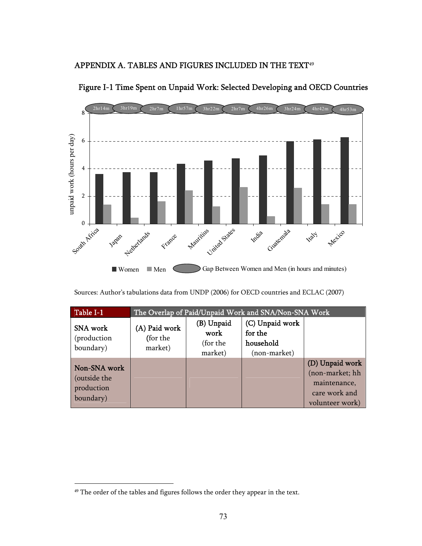### APPENDIX A. TABLES AND FIGURES INCLUDED IN THE TEXT<sup>49</sup>



Figure I-1 Time Spent on Unpaid Work: Selected Developing and OECD Countries

Sources: Author's tabulations data from UNDP (2006) for OECD countries and ECLAC (2007)

| Table I-1                                               | The Overlap of Paid/Unpaid Work and SNA/Non-SNA Work |                                           |                                                         |                                                                                        |  |  |  |  |
|---------------------------------------------------------|------------------------------------------------------|-------------------------------------------|---------------------------------------------------------|----------------------------------------------------------------------------------------|--|--|--|--|
| <b>SNA</b> work<br>(production<br>boundary)             | (A) Paid work<br>(for the<br>market)                 | (B) Unpaid<br>work<br>(for the<br>market) | (C) Unpaid work<br>for the<br>household<br>(non-market) |                                                                                        |  |  |  |  |
| Non-SNA work<br>(outside the<br>production<br>boundary) |                                                      |                                           |                                                         | (D) Unpaid work<br>(non-market; hh<br>maintenance,<br>care work and<br>volunteer work) |  |  |  |  |

 $\overline{a}$ 

<sup>&</sup>lt;sup>49</sup> The order of the tables and figures follows the order they appear in the text.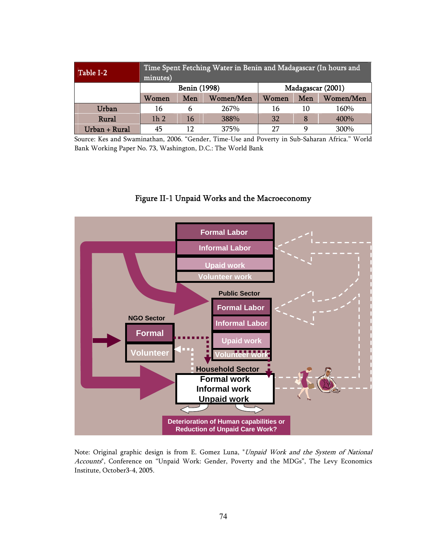| Table I-2     | Time Spent Fetching Water in Benin and Madagascar (In hours and<br>minutes) |                                   |           |       |     |           |  |  |  |  |
|---------------|-----------------------------------------------------------------------------|-----------------------------------|-----------|-------|-----|-----------|--|--|--|--|
|               |                                                                             | Benin (1998)<br>Madagascar (2001) |           |       |     |           |  |  |  |  |
|               | Women                                                                       | Men                               | Women/Men | Women | Men | Women/Men |  |  |  |  |
| Urban         | 16                                                                          | 6                                 | 267%      | 16    | 10  | 160%      |  |  |  |  |
| Rural         | $1h$ 2                                                                      | 16                                | 388%      | 32    | 8   | 400%      |  |  |  |  |
| Urban + Rural |                                                                             |                                   | 375%      | 77    | O   | 300%      |  |  |  |  |

Source: Kes and Swaminathan, 2006. "Gender, Time-Use and Poverty in Sub-Saharan Africa." World Bank Working Paper No. 73, Washington, D.C.: The World Bank



# Figure II-1 Unpaid Works and the Macroeconomy

Note: Original graphic design is from E. Gomez Luna, "*Unpaid Work and the System of National* Accounts", Conference on "Unpaid Work: Gender, Poverty and the MDGs", The Levy Economics Institute, October3-4, 2005.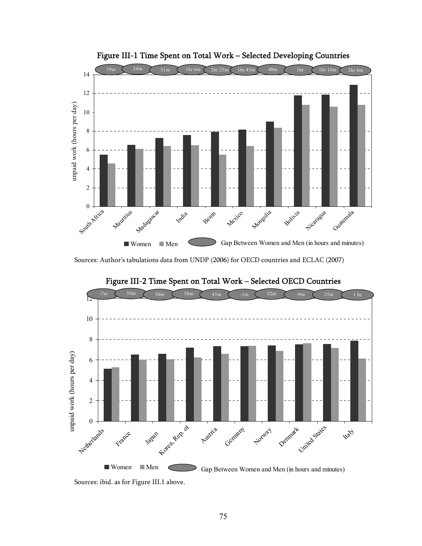

Figure III-1 Time Spent on Total Work – Selected Developing Countries

Sources: Author's tabulations data from UNDP (2006) for OECD countries and ECLAC (2007)



Figure III-2 Time Spent on Total Work – Selected OECD Countries

Sources: ibid. as for Figure III.1 above.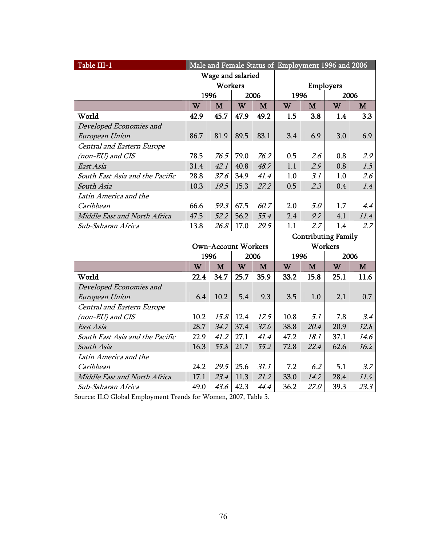| Table III-1                     | Male and Female Status of Employment 1996 and 2006 |                            |      |           |                            |      |      |             |  |
|---------------------------------|----------------------------------------------------|----------------------------|------|-----------|----------------------------|------|------|-------------|--|
|                                 | Wage and salaried                                  |                            |      |           |                            |      |      |             |  |
|                                 | Workers                                            |                            |      | Employers |                            |      |      |             |  |
|                                 |                                                    | 1996                       |      | 2006      | 1996                       |      |      | 2006        |  |
|                                 | W                                                  | $\mathbf M$                | W    | M         | W                          | M    | W    | $\mathbf M$ |  |
| World                           | 42.9                                               | 45.7                       | 47.9 | 49.2      | 1.5                        | 3.8  | 1.4  | 3.3         |  |
| Developed Economies and         |                                                    |                            |      |           |                            |      |      |             |  |
| European Union                  | 86.7                                               | 81.9                       | 89.5 | 83.1      | 3.4                        | 6.9  | 3.0  | 6.9         |  |
| Central and Eastern Europe      |                                                    |                            |      |           |                            |      |      |             |  |
| (non-EU) and CIS                | 78.5                                               | 76.5                       | 79.0 | 76.2      | 0.5                        | 2.6  | 0.8  | 2.9         |  |
| East Asia                       | 31.4                                               | 42.1                       | 40.8 | 48.7      | 1.1                        | 2.9  | 0.8  | 1.5         |  |
| South East Asia and the Pacific | 28.8                                               | 37.6                       | 34.9 | 41.4      | 1.0                        | 3.1  | 1.0  | 2.6         |  |
| South Asia                      | 10.3                                               | 19.5                       | 15.3 | 27.2      | 0.5                        | 2.3  | 0.4  | 1.4         |  |
| Latin America and the           |                                                    |                            |      |           |                            |      |      |             |  |
| Caribbean                       | 66.6                                               | 59.3                       | 67.5 | 60.7      | 2.0                        | 5.0  | 1.7  | 4.4         |  |
| Middle East and North Africa    | 47.5                                               | 52.2                       | 56.2 | 55.4      | 2.4                        | 9.7  | 4.1  | 11.4        |  |
| Sub-Saharan Africa              | 13.8                                               | 26.8                       | 17.0 | 29.5      | 1.1                        | 2.7  | 1.4  | 2.7         |  |
|                                 |                                                    |                            |      |           | <b>Contributing Family</b> |      |      |             |  |
|                                 |                                                    | <b>Own-Account Workers</b> |      |           | <b>Workers</b>             |      |      |             |  |
|                                 |                                                    | 1996                       |      | 2006      | 1996                       |      | 2006 |             |  |
|                                 | W                                                  | M                          | W    | M         | W                          | M    | W    | $\mathbf M$ |  |
| World                           | 22.4                                               | 34.7                       | 25.7 | 35.9      | 33.2                       | 15.8 | 25.1 | 11.6        |  |
| Developed Economies and         |                                                    |                            |      |           |                            |      |      |             |  |
| European Union                  | 6.4                                                | 10.2                       | 5.4  | 9.3       | 3.5                        | 1.0  | 2.1  | 0.7         |  |
| Central and Eastern Europe      |                                                    |                            |      |           |                            |      |      |             |  |
| (non-EU) and CIS                | 10.2                                               | 15.8                       | 12.4 | 17.5      | 10.8                       | 5.1  | 7.8  | 3.4         |  |
| East Asia                       | 28.7                                               | 34.7                       | 37.4 | 37.0      | 38.8                       | 20.4 | 20.9 | 12.8        |  |
| South East Asia and the Pacific | 22.9                                               | 41.2                       | 27.1 | 41.4      | 47.2                       | 18.1 | 37.1 | 14.6        |  |
| South Asia                      | 16.3                                               | 55.8                       | 21.7 | 55.2      | 72.8                       | 22.4 | 62.6 | 16.2        |  |
| Latin America and the           |                                                    |                            |      |           |                            |      |      |             |  |
| Caribbean                       | 24.2                                               | 29.5                       | 25.6 | 31.1      | 7.2                        | 6.2  | 5.1  | 3.7         |  |
| Middle East and North Africa    | 17.1                                               | 23.4                       | 11.3 | 21.2      | 33.0                       | 14.7 | 28.4 | 11.9        |  |
| Sub-Saharan Africa              | 49.0                                               | 43.6                       | 42.3 | 44.4      | 36.2                       | 27.0 | 39.3 | 23.3        |  |

Source: ILO Global Employment Trends for Women, 2007, Table 5.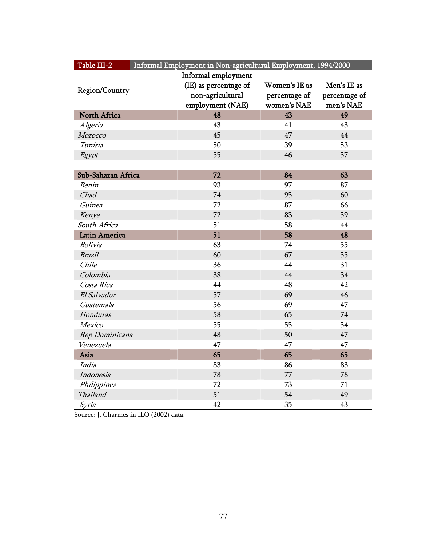| Table III-2          |  | Informal Employment in Non-agricultural Employment, 1994/2000 |               |                                         |  |  |  |  |  |
|----------------------|--|---------------------------------------------------------------|---------------|-----------------------------------------|--|--|--|--|--|
|                      |  | Informal employment                                           |               |                                         |  |  |  |  |  |
| Region/Country       |  | (IE) as percentage of                                         | Women's IE as | $\mathbf{Men}^{\prime}\mathbf{s}$ IE as |  |  |  |  |  |
|                      |  | non-agricultural                                              | percentage of | percentage of                           |  |  |  |  |  |
|                      |  | employment (NAE)                                              | women's NAE   | men's NAE                               |  |  |  |  |  |
| <b>North Africa</b>  |  | 48                                                            | 43            | 49                                      |  |  |  |  |  |
| Algeria              |  | 43                                                            | 41            | 43                                      |  |  |  |  |  |
| Morocco              |  | 45                                                            | 47            | 44                                      |  |  |  |  |  |
| Tunisia              |  | 50                                                            | 39            | 53                                      |  |  |  |  |  |
| Egypt                |  | 55                                                            | 46            | 57                                      |  |  |  |  |  |
|                      |  |                                                               |               |                                         |  |  |  |  |  |
| Sub-Saharan Africa   |  | 72                                                            | 84            | 63                                      |  |  |  |  |  |
| <b>Benin</b>         |  | 93                                                            | 97            | 87                                      |  |  |  |  |  |
| Chad                 |  | 74                                                            | 95            | 60                                      |  |  |  |  |  |
| Guinea               |  | 72                                                            | 87            | 66                                      |  |  |  |  |  |
| Kenya                |  | 72                                                            | 83            | 59                                      |  |  |  |  |  |
| South Africa         |  | 51                                                            | 58            | 44                                      |  |  |  |  |  |
| <b>Latin America</b> |  | 51                                                            | 58            |                                         |  |  |  |  |  |
| Bolivia              |  | 63                                                            | 74            | 55                                      |  |  |  |  |  |
| <b>Brazil</b>        |  | 60                                                            | 67            | 55                                      |  |  |  |  |  |
| Chile                |  | 36                                                            | 44            | 31                                      |  |  |  |  |  |
| Colombia             |  | 38                                                            | 44            | 34                                      |  |  |  |  |  |
| Costa Rica           |  | 44                                                            | 48            | 42                                      |  |  |  |  |  |
| El Salvador          |  | 57                                                            | 69            | 46                                      |  |  |  |  |  |
| Guatemala            |  | 56                                                            | 69            | 47                                      |  |  |  |  |  |
| Honduras             |  | 58                                                            | 65            | 74                                      |  |  |  |  |  |
| Mexico               |  | 55                                                            | 55            | 54                                      |  |  |  |  |  |
| Rep Dominicana       |  | 48                                                            | 50            | 47                                      |  |  |  |  |  |
| Venezuela            |  | 47                                                            | 47            | 47                                      |  |  |  |  |  |
| Asia                 |  | 65                                                            | 65            | 65                                      |  |  |  |  |  |
| India                |  | 83                                                            | 86            | 83                                      |  |  |  |  |  |
| Indonesia            |  | 78                                                            | 77            | 78                                      |  |  |  |  |  |
| Philippines          |  | 72                                                            | 73            | 71                                      |  |  |  |  |  |
| Thailand             |  | 51                                                            | 54            |                                         |  |  |  |  |  |
| Syria                |  | 42                                                            | 35<br>43      |                                         |  |  |  |  |  |

Source: J. Charmes in ILO (2002) data.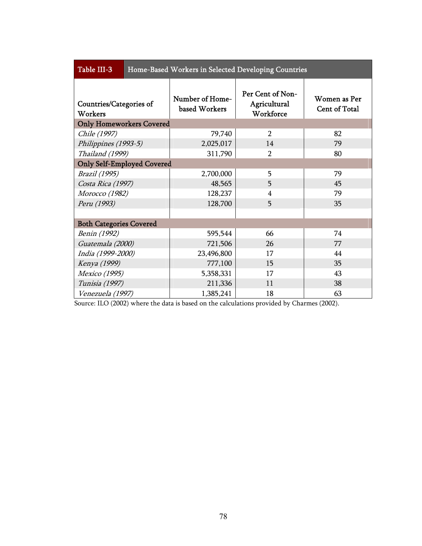| Table III-3                        | Home-Based Workers in Selected Developing Countries |                                  |                                               |                                      |  |  |  |  |  |  |
|------------------------------------|-----------------------------------------------------|----------------------------------|-----------------------------------------------|--------------------------------------|--|--|--|--|--|--|
| Countries/Categories of<br>Workers |                                                     | Number of Home-<br>based Workers | Per Cent of Non-<br>Agricultural<br>Workforce | Women as Per<br><b>Cent of Total</b> |  |  |  |  |  |  |
| <b>Only Homeworkers Covered</b>    |                                                     |                                  |                                               |                                      |  |  |  |  |  |  |
| Chile (1997)                       |                                                     | 79,740                           | $\overline{2}$                                | 82                                   |  |  |  |  |  |  |
| Philippines (1993-5)               |                                                     | 2,025,017                        | 14                                            | 79                                   |  |  |  |  |  |  |
| Thailand (1999)                    |                                                     | 311,790                          | $\overline{2}$                                | 80                                   |  |  |  |  |  |  |
| <b>Only Self-Employed Covered</b>  |                                                     |                                  |                                               |                                      |  |  |  |  |  |  |
| Brazil (1995)                      |                                                     | 2,700,000                        | 5                                             | 79                                   |  |  |  |  |  |  |
| Costa Rica (1997)                  |                                                     | 48,565                           | 5                                             | 45                                   |  |  |  |  |  |  |
| Morocco (1982)                     |                                                     | 128,237                          | 4                                             | 79                                   |  |  |  |  |  |  |
| Peru (1993)                        |                                                     | 128,700                          | 5                                             | 35                                   |  |  |  |  |  |  |
|                                    |                                                     |                                  |                                               |                                      |  |  |  |  |  |  |
| <b>Both Categories Covered</b>     |                                                     |                                  |                                               |                                      |  |  |  |  |  |  |
| <i>Benin (1992)</i>                |                                                     | 595,544                          | 66                                            | 74                                   |  |  |  |  |  |  |
| Guatemala (2000)                   |                                                     | 721,506                          | 26                                            | 77                                   |  |  |  |  |  |  |
| India (1999-2000)                  |                                                     | 23,496,800                       | 17                                            | 44                                   |  |  |  |  |  |  |
| Kenya (1999)                       |                                                     | 777,100                          | 15                                            | 35                                   |  |  |  |  |  |  |
| Mexico (1995)                      |                                                     | 5,358,331                        | 17                                            | 43                                   |  |  |  |  |  |  |
| Tunisia (1997)                     |                                                     | 211,336                          | 11                                            | 38                                   |  |  |  |  |  |  |
| Venezuela (1997)                   |                                                     | 1,385,241                        | 18                                            | 63                                   |  |  |  |  |  |  |

Source: ILO (2002) where the data is based on the calculations provided by Charmes (2002).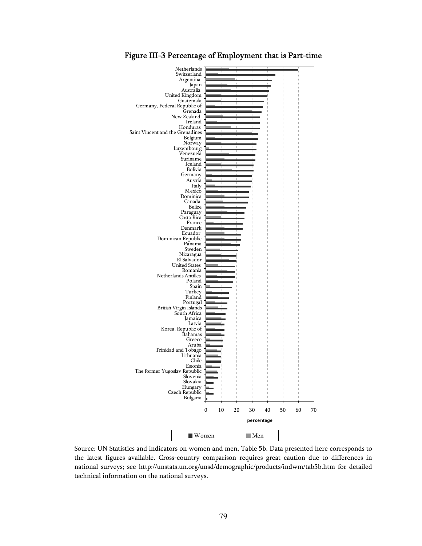

Figure III-3 Percentage of Employment that is Part-time

Source: UN Statistics and indicators on women and men, Table 5b. Data presented here corresponds to the latest figures available. Cross-country comparison requires great caution due to differences in national surveys; see http://unstats.un.org/unsd/demographic/products/indwm/tab5b.htm for detailed technical information on the national surveys.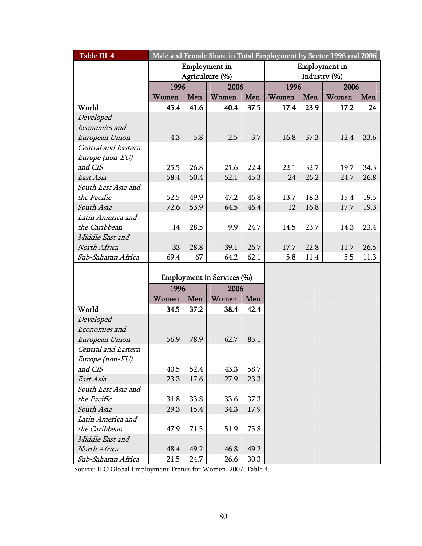| Table III-4                | Male and Female Share in Total Employment by Sector 1996 and 2006 |      |                                         |      |                                      |      |       |      |  |
|----------------------------|-------------------------------------------------------------------|------|-----------------------------------------|------|--------------------------------------|------|-------|------|--|
|                            |                                                                   |      | <b>Employment</b> in<br>Agriculture (%) |      | <b>Employment</b> in<br>Industry (%) |      |       |      |  |
|                            | 1996                                                              |      | 2006                                    |      | 1996                                 |      | 2006  |      |  |
|                            | Women                                                             | Men  | Women                                   | Men  | Women                                | Men  | Women | Men  |  |
| World                      | 45.4                                                              | 41.6 | 40.4                                    | 37.5 | 17.4                                 | 23.9 | 17.2  | 24   |  |
| Developed                  |                                                                   |      |                                         |      |                                      |      |       |      |  |
| Economies and              |                                                                   |      |                                         |      |                                      |      |       |      |  |
| European Union             | 4.3                                                               | 5.8  | 2.5                                     | 3.7  | 16.8                                 | 37.3 | 12.4  | 33.6 |  |
| <b>Central and Eastern</b> |                                                                   |      |                                         |      |                                      |      |       |      |  |
| Europe (non-EU)            |                                                                   |      |                                         |      |                                      |      |       |      |  |
| and CIS                    | 25.5                                                              | 26.8 | 21.6                                    | 22.4 | 22.1                                 | 32.7 | 19.7  | 34.3 |  |
| East Asia                  | 58.4                                                              | 50.4 | 52.1                                    | 45.3 | 24                                   | 26.2 | 24.7  | 26.8 |  |
| South East Asia and        |                                                                   |      |                                         |      |                                      |      |       |      |  |
| the Pacific                | 52.5                                                              | 49.9 | 47.2                                    | 46.8 | 13.7                                 | 18.3 | 15.4  | 19.5 |  |
| South Asia                 | 72.6                                                              | 53.9 | 64.5                                    | 46.4 | 12                                   | 16.8 | 17.7  | 19.3 |  |
| Latin America and          |                                                                   |      |                                         |      |                                      |      |       |      |  |
| the Caribbean              | 14                                                                | 28.5 | 9.9                                     | 24.7 | 14.5                                 | 23.7 | 14.3  | 23.4 |  |
| Middle East and            |                                                                   |      |                                         |      |                                      |      |       |      |  |
| North Africa               | 33                                                                | 28.8 | 39.1                                    | 26.7 | 17.7                                 | 22.8 | 11.7  | 26.5 |  |
| Sub-Saharan Africa         | 69.4                                                              | 67   | 64.2                                    | 62.1 | 5.8                                  | 11.4 | 5.5   | 11.3 |  |
|                            |                                                                   |      |                                         |      |                                      |      |       |      |  |

|                            |       |      | <b>Employment in Services (%)</b> |      |
|----------------------------|-------|------|-----------------------------------|------|
|                            | 1996  |      | 2006                              |      |
|                            | Women | Men  | Women                             | Men  |
| World                      | 34.5  | 37.2 | 38.4                              | 42.4 |
| Developed                  |       |      |                                   |      |
| <i>Economies and</i>       |       |      |                                   |      |
| European Union             | 56.9  | 78.9 | 62.7                              | 85.1 |
| <i>Central and Eastern</i> |       |      |                                   |      |
| Europe (non-EU)            |       |      |                                   |      |
| and CIS                    | 40.5  | 52.4 | 43.3                              | 58.7 |
| East Asia                  | 23.3  | 17.6 | 27.9                              | 23.3 |
| South East Asia and        |       |      |                                   |      |
| the Pacific                | 31.8  | 33.8 | 33.6                              | 37.3 |
| South Asia                 | 29.3  | 15.4 | 34.3                              | 17.9 |
| Latin America and          |       |      |                                   |      |
| the Caribbean              | 47.9  | 71.5 | 51.9                              | 75.8 |
| Middle East and            |       |      |                                   |      |
| North Africa               | 48.4  | 49.2 | 46.8                              | 49.2 |
| Sub-Saharan Africa         | 21.5  | 24.7 | 26.6                              | 30.3 |

Source: ILO Global Employment Trends for Women, 2007, Table 4.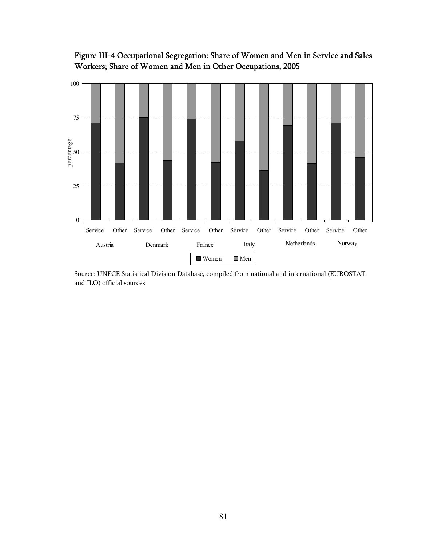



Source: UNECE Statistical Division Database, compiled from national and international (EUROSTAT and ILO) official sources.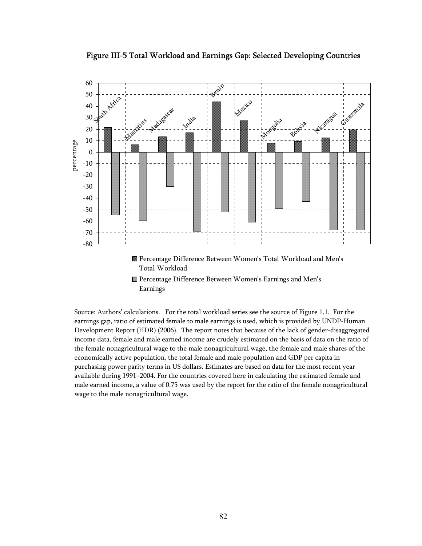



**Percentage Difference Between Women's Earnings and Men's** Earnings

Source: Authors' calculations. For the total workload series see the source of Figure 1.1. For the earnings gap, ratio of estimated female to male earnings is used, which is provided by UNDP-Human Development Report (HDR) (2006). The report notes that because of the lack of gender-disaggregated income data, female and male earned income are crudely estimated on the basis of data on the ratio of the female nonagricultural wage to the male nonagricultural wage, the female and male shares of the economically active population, the total female and male population and GDP per capita in purchasing power parity terms in US dollars. Estimates are based on data for the most recent year available during 1991–2004. For the countries covered here in calculating the estimated female and male earned income, a value of 0.75 was used by the report for the ratio of the female nonagricultural wage to the male nonagricultural wage.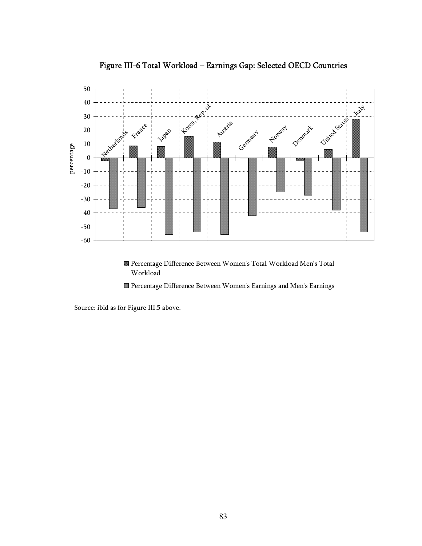

# Figure III-6 Total Workload – Earnings Gap: Selected OECD Countries

#### Percentage Difference Between Women's Total Workload Men's Total Workload

### Percentage Difference Between Women's Earnings and Men's Earnings

Source: ibid as for Figure III.5 above.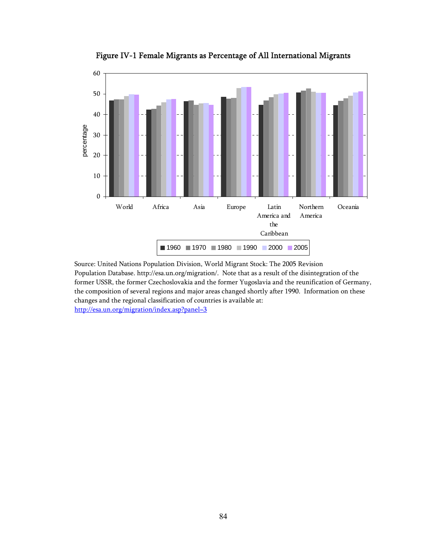

Figure IV-1 Female Migrants as Percentage of All International Migrants

Source: United Nations Population Division, World Migrant Stock: The 2005 Revision Population Database. http://esa.un.org/migration/. Note that as a result of the disintegration of the former USSR, the former Czechoslovakia and the former Yugoslavia and the reunification of Germany, the composition of several regions and major areas changed shortly after 1990. Information on these changes and the regional classification of countries is available at: http://esa.un.org/migration/index.asp?panel=3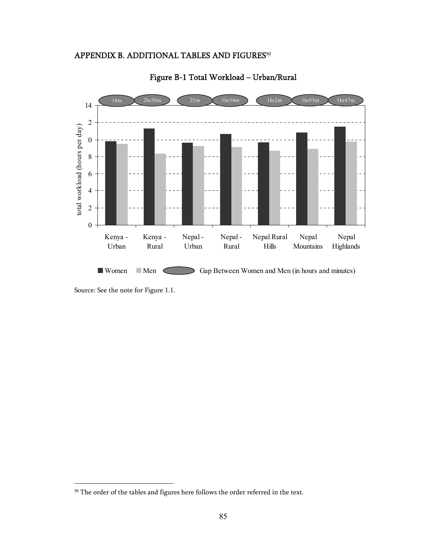## APPENDIX B. ADDITIONAL TABLES AND FIGURES<sup>50</sup>



Figure B-1 Total Workload – Urban/Rural

Source: See the note for Figure 1.1.

 $\overline{a}$ 

 $^{50}$  The order of the tables and figures here follows the order referred in the text.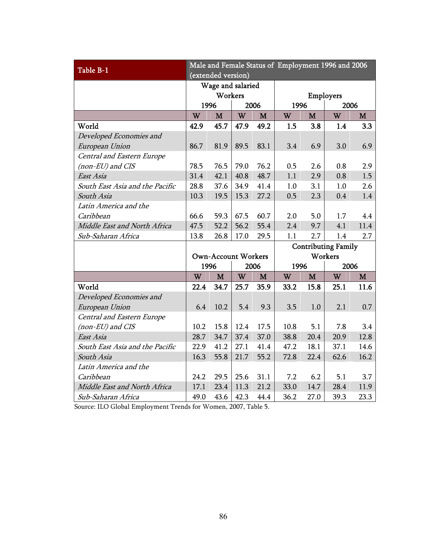| Table B-1                       | Male and Female Status of Employment 1996 and 2006 |                            |      |                  |      |             |                            |             |  |
|---------------------------------|----------------------------------------------------|----------------------------|------|------------------|------|-------------|----------------------------|-------------|--|
|                                 |                                                    | (extended version)         |      |                  |      |             |                            |             |  |
|                                 |                                                    | Wage and salaried          |      |                  |      |             |                            |             |  |
|                                 | Workers                                            |                            |      | <b>Employers</b> |      |             |                            |             |  |
|                                 | 1996                                               |                            |      | 2006             |      | 1996        |                            | 2006        |  |
|                                 | W                                                  | $\mathbf M$                | W    | M                | W    | M           | W                          | $\mathbf M$ |  |
| World                           | 42.9                                               | 45.7                       | 47.9 | 49.2             | 1.5  | 3.8         | 1.4                        | 3.3         |  |
| Developed Economies and         |                                                    |                            |      |                  |      |             |                            |             |  |
| European Union                  | 86.7                                               | 81.9                       | 89.5 | 83.1             | 3.4  | 6.9         | 3.0                        | 6.9         |  |
| Central and Eastern Europe      |                                                    |                            |      |                  |      |             |                            |             |  |
| (non-EU) and CIS                | 78.5                                               | 76.5                       | 79.0 | 76.2             | 0.5  | 2.6         | 0.8                        | 2.9         |  |
| East Asia                       | 31.4                                               | 42.1                       | 40.8 | 48.7             | 1.1  | 2.9         | 0.8                        | 1.5         |  |
| South East Asia and the Pacific | 28.8                                               | 37.6                       | 34.9 | 41.4             | 1.0  | 3.1         | 1.0                        | 2.6         |  |
| South Asia                      | 10.3                                               | 19.5                       | 15.3 | 27.2             | 0.5  | 2.3         | 0.4                        | 1.4         |  |
| Latin America and the           |                                                    |                            |      |                  |      |             |                            |             |  |
| Caribbean                       | 66.6                                               | 59.3                       | 67.5 | 60.7             | 2.0  | 5.0         | 1.7                        | 4.4         |  |
| Middle East and North Africa    | 47.5                                               | 52.2                       | 56.2 | 55.4             | 2.4  | 9.7         | 4.1                        | 11.4        |  |
| Sub-Saharan Africa              | 13.8                                               | 26.8                       | 17.0 | 29.5             | 1.1  | 2.7         | 1.4                        | 2.7         |  |
|                                 |                                                    |                            |      |                  |      |             | <b>Contributing Family</b> |             |  |
|                                 |                                                    | <b>Own-Account Workers</b> |      |                  |      |             | Workers                    |             |  |
|                                 | 1996                                               |                            |      | 2006             | 1996 |             | 2006                       |             |  |
|                                 | W                                                  | M                          | W    | $\mathbf M$      | W    | $\mathbf M$ | W                          | M           |  |
| World                           | 22.4                                               | 34.7                       | 25.7 | 35.9             | 33.2 | 15.8        | 25.1                       | 11.6        |  |
| Developed Economies and         |                                                    |                            |      |                  |      |             |                            |             |  |
| European Union                  | 6.4                                                | 10.2                       | 5.4  | 9.3              | 3.5  | 1.0         | 2.1                        | 0.7         |  |
| Central and Eastern Europe      |                                                    |                            |      |                  |      |             |                            |             |  |
| (non-EU) and CIS                | 10.2                                               | 15.8                       | 12.4 | 17.5             | 10.8 | 5.1         | 7.8                        | 3.4         |  |
| East Asia                       | 28.7                                               | 34.7                       | 37.4 | 37.0             | 38.8 | 20.4        | 20.9                       | 12.8        |  |
| South East Asia and the Pacific | 22.9                                               | 41.2                       | 27.1 | 41.4             | 47.2 | 18.1        | 37.1                       | 14.6        |  |
| South Asia                      | 16.3                                               | 55.8                       | 21.7 | 55.2             | 72.8 | 22.4        | 62.6                       | 16.2        |  |
| Latin America and the           |                                                    |                            |      |                  |      |             |                            |             |  |
| Caribbean                       | 24.2                                               | 29.5                       | 25.6 | 31.1             | 7.2  | 6.2         | 5.1                        | 3.7         |  |
| Middle East and North Africa    | 17.1                                               | 23.4                       | 11.3 | 21.2             | 33.0 | 14.7        | 28.4                       | 11.9        |  |
| Sub-Saharan Africa              | 49.0                                               | 43.6                       | 42.3 | 44.4             | 36.2 | 27.0        | 39.3                       | 23.3        |  |

Source: ILO Global Employment Trends for Women, 2007, Table 5.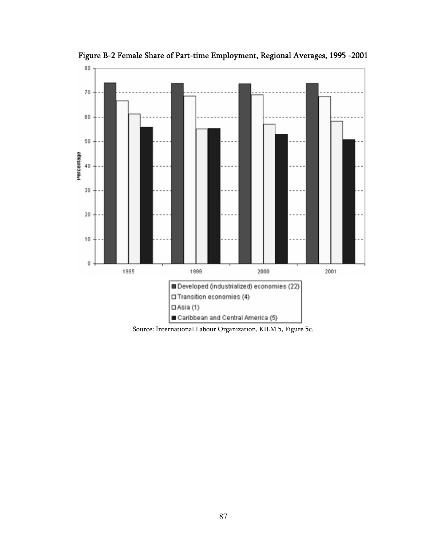

Figure B-2 Female Share of Part-time Employment, Regional Averages, 1995 -2001

Source: International Labour Organization, KILM 5, Figure 5c.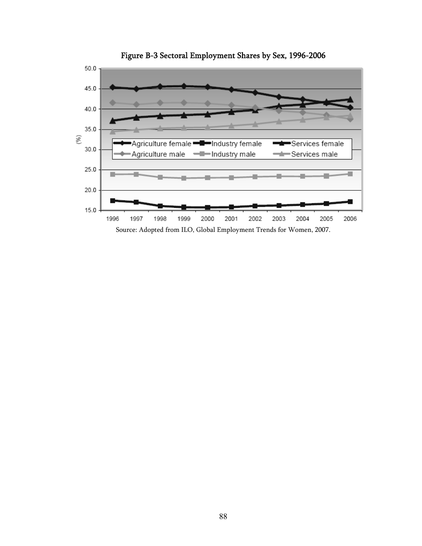

Figure B-3 Sectoral Employment Shares by Sex, 1996-2006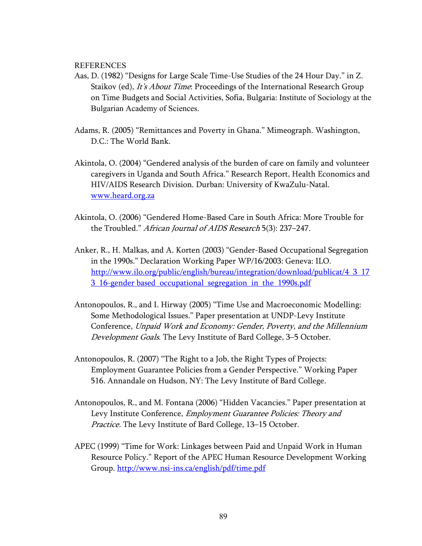#### **REFERENCES**

- Aas, D. (1982) "Designs for Large Scale Time-Use Studies of the 24 Hour Day." in Z. Staikov (ed), It's About Time: Proceedings of the International Research Group on Time Budgets and Social Activities, Sofia, Bulgaria: Institute of Sociology at the Bulgarian Academy of Sciences.
- Adams, R. (2005) "Remittances and Poverty in Ghana." Mimeograph. Washington, D.C.: The World Bank.
- Akintola, O. (2004) "Gendered analysis of the burden of care on family and volunteer caregivers in Uganda and South Africa." Research Report, Health Economics and HIV/AIDS Research Division. Durban: University of KwaZulu-Natal. www.heard.org.za
- Akintola, O. (2006) "Gendered Home-Based Care in South Africa: More Trouble for the Troubled." African Journal of AIDS Research 5(3): 237-247.
- Anker, R., H. Malkas, and A. Korten (2003) "Gender-Based Occupational Segregation in the 1990s." Declaration Working Paper WP/16/2003: Geneva: ILO. http://www.ilo.org/public/english/bureau/integration/download/publicat/4\_3\_17 3\_16-gender based\_occupational\_segregation\_in\_the\_1990s.pdf
- Antonopoulos, R., and I. Hirway (2005) "Time Use and Macroeconomic Modelling: Some Methodological Issues." Paper presentation at UNDP-Levy Institute Conference, Unpaid Work and Economy: Gender, Poverty, and the Millennium Development Goals. The Levy Institute of Bard College, 3–5 October.
- Antonopoulos, R. (2007) "The Right to a Job, the Right Types of Projects: Employment Guarantee Policies from a Gender Perspective." Working Paper 516. Annandale on Hudson, NY: The Levy Institute of Bard College.
- Antonopoulos, R., and M. Fontana (2006) "Hidden Vacancies." Paper presentation at Levy Institute Conference, Employment Guarantee Policies: Theory and Practice. The Levy Institute of Bard College, 13–15 October.
- APEC (1999) "Time for Work: Linkages between Paid and Unpaid Work in Human Resource Policy." Report of the APEC Human Resource Development Working Group. http://www.nsi-ins.ca/english/pdf/time.pdf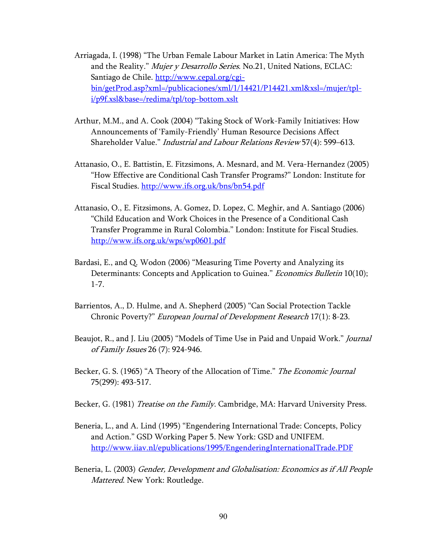- Arriagada, I. (1998) "The Urban Female Labour Market in Latin America: The Myth and the Reality." Mujer y Desarrollo Series. No.21, United Nations, ECLAC: Santiago de Chile. http://www.cepal.org/cgibin/getProd.asp?xml=/publicaciones/xml/1/14421/P14421.xml&xsl=/mujer/tpli/p9f.xsl&base=/redima/tpl/top-bottom.xslt
- Arthur, M.M., and A. Cook (2004) "Taking Stock of Work-Family Initiatives: How Announcements of 'Family-Friendly' Human Resource Decisions Affect Shareholder Value." Industrial and Labour Relations Review 57(4): 599–613.
- Attanasio, O., E. Battistin, E. Fitzsimons, A. Mesnard, and M. Vera-Hernandez (2005) "How Effective are Conditional Cash Transfer Programs?" London: Institute for Fiscal Studies. http://www.ifs.org.uk/bns/bn54.pdf
- Attanasio, O., E. Fitzsimons, A. Gomez, D. Lopez, C. Meghir, and A. Santiago (2006) "Child Education and Work Choices in the Presence of a Conditional Cash Transfer Programme in Rural Colombia." London: Institute for Fiscal Studies. http://www.ifs.org.uk/wps/wp0601.pdf
- Bardasi, E., and Q. Wodon (2006) "Measuring Time Poverty and Analyzing its Determinants: Concepts and Application to Guinea." *Economics Bulletin* 10(10); 1-7.
- Barrientos, A., D. Hulme, and A. Shepherd (2005) "Can Social Protection Tackle Chronic Poverty?" European Journal of Development Research 17(1): 8-23.
- Beaujot, R., and J. Liu (2005) "Models of Time Use in Paid and Unpaid Work." Journal of Family Issues 26 (7): 924-946.
- Becker, G. S. (1965) "A Theory of the Allocation of Time." The Economic Journal 75(299): 493-517.
- Becker, G. (1981) *Treatise on the Family*. Cambridge, MA: Harvard University Press.
- Beneria, L., and A. Lind (1995) "Engendering International Trade: Concepts, Policy and Action." GSD Working Paper 5. New York: GSD and UNIFEM. http://www.iiav.nl/epublications/1995/EngenderingInternationalTrade.PDF
- Beneria, L. (2003) Gender, Development and Globalisation: Economics as if All People Mattered. New York: Routledge.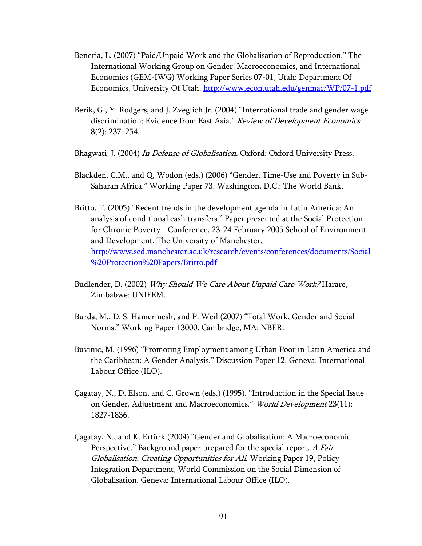- Beneria, L. (2007) "Paid/Unpaid Work and the Globalisation of Reproduction." The International Working Group on Gender, Macroeconomics, and International Economics (GEM-IWG) Working Paper Series 07-01, Utah: Department Of Economics, University Of Utah. http://www.econ.utah.edu/genmac/WP/07-1.pdf
- Berik, G., Y. Rodgers, and J. Zveglich Jr. (2004) "International trade and gender wage discrimination: Evidence from East Asia." Review of Development Economics 8(2): 237–254.
- Bhagwati, J. (2004) In Defense of Globalisation. Oxford: Oxford University Press.
- Blackden, C.M., and Q. Wodon (eds.) (2006) "Gender, Time-Use and Poverty in Sub-Saharan Africa." Working Paper 73. Washington, D.C.: The World Bank.
- Britto, T. (2005) "Recent trends in the development agenda in Latin America: An analysis of conditional cash transfers." Paper presented at the Social Protection for Chronic Poverty - Conference, 23-24 February 2005 School of Environment and Development, The University of Manchester. http://www.sed.manchester.ac.uk/research/events/conferences/documents/Social %20Protection%20Papers/Britto.pdf
- Budlender, D. (2002) Why Should We Care About Unpaid Care Work? Harare, Zimbabwe: UNIFEM.
- Burda, M., D. S. Hamermesh, and P. Weil (2007) "Total Work, Gender and Social Norms." Working Paper 13000. Cambridge, MA: NBER.
- Buvinic, M. (1996) "Promoting Employment among Urban Poor in Latin America and the Caribbean: A Gender Analysis." Discussion Paper 12. Geneva: International Labour Office (ILO).
- Çagatay, N., D. Elson, and C. Grown (eds.) (1995). "Introduction in the Special Issue on Gender, Adjustment and Macroeconomics." *World Development* 23(11): 1827-1836.
- Çagatay, N., and K. Ertürk (2004) "Gender and Globalisation: A Macroeconomic Perspective." Background paper prepared for the special report, A Fair Globalisation: Creating Opportunities for All. Working Paper 19, Policy Integration Department, World Commission on the Social Dimension of Globalisation. Geneva: International Labour Office (ILO).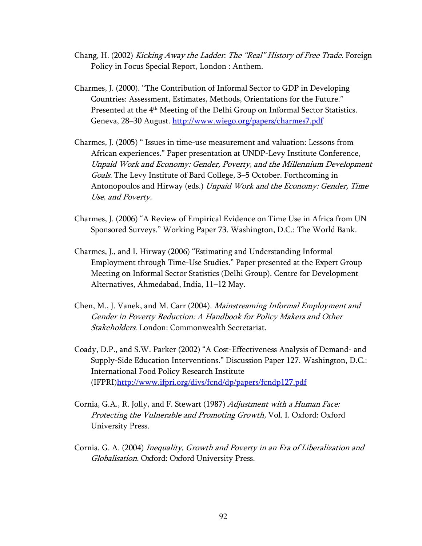- Chang, H. (2002) *Kicking Away the Ladder: The "Real" History of Free Trade*. Foreign Policy in Focus Special Report, London : Anthem.
- Charmes, J. (2000). "The Contribution of Informal Sector to GDP in Developing Countries: Assessment, Estimates, Methods, Orientations for the Future." Presented at the 4<sup>th</sup> Meeting of the Delhi Group on Informal Sector Statistics. Geneva, 28-30 August. http://www.wiego.org/papers/charmes7.pdf
- Charmes, J. (2005) " Issues in time-use measurement and valuation: Lessons from African experiences." Paper presentation at UNDP-Levy Institute Conference, Unpaid Work and Economy: Gender, Poverty, and the Millennium Development Goals. The Levy Institute of Bard College, 3–5 October. Forthcoming in Antonopoulos and Hirway (eds.) Unpaid Work and the Economy: Gender, Time Use, and Poverty.
- Charmes, J. (2006) "A Review of Empirical Evidence on Time Use in Africa from UN Sponsored Surveys." Working Paper 73. Washington, D.C.: The World Bank.
- Charmes, J., and I. Hirway (2006) "Estimating and Understanding Informal Employment through Time-Use Studies." Paper presented at the Expert Group Meeting on Informal Sector Statistics (Delhi Group). Centre for Development Alternatives, Ahmedabad, India, 11–12 May.
- Chen, M., J. Vanek, and M. Carr (2004). Mainstreaming Informal Employment and Gender in Poverty Reduction: A Handbook for Policy Makers and Other Stakeholders. London: Commonwealth Secretariat.
- Coady, D.P., and S.W. Parker (2002) "A Cost-Effectiveness Analysis of Demand- and Supply-Side Education Interventions." Discussion Paper 127. Washington, D.C.: International Food Policy Research Institute (IFPRI)http://www.ifpri.org/divs/fcnd/dp/papers/fcndp127.pdf
- Cornia, G.A., R. Jolly, and F. Stewart (1987) *Adjustment with a Human Face:* Protecting the Vulnerable and Promoting Growth, Vol. I. Oxford: Oxford University Press.
- Cornia, G. A. (2004) Inequality, Growth and Poverty in an Era of Liberalization and Globalisation. Oxford: Oxford University Press.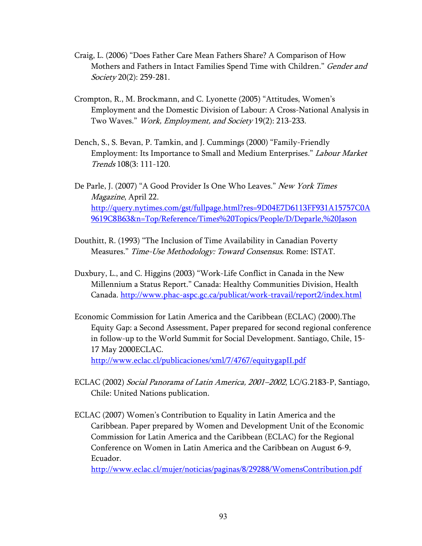- Craig, L. (2006) "Does Father Care Mean Fathers Share? A Comparison of How Mothers and Fathers in Intact Families Spend Time with Children." Gender and Society 20(2): 259-281.
- Crompton, R., M. Brockmann, and C. Lyonette (2005) "Attitudes, Women's Employment and the Domestic Division of Labour: A Cross-National Analysis in Two Waves." Work, Employment, and Society 19(2): 213-233.
- Dench, S., S. Bevan, P. Tamkin, and J. Cummings (2000) "Family-Friendly Employment: Its Importance to Small and Medium Enterprises." Labour Market Trends 108(3: 111-120.
- De Parle, J. (2007) "A Good Provider Is One Who Leaves." New York Times Magazine, April 22. http://query.nytimes.com/gst/fullpage.html?res=9D04E7D6113FF931A15757C0A 9619C8B63&n=Top/Reference/Times%20Topics/People/D/Deparle,%20Jason
- Douthitt, R. (1993) "The Inclusion of Time Availability in Canadian Poverty Measures." Time-Use Methodology: Toward Consensus. Rome: ISTAT.
- Duxbury, L., and C. Higgins (2003) "Work-Life Conflict in Canada in the New Millennium a Status Report." Canada: Healthy Communities Division, Health Canada. http://www.phac-aspc.gc.ca/publicat/work-travail/report2/index.html
- Economic Commission for Latin America and the Caribbean (ECLAC) (2000).The Equity Gap: a Second Assessment, Paper prepared for second regional conference in follow-up to the World Summit for Social Development. Santiago, Chile, 15- 17 May 2000ECLAC. http://www.eclac.cl/publicaciones/xml/7/4767/equitygapII.pdf
- ECLAC (2002) Social Panorama of Latin America, 2001–2002, LC/G.2183-P, Santiago, Chile: United Nations publication.
- ECLAC (2007) Women's Contribution to Equality in Latin America and the Caribbean. Paper prepared by Women and Development Unit of the Economic Commission for Latin America and the Caribbean (ECLAC) for the Regional Conference on Women in Latin America and the Caribbean on August 6-9, Ecuador.

http://www.eclac.cl/mujer/noticias/paginas/8/29288/WomensContribution.pdf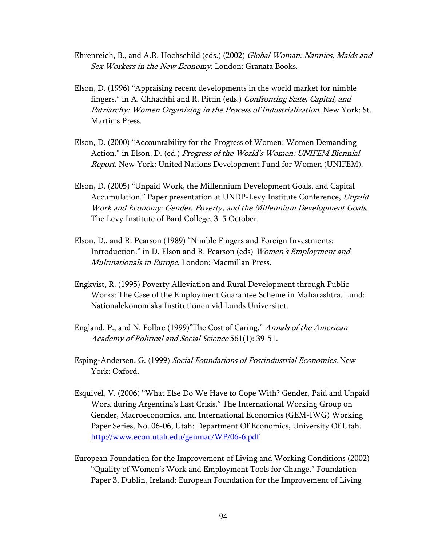- Ehrenreich, B., and A.R. Hochschild (eds.) (2002) Global Woman: Nannies, Maids and Sex Workers in the New Economy. London: Granata Books.
- Elson, D. (1996) "Appraising recent developments in the world market for nimble fingers." in A. Chhachhi and R. Pittin (eds.) Confronting State, Capital, and Patriarchy: Women Organizing in the Process of Industrialization. New York: St. Martin's Press.
- Elson, D. (2000) "Accountability for the Progress of Women: Women Demanding Action." in Elson, D. (ed.) Progress of the World's Women: UNIFEM Biennial Report. New York: United Nations Development Fund for Women (UNIFEM).
- Elson, D. (2005) "Unpaid Work, the Millennium Development Goals, and Capital Accumulation." Paper presentation at UNDP-Levy Institute Conference, Unpaid Work and Economy: Gender, Poverty, and the Millennium Development Goals. The Levy Institute of Bard College, 3–5 October.
- Elson, D., and R. Pearson (1989) "Nimble Fingers and Foreign Investments: Introduction." in D. Elson and R. Pearson (eds) Women's Employment and Multinationals in Europe. London: Macmillan Press.
- Engkvist, R. (1995) Poverty Alleviation and Rural Development through Public Works: The Case of the Employment Guarantee Scheme in Maharashtra. Lund: Nationalekonomiska Institutionen vid Lunds Universitet.
- England, P., and N. Folbre (1999)"The Cost of Caring." Annals of the American Academy of Political and Social Science 561(1): 39-51.
- Esping-Andersen, G. (1999) Social Foundations of Postindustrial Economies. New York: Oxford.
- Esquivel, V. (2006) "What Else Do We Have to Cope With? Gender, Paid and Unpaid Work during Argentina's Last Crisis." The International Working Group on Gender, Macroeconomics, and International Economics (GEM-IWG) Working Paper Series, No. 06-06, Utah: Department Of Economics, University Of Utah. http://www.econ.utah.edu/genmac/WP/06-6.pdf
- European Foundation for the Improvement of Living and Working Conditions (2002) "Quality of Women's Work and Employment Tools for Change." Foundation Paper 3, Dublin, Ireland: European Foundation for the Improvement of Living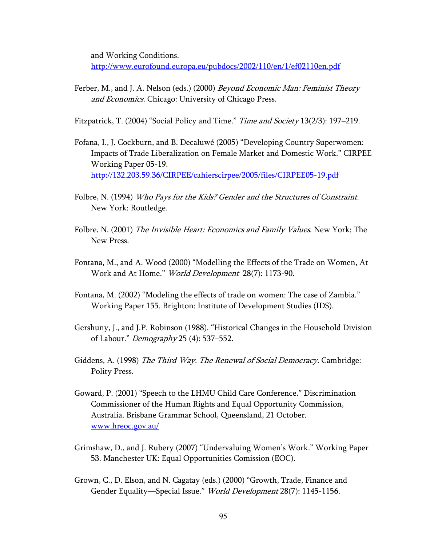and Working Conditions.

http://www.eurofound.europa.eu/pubdocs/2002/110/en/1/ef02110en.pdf

Ferber, M., and J. A. Nelson (eds.) (2000) Beyond Economic Man: Feminist Theory and Economics. Chicago: University of Chicago Press.

Fitzpatrick, T. (2004) "Social Policy and Time." Time and Society 13(2/3): 197-219.

- Fofana, I., J. Cockburn, and B. Decaluwé (2005) "Developing Country Superwomen: Impacts of Trade Liberalization on Female Market and Domestic Work." CIRPEE Working Paper 05-19. http://132.203.59.36/CIRPEE/cahierscirpee/2005/files/CIRPEE05-19.pdf
- Folbre, N. (1994) Who Pays for the Kids? Gender and the Structures of Constraint. New York: Routledge.
- Folbre, N. (2001) *The Invisible Heart: Economics and Family Values*. New York: The New Press.
- Fontana, M., and A. Wood (2000) "Modelling the Effects of the Trade on Women, At Work and At Home." World Development 28(7): 1173-90.
- Fontana, M. (2002) "Modeling the effects of trade on women: The case of Zambia." Working Paper 155. Brighton: Institute of Development Studies (IDS).
- Gershuny, J., and J.P. Robinson (1988). "Historical Changes in the Household Division of Labour." Demography 25 (4): 537–552.
- Giddens, A. (1998) The Third Way. The Renewal of Social Democracy. Cambridge: Polity Press.
- Goward, P. (2001) "Speech to the LHMU Child Care Conference." Discrimination Commissioner of the Human Rights and Equal Opportunity Commission, Australia. Brisbane Grammar School, Queensland, 21 October. www.hreoc.gov.au/
- Grimshaw, D., and J. Rubery (2007) "Undervaluing Women's Work." Working Paper 53. Manchester UK: Equal Opportunities Comission (EOC).
- Grown, C., D. Elson, and N. Cagatay (eds.) (2000) "Growth, Trade, Finance and Gender Equality—Special Issue." World Development 28(7): 1145-1156.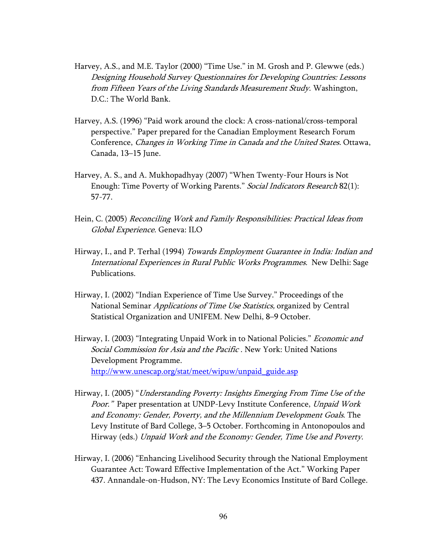- Harvey, A.S., and M.E. Taylor (2000) "Time Use." in M. Grosh and P. Glewwe (eds.) Designing Household Survey Questionnaires for Developing Countries: Lessons from Fifteen Years of the Living Standards Measurement Study. Washington, D.C.: The World Bank.
- Harvey, A.S. (1996) "Paid work around the clock: A cross-national/cross-temporal perspective." Paper prepared for the Canadian Employment Research Forum Conference, Changes in Working Time in Canada and the United States. Ottawa, Canada, 13–15 June.
- Harvey, A. S., and A. Mukhopadhyay (2007) "When Twenty-Four Hours is Not Enough: Time Poverty of Working Parents." Social Indicators Research 82(1): 57-77.
- Hein, C. (2005) Reconciling Work and Family Responsibilities: Practical Ideas from Global Experience. Geneva: ILO
- Hirway, I., and P. Terhal (1994) *Towards Employment Guarantee in India: Indian and* International Experiences in Rural Public Works Programmes. New Delhi: Sage Publications.
- Hirway, I. (2002) "Indian Experience of Time Use Survey." Proceedings of the National Seminar *Applications of Time Use Statistics*, organized by Central Statistical Organization and UNIFEM. New Delhi, 8–9 October.
- Hirway, I. (2003) "Integrating Unpaid Work in to National Policies." *Economic and* Social Commission for Asia and the Pacific . New York: United Nations Development Programme. http://www.unescap.org/stat/meet/wipuw/unpaid\_guide.asp
- Hirway, I. (2005) "Understanding Poverty: Insights Emerging From Time Use of the Poor." Paper presentation at UNDP-Levy Institute Conference, Unpaid Work and Economy: Gender, Poverty, and the Millennium Development Goals. The Levy Institute of Bard College, 3–5 October. Forthcoming in Antonopoulos and Hirway (eds.) Unpaid Work and the Economy: Gender, Time Use and Poverty.
- Hirway, I. (2006) "Enhancing Livelihood Security through the National Employment Guarantee Act: Toward Effective Implementation of the Act." Working Paper 437. Annandale-on-Hudson, NY: The Levy Economics Institute of Bard College.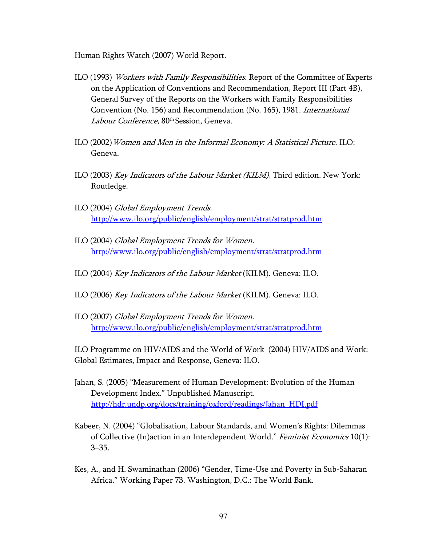Human Rights Watch (2007) World Report.

- ILO (1993) Workers with Family Responsibilities. Report of the Committee of Experts on the Application of Conventions and Recommendation, Report III (Part 4B), General Survey of the Reports on the Workers with Family Responsibilities Convention (No. 156) and Recommendation (No. 165), 1981. International Labour Conference, 80<sup>th</sup> Session, Geneva.
- ILO (2002)Women and Men in the Informal Economy: A Statistical Picture. ILO: Geneva.
- ILO (2003) Key Indicators of the Labour Market (KILM), Third edition. New York: Routledge.
- ILO (2004) Global Employment Trends. http://www.ilo.org/public/english/employment/strat/stratprod.htm
- ILO (2004) Global Employment Trends for Women. http://www.ilo.org/public/english/employment/strat/stratprod.htm
- ILO (2004) Key Indicators of the Labour Market (KILM). Geneva: ILO.
- ILO (2006) Key Indicators of the Labour Market (KILM). Geneva: ILO.
- ILO (2007) Global Employment Trends for Women. http://www.ilo.org/public/english/employment/strat/stratprod.htm

ILO Programme on HIV/AIDS and the World of Work (2004) HIV/AIDS and Work: Global Estimates, Impact and Response, Geneva: ILO.

- Jahan, S. (2005) "Measurement of Human Development: Evolution of the Human Development Index." Unpublished Manuscript. http://hdr.undp.org/docs/training/oxford/readings/Jahan\_HDI.pdf
- Kabeer, N. (2004) "Globalisation, Labour Standards, and Women's Rights: Dilemmas of Collective (In)action in an Interdependent World." Feminist Economics 10(1): 3–35.
- Kes, A., and H. Swaminathan (2006) "Gender, Time-Use and Poverty in Sub-Saharan Africa." Working Paper 73. Washington, D.C.: The World Bank.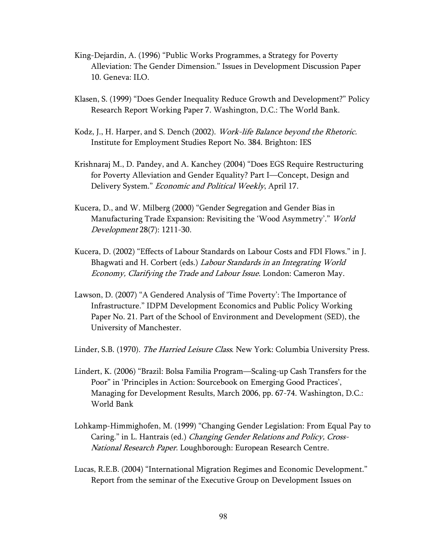- King-Dejardin, A. (1996) "Public Works Programmes, a Strategy for Poverty Alleviation: The Gender Dimension." Issues in Development Discussion Paper 10. Geneva: ILO.
- Klasen, S. (1999) "Does Gender Inequality Reduce Growth and Development?" Policy Research Report Working Paper 7. Washington, D.C.: The World Bank.
- Kodz, J., H. Harper, and S. Dench (2002). Work-life Balance beyond the Rhetoric. Institute for Employment Studies Report No. 384. Brighton: IES
- Krishnaraj M., D. Pandey, and A. Kanchey (2004) "Does EGS Require Restructuring for Poverty Alleviation and Gender Equality? Part I—Concept, Design and Delivery System." Economic and Political Weekly, April 17.
- Kucera, D., and W. Milberg (2000) "Gender Segregation and Gender Bias in Manufacturing Trade Expansion: Revisiting the 'Wood Asymmetry'." World Development 28(7): 1211-30.
- Kucera, D. (2002) "Effects of Labour Standards on Labour Costs and FDI Flows." in J. Bhagwati and H. Corbert (eds.) Labour Standards in an Integrating World Economy, Clarifying the Trade and Labour Issue. London: Cameron May.
- Lawson, D. (2007) "A Gendered Analysis of 'Time Poverty': The Importance of Infrastructure." IDPM Development Economics and Public Policy Working Paper No. 21. Part of the School of Environment and Development (SED), the University of Manchester.
- Linder, S.B. (1970). *The Harried Leisure Class*. New York: Columbia University Press.
- Lindert, K. (2006) "Brazil: Bolsa Familia Program—Scaling-up Cash Transfers for the Poor" in 'Principles in Action: Sourcebook on Emerging Good Practices', Managing for Development Results, March 2006, pp. 67-74. Washington, D.C.: World Bank
- Lohkamp-Himmighofen, M. (1999) "Changing Gender Legislation: From Equal Pay to Caring." in L. Hantrais (ed.) Changing Gender Relations and Policy, Cross-National Research Paper. Loughborough: European Research Centre.
- Lucas, R.E.B. (2004) "International Migration Regimes and Economic Development." Report from the seminar of the Executive Group on Development Issues on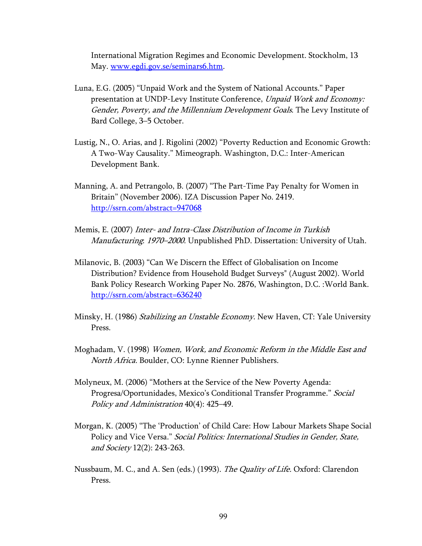International Migration Regimes and Economic Development. Stockholm, 13 May. www.egdi.gov.se/seminars6.htm.

- Luna, E.G. (2005) "Unpaid Work and the System of National Accounts." Paper presentation at UNDP-Levy Institute Conference, Unpaid Work and Economy: Gender, Poverty, and the Millennium Development Goals. The Levy Institute of Bard College, 3–5 October.
- Lustig, N., O. Arias, and J. Rigolini (2002) "Poverty Reduction and Economic Growth: A Two-Way Causality." Mimeograph. Washington, D.C.: Inter-American Development Bank.
- Manning, A. and Petrangolo, B. (2007) "The Part-Time Pay Penalty for Women in Britain" (November 2006). IZA Discussion Paper No. 2419. http://ssrn.com/abstract=947068
- Memis, E. (2007) Inter- and Intra-Class Distribution of Income in Turkish Manufacturing: 1970–2000. Unpublished PhD. Dissertation: University of Utah.
- Milanovic, B. (2003) "Can We Discern the Effect of Globalisation on Income Distribution? Evidence from Household Budget Surveys" (August 2002). World Bank Policy Research Working Paper No. 2876, Washington, D.C. :World Bank. http://ssrn.com/abstract=636240
- Minsky, H. (1986) Stabilizing an Unstable Economy. New Haven, CT: Yale University Press.
- Moghadam, V. (1998) Women, Work, and Economic Reform in the Middle East and North Africa. Boulder, CO: Lynne Rienner Publishers.
- Molyneux, M. (2006) "Mothers at the Service of the New Poverty Agenda: Progresa/Oportunidades, Mexico's Conditional Transfer Programme." Social Policy and Administration 40(4): 425–49.
- Morgan, K. (2005) "The 'Production' of Child Care: How Labour Markets Shape Social Policy and Vice Versa." Social Politics: International Studies in Gender, State, and Society 12(2): 243-263.
- Nussbaum, M. C., and A. Sen (eds.) (1993). The Quality of Life. Oxford: Clarendon Press.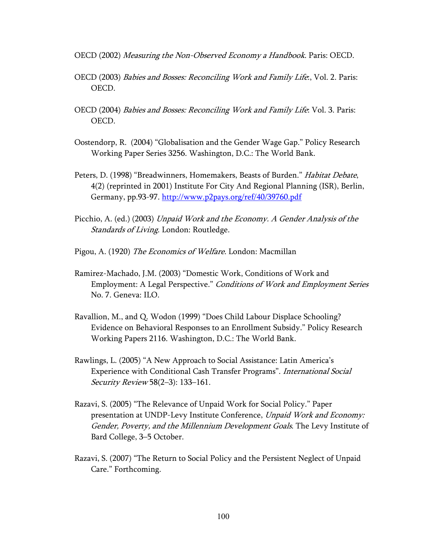- OECD (2002) Measuring the Non-Observed Economy a Handbook. Paris: OECD.
- OECD (2003) Babies and Bosses: Reconciling Work and Family Life., Vol. 2. Paris: OECD.
- OECD (2004) *Babies and Bosses: Reconciling Work and Family Life*: Vol. 3. Paris: OECD.
- Oostendorp, R. (2004) "Globalisation and the Gender Wage Gap." Policy Research Working Paper Series 3256. Washington, D.C.: The World Bank.
- Peters, D. (1998) "Breadwinners, Homemakers, Beasts of Burden." Habitat Debate, 4(2) (reprinted in 2001) Institute For City And Regional Planning (ISR), Berlin, Germany, pp.93-97. http://www.p2pays.org/ref/40/39760.pdf
- Picchio, A. (ed.) (2003) Unpaid Work and the Economy. A Gender Analysis of the Standards of Living. London: Routledge.
- Pigou, A. (1920) *The Economics of Welfare*. London: Macmillan
- Ramirez-Machado, J.M. (2003) "Domestic Work, Conditions of Work and Employment: A Legal Perspective." Conditions of Work and Employment Series No. 7. Geneva: ILO.
- Ravallion, M., and Q. Wodon (1999) "Does Child Labour Displace Schooling? Evidence on Behavioral Responses to an Enrollment Subsidy." Policy Research Working Papers 2116. Washington, D.C.: The World Bank.
- Rawlings, L. (2005) "A New Approach to Social Assistance: Latin America's Experience with Conditional Cash Transfer Programs". International Social Security Review 58(2–3): 133–161.
- Razavi, S. (2005) "The Relevance of Unpaid Work for Social Policy." Paper presentation at UNDP-Levy Institute Conference, Unpaid Work and Economy: Gender, Poverty, and the Millennium Development Goals. The Levy Institute of Bard College, 3–5 October.
- Razavi, S. (2007) "The Return to Social Policy and the Persistent Neglect of Unpaid Care." Forthcoming.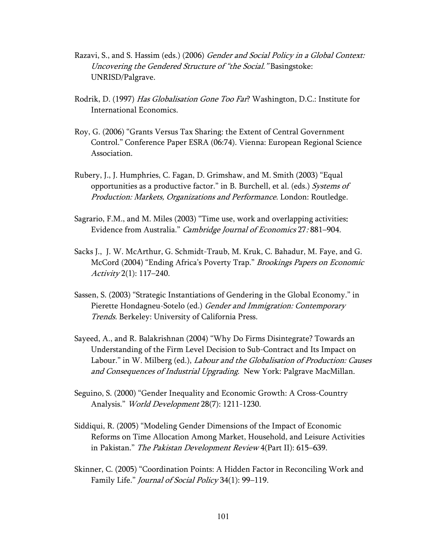- Razavi, S., and S. Hassim (eds.) (2006) *Gender and Social Policy in a Global Context:* Uncovering the Gendered Structure of "the Social." Basingstoke: UNRISD/Palgrave.
- Rodrik, D. (1997) Has Globalisation Gone Too Far? Washington, D.C.: Institute for International Economics.
- Roy, G. (2006) "Grants Versus Tax Sharing: the Extent of Central Government Control." Conference Paper ESRA (06:74). Vienna: European Regional Science Association.
- Rubery, J., J. Humphries, C. Fagan, D. Grimshaw, and M. Smith (2003) "Equal opportunities as a productive factor." in B. Burchell, et al. (eds.) Systems of Production: Markets, Organizations and Performance. London: Routledge.
- Sagrario, F.M., and M. Miles (2003) "Time use, work and overlapping activities: Evidence from Australia." Cambridge Journal of Economics 27: 881–904.
- Sacks J., J. W. McArthur, G. Schmidt-Traub, M. Kruk, C. Bahadur, M. Faye, and G. McCord (2004) "Ending Africa's Poverty Trap." Brookings Papers on Economic Activity 2(1): 117–240.
- Sassen, S. (2003) "Strategic Instantiations of Gendering in the Global Economy." in Pierette Hondagneu-Sotelo (ed.) Gender and Immigration: Contemporary Trends. Berkeley: University of California Press.
- Sayeed, A., and R. Balakrishnan (2004) "Why Do Firms Disintegrate? Towards an Understanding of the Firm Level Decision to Sub-Contract and Its Impact on Labour." in W. Milberg (ed.), *Labour and the Globalisation of Production: Causes* and Consequences of Industrial Upgrading. New York: Palgrave MacMillan.
- Seguino, S. (2000) "Gender Inequality and Economic Growth: A Cross-Country Analysis." World Development 28(7): 1211-1230.
- Siddiqui, R. (2005) "Modeling Gender Dimensions of the Impact of Economic Reforms on Time Allocation Among Market, Household, and Leisure Activities in Pakistan." The Pakistan Development Review 4(Part II): 615–639.
- Skinner, C. (2005) "Coordination Points: A Hidden Factor in Reconciling Work and Family Life." *Journal of Social Policy* 34(1): 99–119.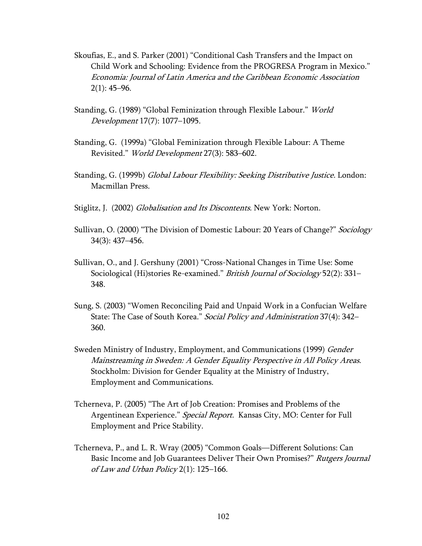- Skoufias, E., and S. Parker (2001) "Conditional Cash Transfers and the Impact on Child Work and Schooling: Evidence from the PROGRESA Program in Mexico." Economia: Journal of Latin America and the Caribbean Economic Association  $2(1): 45-96.$
- Standing, G. (1989) "Global Feminization through Flexible Labour." World Development 17(7): 1077–1095.
- Standing, G. (1999a) "Global Feminization through Flexible Labour: A Theme Revisited." World Development 27(3): 583–602.
- Standing, G. (1999b) Global Labour Flexibility: Seeking Distributive Justice. London: Macmillan Press.
- Stiglitz, J. (2002) Globalisation and Its Discontents. New York: Norton.
- Sullivan, O. (2000) "The Division of Domestic Labour: 20 Years of Change?" Sociology 34(3): 437–456.
- Sullivan, O., and J. Gershuny (2001) "Cross-National Changes in Time Use: Some Sociological (Hi)stories Re-examined." British Journal of Sociology 52(2): 331– 348.
- Sung, S. (2003) "Women Reconciling Paid and Unpaid Work in a Confucian Welfare State: The Case of South Korea." Social Policy and Administration 37(4): 342– 360.
- Sweden Ministry of Industry, Employment, and Communications (1999) *Gender* Mainstreaming in Sweden: A Gender Equality Perspective in All Policy Areas. Stockholm: Division for Gender Equality at the Ministry of Industry, Employment and Communications.
- Tcherneva, P. (2005) "The Art of Job Creation: Promises and Problems of the Argentinean Experience." Special Report. Kansas City, MO: Center for Full Employment and Price Stability.
- Tcherneva, P., and L. R. Wray (2005) "Common Goals—Different Solutions: Can Basic Income and Job Guarantees Deliver Their Own Promises?" Rutgers Journal of Law and Urban Policy 2(1): 125–166.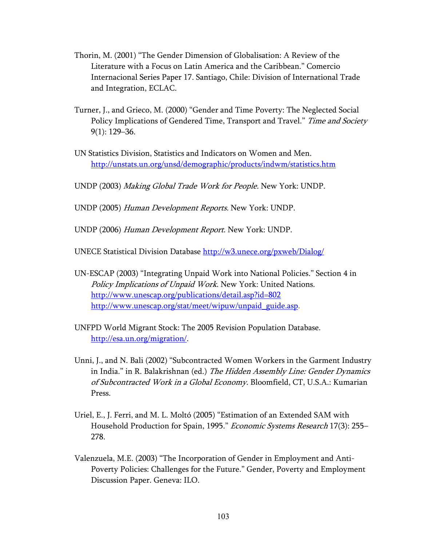- Thorin, M. (2001) "The Gender Dimension of Globalisation: A Review of the Literature with a Focus on Latin America and the Caribbean." Comercio Internacional Series Paper 17. Santiago, Chile: Division of International Trade and Integration, ECLAC.
- Turner, J., and Grieco, M. (2000) "Gender and Time Poverty: The Neglected Social Policy Implications of Gendered Time, Transport and Travel." Time and Society 9(1): 129–36.
- UN Statistics Division, Statistics and Indicators on Women and Men. http://unstats.un.org/unsd/demographic/products/indwm/statistics.htm
- UNDP (2003) Making Global Trade Work for People. New York: UNDP.

UNDP (2005) Human Development Reports. New York: UNDP.

UNDP (2006) Human Development Report. New York: UNDP.

UNECE Statistical Division Database http://w3.unece.org/pxweb/Dialog/

- UN-ESCAP (2003) "Integrating Unpaid Work into National Policies." Section 4 in Policy Implications of Unpaid Work. New York: United Nations. http://www.unescap.org/publications/detail.asp?id=802 http://www.unescap.org/stat/meet/wipuw/unpaid\_guide.asp.
- UNFPD World Migrant Stock: The 2005 Revision Population Database. http://esa.un.org/migration/.
- Unni, J., and N. Bali (2002) "Subcontracted Women Workers in the Garment Industry in India." in R. Balakrishnan (ed.) The Hidden Assembly Line: Gender Dynamics of Subcontracted Work in a Global Economy. Bloomfield, CT, U.S.A.: Kumarian Press.
- Uriel, E., J. Ferri, and M. L. Moltó (2005) "Estimation of an Extended SAM with Household Production for Spain, 1995." Economic Systems Research 17(3): 255-278.
- Valenzuela, M.E. (2003) "The Incorporation of Gender in Employment and Anti-Poverty Policies: Challenges for the Future." Gender, Poverty and Employment Discussion Paper. Geneva: ILO.